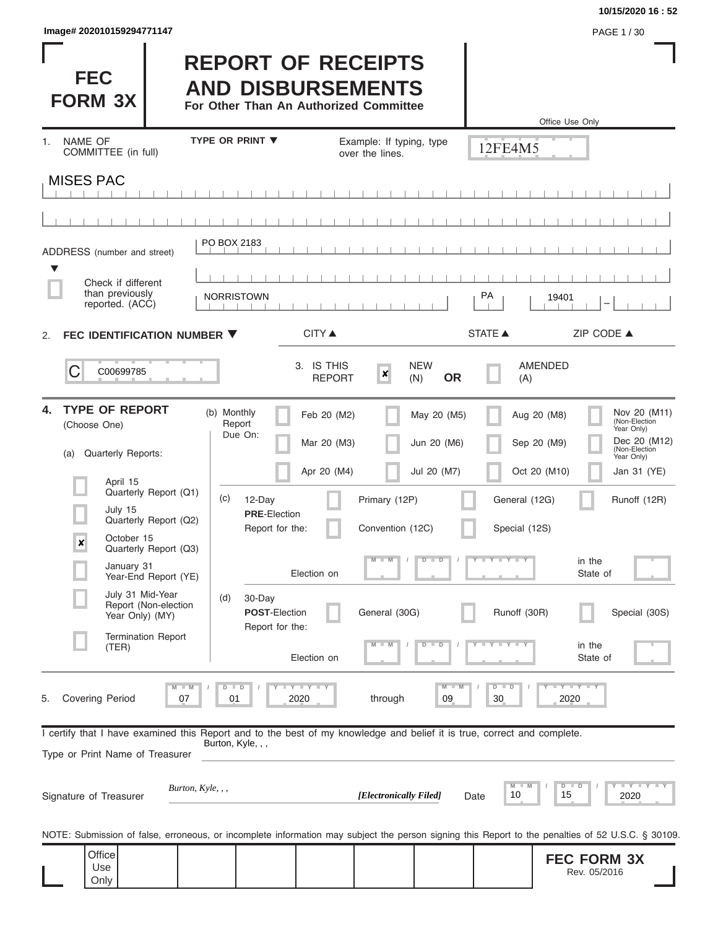| Image# 202010159294771147 | PAGE 1/30 |
|---------------------------|-----------|
|---------------------------|-----------|

Only

## **10/15/2020 16 : 52**

Rev. 05/2016

| <b>FEC</b><br><b>FORM 3X</b>                                                                                                                                                            |                                                                                                                                                      | <b>REPORT OF RECEIPTS</b><br><b>AND DISBURSEMENTS</b><br>For Other Than An Authorized Committee                                                         |                                                                                                                                          |                                                                             |                                                                                               | Office Use Only                                                                                                                                                                                                                      |
|-----------------------------------------------------------------------------------------------------------------------------------------------------------------------------------------|------------------------------------------------------------------------------------------------------------------------------------------------------|---------------------------------------------------------------------------------------------------------------------------------------------------------|------------------------------------------------------------------------------------------------------------------------------------------|-----------------------------------------------------------------------------|-----------------------------------------------------------------------------------------------|--------------------------------------------------------------------------------------------------------------------------------------------------------------------------------------------------------------------------------------|
| <b>NAME OF</b><br>1.<br>COMMITTEE (in full)                                                                                                                                             |                                                                                                                                                      | <b>TYPE OR PRINT ▼</b>                                                                                                                                  | Example: If typing, type<br>over the lines.                                                                                              |                                                                             | 12FE4M5                                                                                       |                                                                                                                                                                                                                                      |
| <b>MISES PAC</b>                                                                                                                                                                        |                                                                                                                                                      |                                                                                                                                                         |                                                                                                                                          |                                                                             |                                                                                               |                                                                                                                                                                                                                                      |
|                                                                                                                                                                                         |                                                                                                                                                      |                                                                                                                                                         |                                                                                                                                          |                                                                             |                                                                                               |                                                                                                                                                                                                                                      |
| ADDRESS (number and street)<br>▼<br>Check if different                                                                                                                                  |                                                                                                                                                      | PO BOX 2183                                                                                                                                             |                                                                                                                                          |                                                                             |                                                                                               |                                                                                                                                                                                                                                      |
| than previously<br>reported. (ACC)                                                                                                                                                      |                                                                                                                                                      | <b>NORRISTOWN</b>                                                                                                                                       |                                                                                                                                          |                                                                             | PA                                                                                            | 19401                                                                                                                                                                                                                                |
| FEC IDENTIFICATION NUMBER ▼<br>2.                                                                                                                                                       |                                                                                                                                                      |                                                                                                                                                         | <b>CITY</b> ▲                                                                                                                            |                                                                             | <b>STATE ▲</b>                                                                                | ZIP CODE ▲                                                                                                                                                                                                                           |
| C<br>C00699785                                                                                                                                                                          |                                                                                                                                                      |                                                                                                                                                         | 3. IS THIS<br>$\boldsymbol{x}$<br><b>REPORT</b>                                                                                          | <b>NEW</b><br><b>OR</b><br>(N)                                              | (A)                                                                                           | <b>AMENDED</b>                                                                                                                                                                                                                       |
| <b>TYPE OF REPORT</b><br>4.<br>(Choose One)<br><b>Quarterly Reports:</b><br>(a)<br>April 15<br>July 15<br>October 15<br>X<br>January 31<br>July 31 Mid-Year<br>Year Only) (MY)<br>(TER) | Quarterly Report (Q1)<br>Quarterly Report (Q2)<br>Quarterly Report (Q3)<br>Year-End Report (YE)<br>Report (Non-election<br><b>Termination Report</b> | (b) Monthly<br>Report<br>Due On:<br>(c)<br>12-Day<br><b>PRE-Election</b><br>Report for the:<br>(d)<br>30-Day<br><b>POST-Election</b><br>Report for the: | Feb 20 (M2)<br>Mar 20 (M3)<br>Apr 20 (M4)<br>Primary (12P)<br>Convention (12C)<br>$M - M$<br>Election on<br>General (30G)<br>Election on | May 20 (M5)<br>Jun 20 (M6)<br>Jul 20 (M7)<br>$D$ $D$<br>$\overline{D}$<br>ᢧ | General (12G)<br>Special (12S)<br>Y L Y L Y<br>Runoff (30R)<br>$\overline{Y}$<br>$\mathbf{y}$ | Nov 20 (M11)<br>(Non-Election<br>Aug 20 (M8)<br>Year Only)<br>Dec 20 (M12)<br>Sep 20 (M9)<br>(Non-Election<br>Year Only)<br>Oct 20 (M10)<br>Jan 31 (YE)<br>Runoff (12R)<br>in the<br>State of<br>Special (30S)<br>in the<br>State of |
| Covering Period<br>5.<br>I certify that I have examined this Report and to the best of my knowledge and belief it is true, correct and complete.<br>Type or Print Name of Treasurer     | $M$ $M$<br>07<br>Burton, Kyle, , ,                                                                                                                   | Y I Y I Y<br>D<br>$\Box$<br>2020<br>01<br>Burton, Kyle, , ,                                                                                             | through<br>[Electronically Filed]                                                                                                        | $M - M$<br>09                                                               | $D$ $D$<br>30<br>M<br>10                                                                      | $Y - Y - Y$<br>2020<br>$D$ $D$<br>15<br>2020                                                                                                                                                                                         |
| Signature of Treasurer                                                                                                                                                                  |                                                                                                                                                      |                                                                                                                                                         |                                                                                                                                          |                                                                             | Date                                                                                          | NOTE: Submission of false, erroneous, or incomplete information may subject the person signing this Report to the penalties of 52 U.S.C. § 30109.                                                                                    |
| Office<br>Use                                                                                                                                                                           |                                                                                                                                                      |                                                                                                                                                         |                                                                                                                                          |                                                                             |                                                                                               | <b>FEC FORM 3X</b><br>Rev 05/2016                                                                                                                                                                                                    |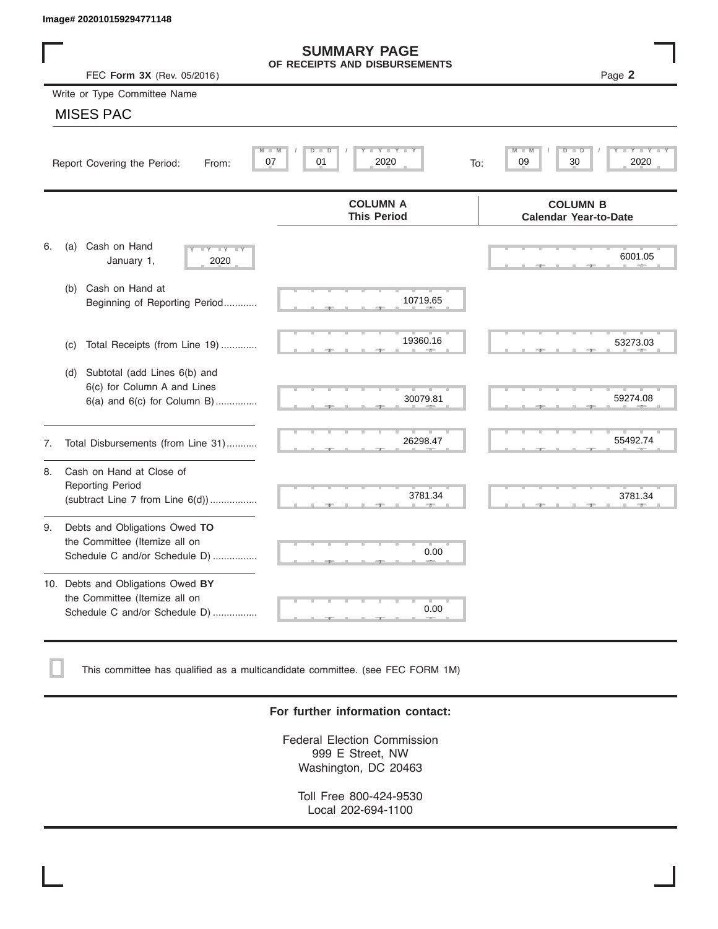|    | Image# 202010159294771148                                                                           |                                                      |                                                 |
|----|-----------------------------------------------------------------------------------------------------|------------------------------------------------------|-------------------------------------------------|
|    | FEC Form 3X (Rev. 05/2016)                                                                          | <b>SUMMARY PAGE</b><br>OF RECEIPTS AND DISBURSEMENTS | Page 2                                          |
|    | Write or Type Committee Name                                                                        |                                                      |                                                 |
|    | <b>MISES PAC</b>                                                                                    |                                                      |                                                 |
|    | Report Covering the Period:<br>From:                                                                | Y L Y L<br>$D$ $\Box$<br>D<br>2020<br>07<br>01       | D<br>D<br>30<br>2020<br>09<br>To:               |
|    |                                                                                                     | <b>COLUMN A</b><br><b>This Period</b>                | <b>COLUMN B</b><br><b>Calendar Year-to-Date</b> |
| 6. | Cash on Hand<br>(a)<br>$-Y - Y - Y$<br>January 1,<br>2020                                           |                                                      | 6001.05                                         |
|    | Cash on Hand at<br>(b)<br>Beginning of Reporting Period                                             | 10719.65                                             |                                                 |
|    | Total Receipts (from Line 19)<br>(c)                                                                | 19360.16                                             | 53273.03                                        |
|    | Subtotal (add Lines 6(b) and<br>(d)<br>6(c) for Column A and Lines<br>6(a) and 6(c) for Column B)   | 30079.81                                             | 59274.08                                        |
| 7. | Total Disbursements (from Line 31)                                                                  | 26298.47                                             | 55492.74                                        |
| 8. | Cash on Hand at Close of<br><b>Reporting Period</b><br>(subtract Line $7$ from Line $6(d)$ )        | 3781.34                                              | 3781.34                                         |
| 9. | Debts and Obligations Owed TO<br>the Committee (Itemize all on<br>Schedule C and/or Schedule D)     | 0.00                                                 |                                                 |
|    | 10. Debts and Obligations Owed BY<br>the Committee (Itemize all on<br>Schedule C and/or Schedule D) | т<br>0.00                                            |                                                 |

This committee has qualified as a multicandidate committee. (see FEC FORM 1M)

## **For further information contact:**

Federal Election Commission 999 E Street, NW Washington, DC 20463

Toll Free 800-424-9530 Local 202-694-1100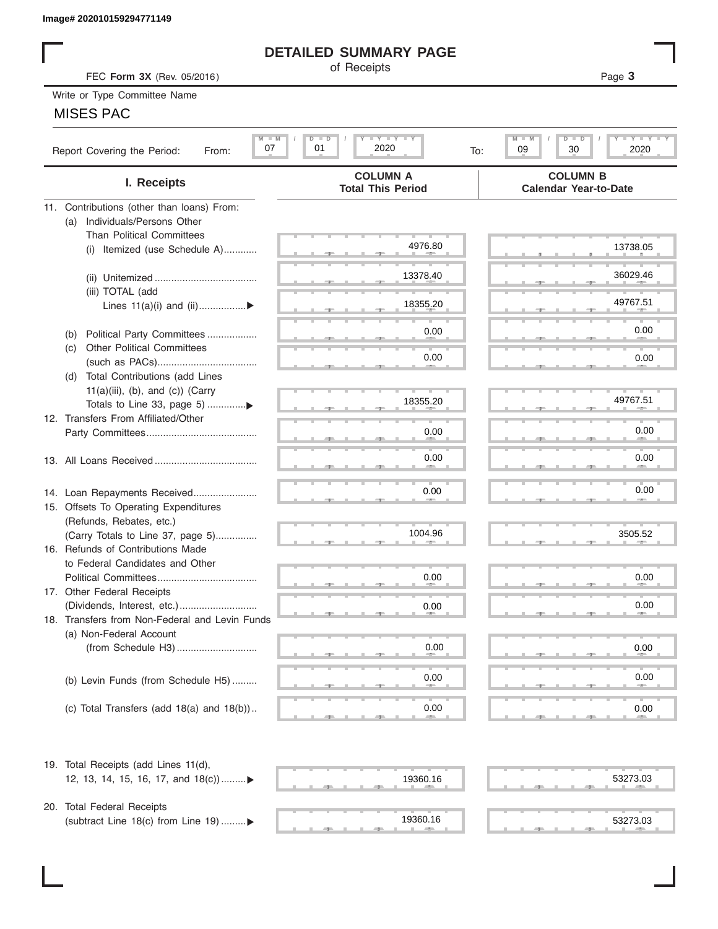# **DETAILED SUMMARY PAGE**

|  | Write or Type Committee Name |
|--|------------------------------|
|--|------------------------------|

# MISES PAC

|                                                                        | <b>DETAILED SUMMARY PAGE</b>                  |                                                                  |
|------------------------------------------------------------------------|-----------------------------------------------|------------------------------------------------------------------|
| FEC Form 3X (Rev. 05/2016)                                             | of Receipts                                   | Page 3                                                           |
| Write or Type Committee Name                                           |                                               |                                                                  |
| <b>MISES PAC</b>                                                       |                                               |                                                                  |
|                                                                        |                                               |                                                                  |
| $M$ $M$<br>07<br>Report Covering the Period:<br>From:                  | <b>LYLYLY</b><br>$D$ $D$<br>01<br>2020<br>To: | $M - M$<br>$T - Y = T - Y$<br>$D$ $\Box$ $D$<br>09<br>30<br>2020 |
| I. Receipts                                                            | <b>COLUMN A</b><br><b>Total This Period</b>   | <b>COLUMN B</b><br><b>Calendar Year-to-Date</b>                  |
| 11. Contributions (other than loans) From:                             |                                               |                                                                  |
| Individuals/Persons Other<br>(a)                                       |                                               |                                                                  |
| <b>Than Political Committees</b>                                       |                                               |                                                                  |
| (i) Itemized (use Schedule A)                                          | 4976.80                                       | 13738.05                                                         |
|                                                                        | 13378.40                                      | 36029.46                                                         |
| (iii) TOTAL (add                                                       |                                               |                                                                  |
| Lines $11(a)(i)$ and $(ii)$                                            | 18355.20                                      | 49767.51                                                         |
|                                                                        |                                               |                                                                  |
| Political Party Committees<br>(b)                                      | 0.00                                          | 0.00                                                             |
| <b>Other Political Committees</b><br>(C)                               |                                               |                                                                  |
|                                                                        | 0.00                                          | 0.00                                                             |
| Total Contributions (add Lines<br>(d)                                  |                                               |                                                                  |
| $11(a)(iii)$ , (b), and (c)) (Carry                                    |                                               |                                                                  |
|                                                                        | 18355.20                                      | 49767.51                                                         |
| 12. Transfers From Affiliated/Other                                    |                                               |                                                                  |
|                                                                        | 0.00                                          | 0.00                                                             |
|                                                                        | 0.00                                          | 0.00                                                             |
|                                                                        |                                               |                                                                  |
|                                                                        |                                               |                                                                  |
| 14. Loan Repayments Received                                           | 0.00                                          | 0.00                                                             |
| 15. Offsets To Operating Expenditures                                  |                                               |                                                                  |
| (Refunds, Rebates, etc.)                                               | 1004.96                                       | 3505.52                                                          |
| (Carry Totals to Line 37, page 5)<br>16. Refunds of Contributions Made |                                               |                                                                  |
| to Federal Candidates and Other                                        |                                               |                                                                  |
| Political Committees                                                   | 0.00                                          | 0.00                                                             |
| 17. Other Federal Receipts                                             |                                               |                                                                  |
|                                                                        | 0.00                                          | 0.00                                                             |
| 18. Transfers from Non-Federal and Levin Funds                         |                                               |                                                                  |
| (a) Non-Federal Account                                                |                                               |                                                                  |
|                                                                        | 0.00                                          | 0.00                                                             |
|                                                                        |                                               |                                                                  |
| (b) Levin Funds (from Schedule H5)                                     | 0.00                                          | 0.00                                                             |
|                                                                        |                                               |                                                                  |
| (c) Total Transfers (add $18(a)$ and $18(b)$ )                         | 0.00                                          | 0.00                                                             |
| 19. Total Receipts (add Lines 11(d),                                   |                                               |                                                                  |
| 12, 13, 14, 15, 16, 17, and 18(c))▶                                    | 19360.16                                      | 53273.03                                                         |
|                                                                        |                                               |                                                                  |
| 20. Total Federal Receipts                                             |                                               |                                                                  |
| (subtract Line 18(c) from Line 19) ▶                                   | 19360.16                                      | 53273.03                                                         |
|                                                                        |                                               |                                                                  |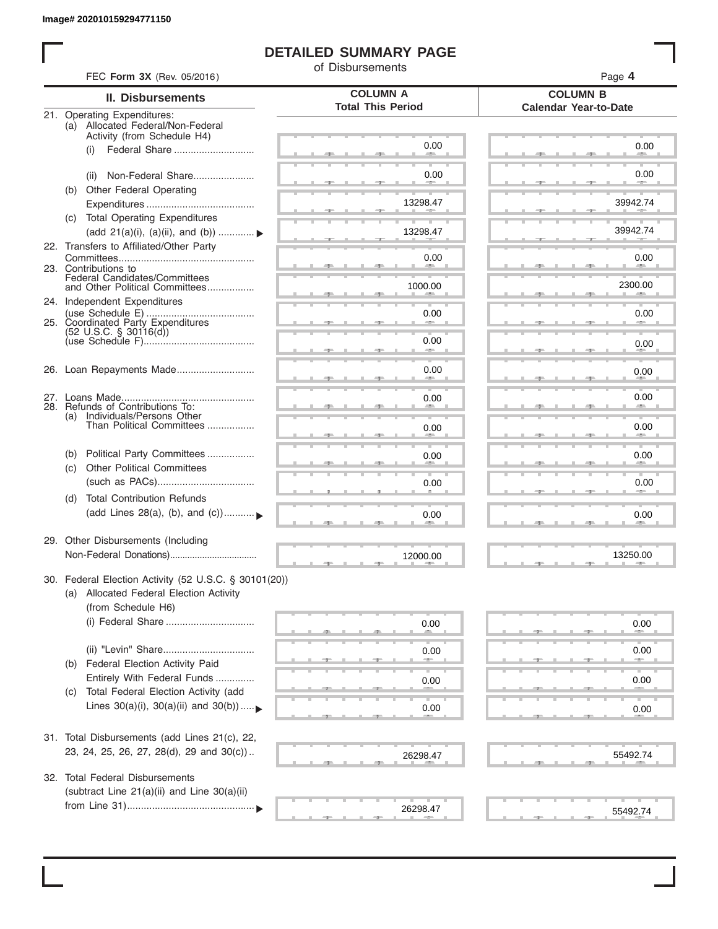# **DETAILED SUMMARY PAGE**

of Disbursements

| FEC Form 3X (Rev. 05/2016)                                                                                             |                                             | Page 4                                          |  |  |
|------------------------------------------------------------------------------------------------------------------------|---------------------------------------------|-------------------------------------------------|--|--|
| II. Disbursements                                                                                                      | <b>COLUMN A</b><br><b>Total This Period</b> | <b>COLUMN B</b><br><b>Calendar Year-to-Date</b> |  |  |
| 21. Operating Expenditures:<br>(a) Allocated Federal/Non-Federal<br>Activity (from Schedule H4)                        |                                             |                                                 |  |  |
| (i)                                                                                                                    | 0.00                                        | 0.00                                            |  |  |
| Non-Federal Share<br>(ii)                                                                                              | 0.00                                        | 0.00                                            |  |  |
| (b) Other Federal Operating                                                                                            | 13298.47                                    | 39942.74                                        |  |  |
| <b>Total Operating Expenditures</b><br>(C)<br>(add 21(a)(i), (a)(ii), and (b))                                         | 13298.47                                    | 39942.74                                        |  |  |
| 22. Transfers to Affiliated/Other Party                                                                                | 0.00                                        | 0.00                                            |  |  |
| 23. Contributions to<br>Federal Candidates/Committees<br>and Other Political Committees                                |                                             | <b>Allen</b><br>2300.00                         |  |  |
| 24. Independent Expenditures                                                                                           | 1000.00                                     |                                                 |  |  |
| 25. Coordinated Party Expenditures                                                                                     | 0.00                                        | 0.00                                            |  |  |
| $(52 \text{ U.S.C. }$ § 30116(d))                                                                                      | 0.00<br>an a                                | 0.00                                            |  |  |
| 26. Loan Repayments Made                                                                                               | 0.00                                        | 0.00                                            |  |  |
| 28. Refunds of Contributions To:                                                                                       | 0.00                                        | 0.00                                            |  |  |
| (a) Individuals/Persons Other<br>Than Political Committees                                                             | 0.00                                        | 0.00                                            |  |  |
| Political Party Committees<br>(b)                                                                                      | 0.00                                        | 0.00                                            |  |  |
| <b>Other Political Committees</b><br>(c)                                                                               | 0.00                                        | 0.00                                            |  |  |
| <b>Total Contribution Refunds</b><br>(d)<br>(add Lines 28(a), (b), and (c))                                            | 0.00                                        | 0.00                                            |  |  |
| 29. Other Disbursements (Including                                                                                     | 12000.00                                    | 13250.00                                        |  |  |
| 30. Federal Election Activity (52 U.S.C. § 30101(20))<br>(a) Allocated Federal Election Activity<br>(from Schedule H6) |                                             |                                                 |  |  |
| (i) Federal Share                                                                                                      | 0.00                                        | 0.00                                            |  |  |
| Federal Election Activity Paid<br>(b)                                                                                  | 0.00                                        | 0.00                                            |  |  |
| Entirely With Federal Funds                                                                                            | 0.00                                        | 0.00                                            |  |  |
| Total Federal Election Activity (add<br>(C)<br>Lines $30(a)(i)$ , $30(a)(ii)$ and $30(b))$                             | 0.00                                        | 0.00                                            |  |  |
| 31. Total Disbursements (add Lines 21(c), 22,                                                                          |                                             |                                                 |  |  |
| 23, 24, 25, 26, 27, 28(d), 29 and 30(c))                                                                               | 26298.47                                    | 55492.74                                        |  |  |
| 32. Total Federal Disbursements<br>(subtract Line 21(a)(ii) and Line 30(a)(ii)                                         |                                             |                                                 |  |  |
|                                                                                                                        | 26298.47                                    | 55492.74                                        |  |  |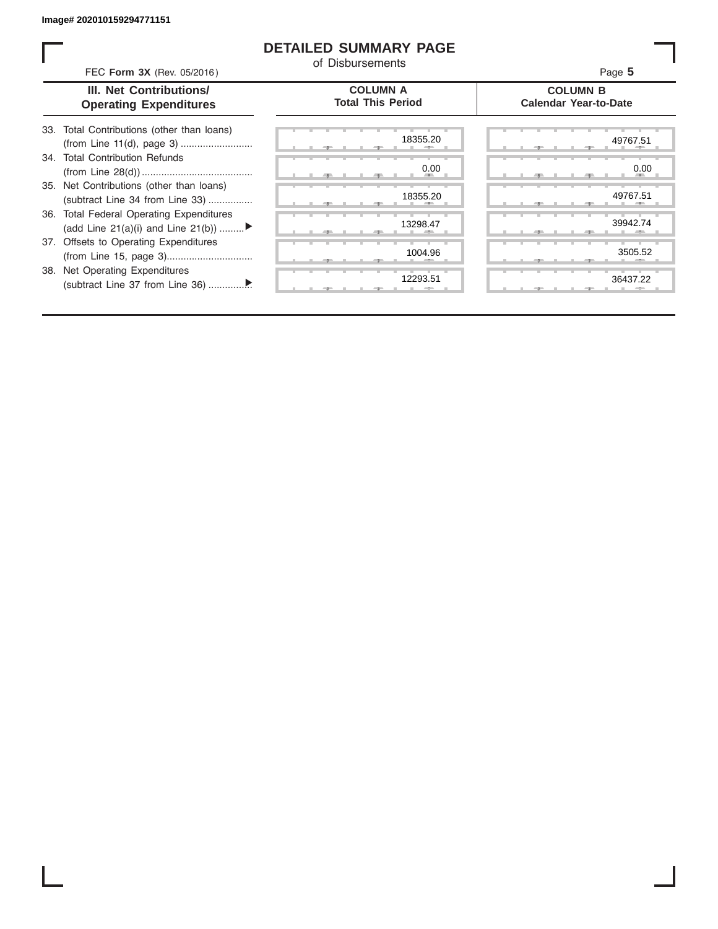## **DETAILED SUMMARY PAGE**

of Disbursements

FEC **Form 3X** (Rev. 05/2016) Page **5**

|  | III. Net Contributions/       |  |
|--|-------------------------------|--|
|  | <b>Operating Expenditures</b> |  |

### **COLUMN A Total This Period**

### **COLUMN B Calendar Year-to-Date**

| 33. Total Contributions (other than loans) |  |  |
|--------------------------------------------|--|--|
|                                            |  |  |
| 34. Total Contribution Refunds             |  |  |
|                                            |  |  |
| 35. Net Contributions (other than loans)   |  |  |
| (subtract Line 34 from Line 33)            |  |  |
| 36. Total Federal Operating Expenditures   |  |  |
| (add Line 21(a)(i) and Line 21(b))         |  |  |
| 37. Offsets to Operating Expenditures      |  |  |
|                                            |  |  |
| 38. Net Operating Expenditures             |  |  |
|                                            |  |  |
|                                            |  |  |

|   |   | 71    |     |    | 5 L   | 18355.20           |
|---|---|-------|-----|----|-------|--------------------|
|   |   |       |     |    |       | 0.00               |
|   | ٠ | - 7 - | л., | U, | $-9-$ | -<br>٠             |
|   |   |       |     |    |       | 18355.20           |
|   | ш | ட     |     | л  | ை     | п.                 |
|   |   | 51    |     |    | э.    | 13298.47<br>Ξ      |
|   |   |       |     |    |       |                    |
|   |   | -     |     |    | ユー    | 1004.96            |
| ٠ | т | т     | т   | т  | ٠     | т<br>т<br>12293.51 |
|   |   | -     |     |    | -     |                    |

|       |  | 18355.20                     | 49767.51                     |  |
|-------|--|------------------------------|------------------------------|--|
|       |  | 0.00<br><b>All Contracts</b> | 0.00<br><b>All Contracts</b> |  |
|       |  | 18355.20                     | 49767.51<br>÷b.              |  |
|       |  | 13298.47                     | 39942.74                     |  |
|       |  | 1004.96                      | 3505.52                      |  |
| $-7-$ |  | 12293.51                     | 36437.22                     |  |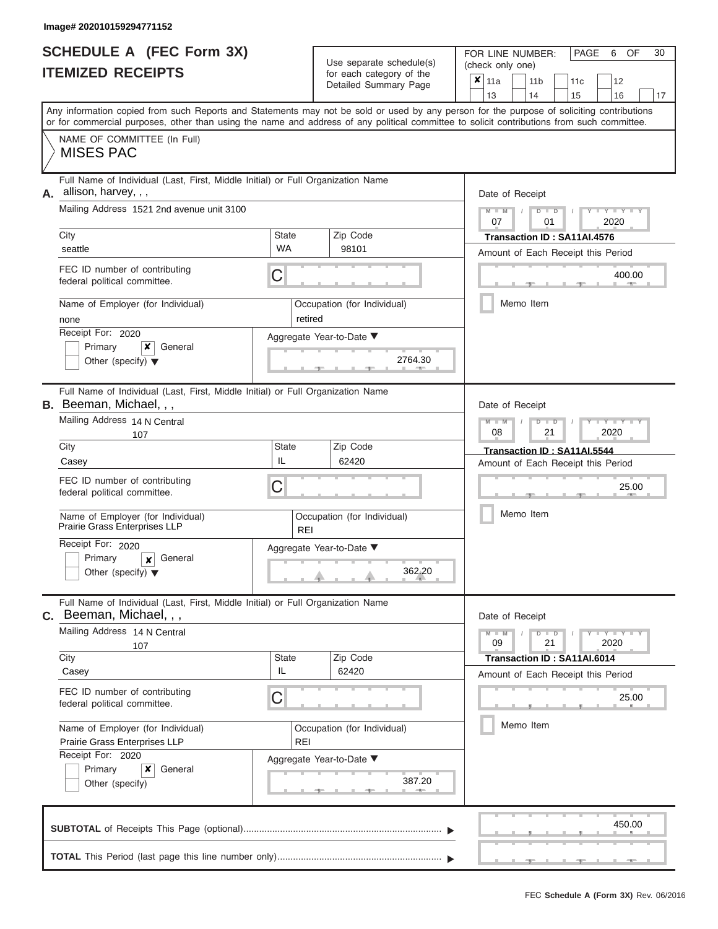|                          | <b>SCHEDULE A (FEC Form 3X)</b> |
|--------------------------|---------------------------------|
| <b>ITEMIZED RECEIPTS</b> |                                 |

| SCHEDULE A (FEC Form 3X)<br><b>ITEMIZED RECEIPTS</b>                                                                                                                                                                                                                                                                                                                                                                    |                                    | Use separate schedule(s)<br>for each category of the<br>Detailed Summary Page           | 30<br>FOR LINE NUMBER:<br>PAGE<br>6<br>OF<br>(check only one)<br>$\overline{\mathbf{x}}$   11a<br>11 <sub>b</sub><br>11c<br>12<br>13<br>14<br>15<br>16<br>17                                        |
|-------------------------------------------------------------------------------------------------------------------------------------------------------------------------------------------------------------------------------------------------------------------------------------------------------------------------------------------------------------------------------------------------------------------------|------------------------------------|-----------------------------------------------------------------------------------------|-----------------------------------------------------------------------------------------------------------------------------------------------------------------------------------------------------|
| Any information copied from such Reports and Statements may not be sold or used by any person for the purpose of soliciting contributions<br>or for commercial purposes, other than using the name and address of any political committee to solicit contributions from such committee.<br>NAME OF COMMITTEE (In Full)<br><b>MISES PAC</b>                                                                              |                                    |                                                                                         |                                                                                                                                                                                                     |
| Full Name of Individual (Last, First, Middle Initial) or Full Organization Name<br>A. allison, harvey, , ,<br>Mailing Address 1521 2nd avenue unit 3100<br>City<br>seattle<br>FEC ID number of contributing<br>federal political committee.<br>Name of Employer (for Individual)<br>none<br>Receipt For: 2020<br>Primary<br>×<br>General<br>Other (specify) $\blacktriangledown$                                        | State<br><b>WA</b><br>С<br>retired | Zip Code<br>98101<br>Occupation (for Individual)<br>Aggregate Year-to-Date ▼<br>2764.30 | Date of Receipt<br>$M - M$<br>$D$ $D$<br>$Y - Y$<br>$\sqrt{2}$<br>07<br>01<br>2020<br>Transaction ID: SA11AI.4576<br>Amount of Each Receipt this Period<br>400.00<br><b>COLLECTIVE</b><br>Memo Item |
| Full Name of Individual (Last, First, Middle Initial) or Full Organization Name<br><b>B.</b> Beeman, Michael, , ,<br>Mailing Address 14 N Central<br>107<br>City<br>Casey<br>FEC ID number of contributing<br>federal political committee.<br>Name of Employer (for Individual)<br>Prairie Grass Enterprises LLP<br>Receipt For: 2020<br>Primary<br>General<br>$\boldsymbol{x}$<br>Other (specify) $\blacktriangledown$ | State<br>IL<br>С<br><b>REI</b>     | Zip Code<br>62420<br>Occupation (for Individual)<br>Aggregate Year-to-Date ▼<br>362.20  | Date of Receipt<br>$M - M$<br>$D$ $\Box$ $D$<br>Y TYT<br>08<br>21<br>2020<br>Transaction ID: SA11AI.5544<br>Amount of Each Receipt this Period<br>25.00<br>Memo Item                                |
| Full Name of Individual (Last, First, Middle Initial) or Full Organization Name<br>Beeman, Michael, , ,<br>С.<br>Mailing Address 14 N Central<br>107<br>City<br>Casey<br>FEC ID number of contributing<br>federal political committee.<br>Name of Employer (for Individual)<br>Prairie Grass Enterprises LLP<br>Receipt For: 2020<br>Primary<br>×<br>General<br>Other (specify)                                         | State<br>IL<br>С<br><b>REI</b>     | Zip Code<br>62420<br>Occupation (for Individual)<br>Aggregate Year-to-Date ▼<br>387.20  | Date of Receipt<br>$M - M$<br>$D$ $D$<br>$T - Y = Y - T Y$<br>21<br>2020<br>09<br>Transaction ID: SA11AI.6014<br>Amount of Each Receipt this Period<br>25.00<br>Memo Item                           |
|                                                                                                                                                                                                                                                                                                                                                                                                                         |                                    |                                                                                         | 450.00                                                                                                                                                                                              |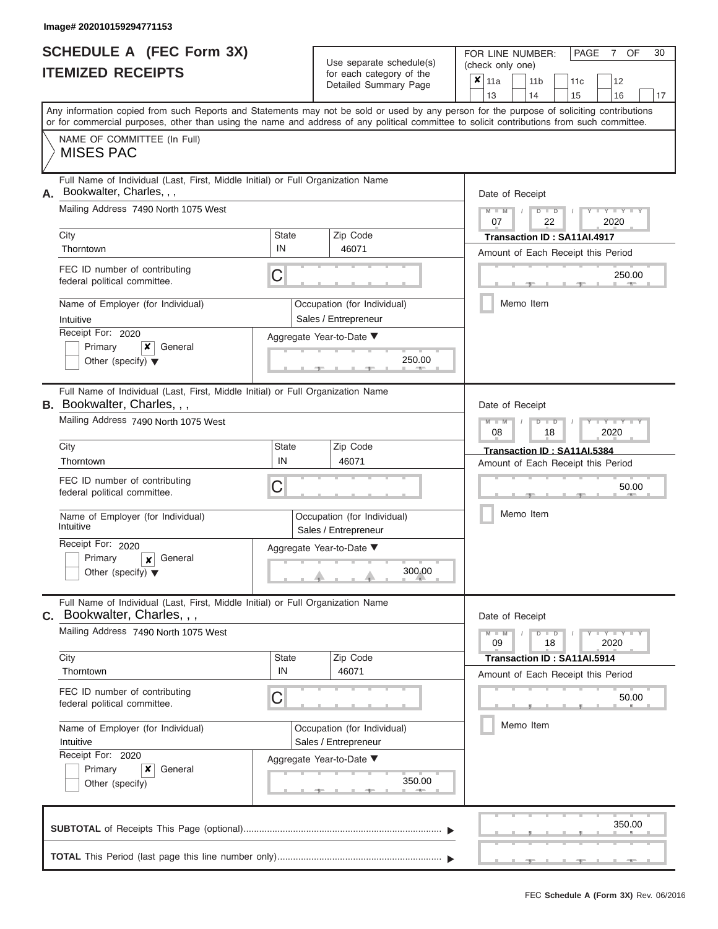|                          | <b>SCHEDULE A (FEC Form 3X)</b> |
|--------------------------|---------------------------------|
| <b>ITEMIZED RECEIPTS</b> |                                 |

| SCHEDULE A (FEC Form 3X)<br><b>ITEMIZED RECEIPTS</b>                                                                                                                                                                                                                                                                                                                                                         |                         | Use separate schedule(s)<br>for each category of the<br>Detailed Summary Page                                  | 30<br>FOR LINE NUMBER:<br>PAGE<br>OF<br>7<br>(check only one)<br>$\overline{\mathbf{x}}$   11a<br>11 <sub>b</sub><br>11c<br>12<br>13<br>14                                                      |
|--------------------------------------------------------------------------------------------------------------------------------------------------------------------------------------------------------------------------------------------------------------------------------------------------------------------------------------------------------------------------------------------------------------|-------------------------|----------------------------------------------------------------------------------------------------------------|-------------------------------------------------------------------------------------------------------------------------------------------------------------------------------------------------|
| or for commercial purposes, other than using the name and address of any political committee to solicit contributions from such committee.<br>NAME OF COMMITTEE (In Full)<br><b>MISES PAC</b>                                                                                                                                                                                                                |                         |                                                                                                                | 15<br>16<br>17<br>Any information copied from such Reports and Statements may not be sold or used by any person for the purpose of soliciting contributions                                     |
| Full Name of Individual (Last, First, Middle Initial) or Full Organization Name<br>Bookwalter, Charles, , ,<br>А.<br>Mailing Address 7490 North 1075 West<br>City<br>Thorntown<br>FEC ID number of contributing<br>federal political committee.<br>Name of Employer (for Individual)<br>Intuitive<br>Receipt For: 2020<br>Primary<br>×<br>General<br>Other (specify) $\blacktriangledown$                    | <b>State</b><br>IN<br>C | Zip Code<br>46071<br>Occupation (for Individual)<br>Sales / Entrepreneur<br>Aggregate Year-to-Date ▼<br>250.00 | Date of Receipt<br>$M - M$<br>$D$ $D$<br>$Y - Y$<br>$\sqrt{ }$<br>07<br>22<br>2020<br>Transaction ID: SA11AI.4917<br>Amount of Each Receipt this Period<br>250.00<br><b>AND IN</b><br>Memo Item |
| Full Name of Individual (Last, First, Middle Initial) or Full Organization Name<br><b>B.</b> Bookwalter, Charles, , ,<br>Mailing Address 7490 North 1075 West<br>City<br>Thorntown<br>FEC ID number of contributing<br>federal political committee.<br>Name of Employer (for Individual)<br>Intuitive<br>Receipt For: 2020<br>Primary<br>General<br>$\boldsymbol{x}$<br>Other (specify) $\blacktriangledown$ | State<br>IN<br>С        | Zip Code<br>46071<br>Occupation (for Individual)<br>Sales / Entrepreneur<br>Aggregate Year-to-Date ▼<br>300.00 | Date of Receipt<br>$M - M$<br>$D$ $\Box$ $D$<br>$Y - Y$<br>08<br>2020<br>18<br>Transaction ID: SA11AI.5384<br>Amount of Each Receipt this Period<br>50.00<br>Memo Item                          |
| Full Name of Individual (Last, First, Middle Initial) or Full Organization Name<br>C. Bookwalter, Charles, , ,<br>Mailing Address 7490 North 1075 West<br>City<br>Thorntown<br>FEC ID number of contributing<br>federal political committee.<br>Name of Employer (for Individual)<br>Intuitive<br>Receipt For: 2020<br>×<br>Primary<br>General<br>Other (specify)                                            | State<br>IN<br>С        | Zip Code<br>46071<br>Occupation (for Individual)<br>Sales / Entrepreneur<br>Aggregate Year-to-Date ▼<br>350.00 | Date of Receipt<br>$M - M$<br>$D$ $D$<br>$T - Y = Y - T Y$<br>18<br>2020<br>09<br>Transaction ID: SA11AI.5914<br>Amount of Each Receipt this Period<br>50.00<br>Memo Item                       |
|                                                                                                                                                                                                                                                                                                                                                                                                              |                         |                                                                                                                | 350.00                                                                                                                                                                                          |
|                                                                                                                                                                                                                                                                                                                                                                                                              |                         |                                                                                                                |                                                                                                                                                                                                 |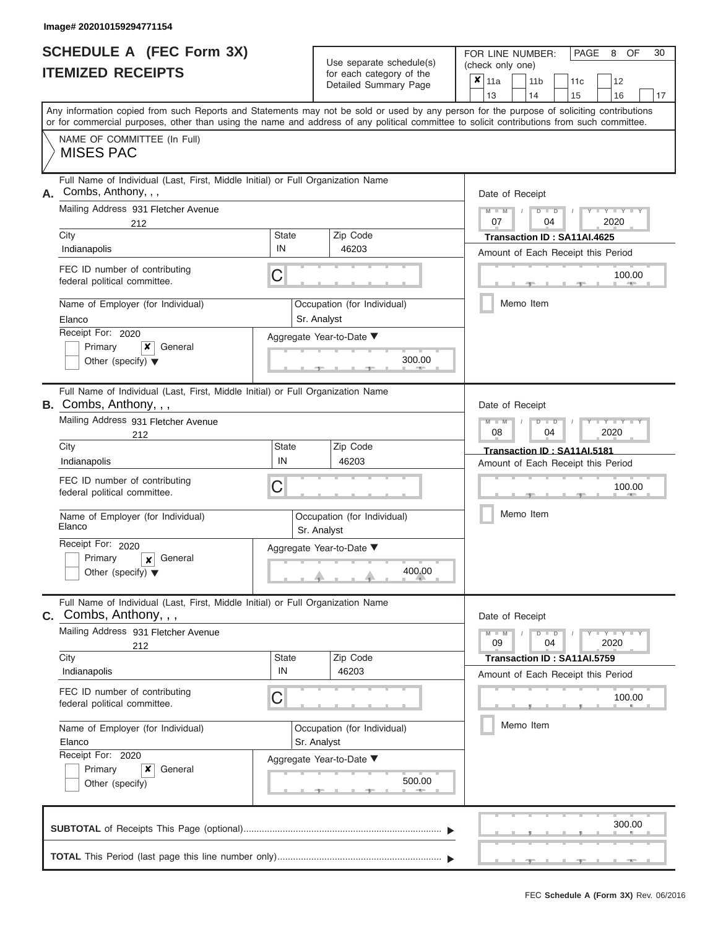# **SCHEDULE A (FEC Form 3X)**

| <b>SCHEDULE A (FEC Form 3X)</b>                                                                                                                                                                                                                                                                                                                                                                        | Use separate schedule(s)                                                                                                  | PAGE<br>OF<br>30<br>FOR LINE NUMBER:<br>8<br>(check only one)                                                                                                                |  |  |  |
|--------------------------------------------------------------------------------------------------------------------------------------------------------------------------------------------------------------------------------------------------------------------------------------------------------------------------------------------------------------------------------------------------------|---------------------------------------------------------------------------------------------------------------------------|------------------------------------------------------------------------------------------------------------------------------------------------------------------------------|--|--|--|
| <b>ITEMIZED RECEIPTS</b>                                                                                                                                                                                                                                                                                                                                                                               | for each category of the<br>Detailed Summary Page                                                                         | $\overline{\mathbf{x}}$   11a<br>11 <sub>b</sub><br>11 <sub>c</sub><br>12<br>13<br>14<br>17<br>15<br>16                                                                      |  |  |  |
| Any information copied from such Reports and Statements may not be sold or used by any person for the purpose of soliciting contributions<br>or for commercial purposes, other than using the name and address of any political committee to solicit contributions from such committee.<br>NAME OF COMMITTEE (In Full)<br><b>MISES PAC</b>                                                             |                                                                                                                           |                                                                                                                                                                              |  |  |  |
| Full Name of Individual (Last, First, Middle Initial) or Full Organization Name<br>Combs, Anthony, , ,<br>А.<br>Mailing Address 931 Fletcher Avenue<br>212<br>City<br>Indianapolis<br>FEC ID number of contributing<br>federal political committee.<br>Name of Employer (for Individual)<br>Elanco<br>Receipt For: 2020<br>Primary<br>General<br>x<br>Other (specify) $\blacktriangledown$             | Zip Code<br>State<br>IN<br>46203<br>С<br>Occupation (for Individual)<br>Sr. Analyst<br>Aggregate Year-to-Date ▼<br>300.00 | Date of Receipt<br>$M - M$<br>$+Y+Y+Y$<br>$D$ $D$<br>07<br>2020<br>04<br>Transaction ID: SA11AI.4625<br>Amount of Each Receipt this Period<br>100.00<br>Memo Item            |  |  |  |
| Full Name of Individual (Last, First, Middle Initial) or Full Organization Name<br>B. Combs, Anthony, , ,<br>Mailing Address 931 Fletcher Avenue<br>212<br>City<br>Indianapolis<br>FEC ID number of contributing<br>federal political committee.<br>Name of Employer (for Individual)<br>Elanco<br>Receipt For: 2020<br>Primary<br>General<br>$\boldsymbol{x}$<br>Other (specify) $\blacktriangledown$ | Zip Code<br>State<br>IN<br>46203<br>С<br>Occupation (for Individual)<br>Sr. Analyst<br>Aggregate Year-to-Date ▼<br>400.00 | Date of Receipt<br>$M - M$<br>Y TYT<br>$D$ $D$<br>08<br>04<br>2020<br>Transaction ID: SA11AI.5181<br>Amount of Each Receipt this Period<br>100.00<br>Memo Item               |  |  |  |
| Full Name of Individual (Last, First, Middle Initial) or Full Organization Name<br>C. Combs, Anthony, , ,<br>Mailing Address 931 Fletcher Avenue<br>212<br>City<br>Indianapolis<br>FEC ID number of contributing<br>federal political committee.<br>Name of Employer (for Individual)<br>Elanco<br>Receipt For: 2020<br>Primary<br>x<br>General<br>Other (specify)                                     | State<br>Zip Code<br>IN<br>46203<br>С<br>Occupation (for Individual)<br>Sr. Analyst<br>Aggregate Year-to-Date ▼<br>500.00 | Date of Receipt<br>$M - M$<br>$D$ $D$<br>$Y - Y - Y - Y - Y$<br>09<br>04<br>2020<br>Transaction ID: SA11AI.5759<br>Amount of Each Receipt this Period<br>100.00<br>Memo Item |  |  |  |
|                                                                                                                                                                                                                                                                                                                                                                                                        |                                                                                                                           | 300.00                                                                                                                                                                       |  |  |  |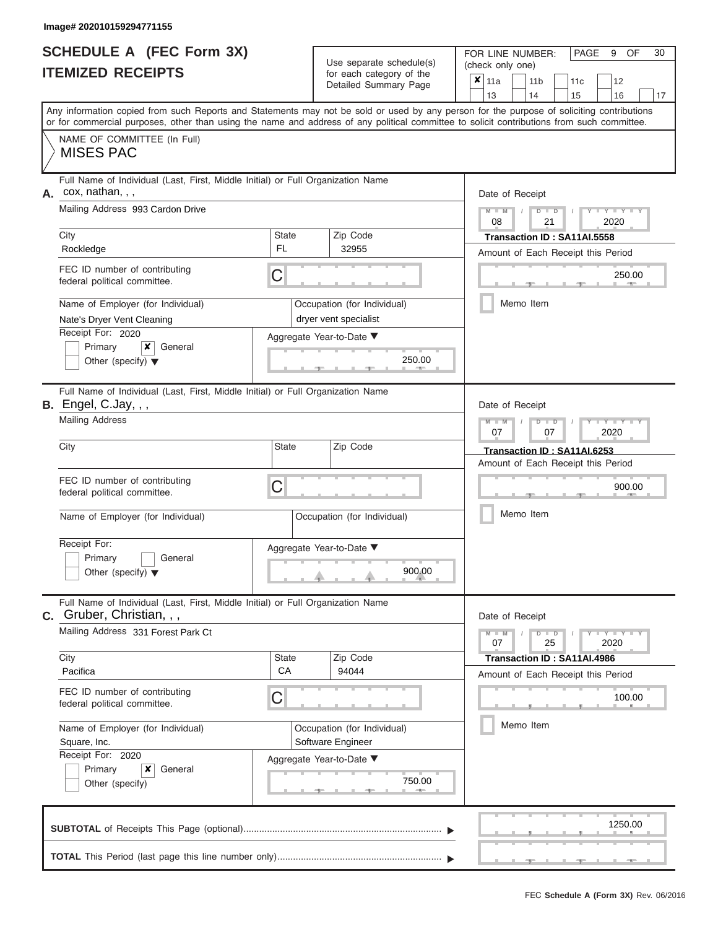|                          | <b>SCHEDULE A (FEC Form 3X)</b> |
|--------------------------|---------------------------------|
| <b>ITEMIZED RECEIPTS</b> |                                 |

Use separate schedule(s)

FOR LINE NUMBER: PAGE<br>
(check only one)

9 OF 30

|    | IIEMIZEU REUEIPIJ                                                                                                                                                                                                                                                                       |                                                                                                     | for each category of the<br>Detailed Summary Page    | ×<br>11a<br>13                                                    | 11 <sub>b</sub><br>11c<br>14<br>15                     | 12<br>16                      | 17 |  |  |
|----|-----------------------------------------------------------------------------------------------------------------------------------------------------------------------------------------------------------------------------------------------------------------------------------------|-----------------------------------------------------------------------------------------------------|------------------------------------------------------|-------------------------------------------------------------------|--------------------------------------------------------|-------------------------------|----|--|--|
|    | Any information copied from such Reports and Statements may not be sold or used by any person for the purpose of soliciting contributions<br>or for commercial purposes, other than using the name and address of any political committee to solicit contributions from such committee. |                                                                                                     |                                                      |                                                                   |                                                        |                               |    |  |  |
|    | NAME OF COMMITTEE (In Full)<br><b>MISES PAC</b>                                                                                                                                                                                                                                         |                                                                                                     |                                                      |                                                                   |                                                        |                               |    |  |  |
| А. | Full Name of Individual (Last, First, Middle Initial) or Full Organization Name<br>cox, nathan, , ,<br>Mailing Address 993 Cardon Drive                                                                                                                                                 |                                                                                                     |                                                      |                                                                   | Date of Receipt<br>$M - M$<br>$Y - Y - Y$<br>$D$ $D$   |                               |    |  |  |
|    | City                                                                                                                                                                                                                                                                                    | <b>State</b>                                                                                        | Zip Code                                             | 2020<br>08<br>21<br>Transaction ID: SA11AI.5558                   |                                                        |                               |    |  |  |
|    | FL<br>Rockledge                                                                                                                                                                                                                                                                         |                                                                                                     | 32955                                                | Amount of Each Receipt this Period                                |                                                        |                               |    |  |  |
|    | FEC ID number of contributing<br>federal political committee.                                                                                                                                                                                                                           | C                                                                                                   |                                                      |                                                                   | 250.00                                                 |                               |    |  |  |
|    | Name of Employer (for Individual)<br>Nate's Dryer Vent Cleaning                                                                                                                                                                                                                         |                                                                                                     | Occupation (for Individual)<br>dryer vent specialist | Memo Item                                                         |                                                        |                               |    |  |  |
|    | Receipt For: 2020<br>Primary<br>x<br>General<br>Other (specify) $\blacktriangledown$                                                                                                                                                                                                    | Aggregate Year-to-Date ▼<br>250.00                                                                  |                                                      |                                                                   |                                                        |                               |    |  |  |
|    | Full Name of Individual (Last, First, Middle Initial) or Full Organization Name<br><b>B.</b> Engel, C.Jay, , ,                                                                                                                                                                          |                                                                                                     |                                                      | Date of Receipt                                                   |                                                        |                               |    |  |  |
|    | <b>Mailing Address</b>                                                                                                                                                                                                                                                                  |                                                                                                     |                                                      |                                                                   | $M - M$<br>Y TYT<br>$D$ $\Box$ $D$<br>2020<br>07<br>07 |                               |    |  |  |
|    | City                                                                                                                                                                                                                                                                                    | State                                                                                               | Zip Code                                             | Transaction ID: SA11AI.6253<br>Amount of Each Receipt this Period |                                                        |                               |    |  |  |
|    | FEC ID number of contributing<br>federal political committee.                                                                                                                                                                                                                           | C                                                                                                   |                                                      |                                                                   |                                                        | 900.00                        |    |  |  |
|    | Name of Employer (for Individual)                                                                                                                                                                                                                                                       |                                                                                                     | Occupation (for Individual)                          | Memo Item                                                         |                                                        |                               |    |  |  |
|    | Receipt For:<br>Primary<br>General<br>Other (specify) $\blacktriangledown$                                                                                                                                                                                                              | Aggregate Year-to-Date ▼<br>900.00                                                                  |                                                      |                                                                   |                                                        |                               |    |  |  |
|    | Full Name of Individual (Last, First, Middle Initial) or Full Organization Name<br>$c.$ Gruber, Christian, , ,                                                                                                                                                                          |                                                                                                     |                                                      | Date of Receipt                                                   |                                                        |                               |    |  |  |
|    | Mailing Address 331 Forest Park Ct                                                                                                                                                                                                                                                      |                                                                                                     |                                                      | $M - M$<br>07                                                     | $D$ $\Box$ $D$<br>25                                   | $Y - Y - Y - Y - Y$<br>2020   |    |  |  |
|    | City<br>Pacifica                                                                                                                                                                                                                                                                        | <b>State</b><br>CA                                                                                  | Zip Code<br>94044                                    | Amount of Each Receipt this Period                                | Transaction ID: SA11AI.4986                            |                               |    |  |  |
|    | FEC ID number of contributing<br>С<br>federal political committee.                                                                                                                                                                                                                      |                                                                                                     |                                                      |                                                                   |                                                        | 100.00<br><b>British Mars</b> |    |  |  |
|    | Name of Employer (for Individual)<br>Square, Inc.                                                                                                                                                                                                                                       | Occupation (for Individual)<br>Software Engineer<br>Aggregate Year-to-Date ▼<br>750.00<br>$1 - 400$ |                                                      |                                                                   | Memo Item                                              |                               |    |  |  |
|    | Receipt For: 2020<br>x<br>Primary<br>General<br>Other (specify)                                                                                                                                                                                                                         |                                                                                                     |                                                      |                                                                   |                                                        |                               |    |  |  |
|    |                                                                                                                                                                                                                                                                                         |                                                                                                     |                                                      |                                                                   |                                                        | 1250.00                       |    |  |  |
|    |                                                                                                                                                                                                                                                                                         |                                                                                                     |                                                      |                                                                   |                                                        |                               |    |  |  |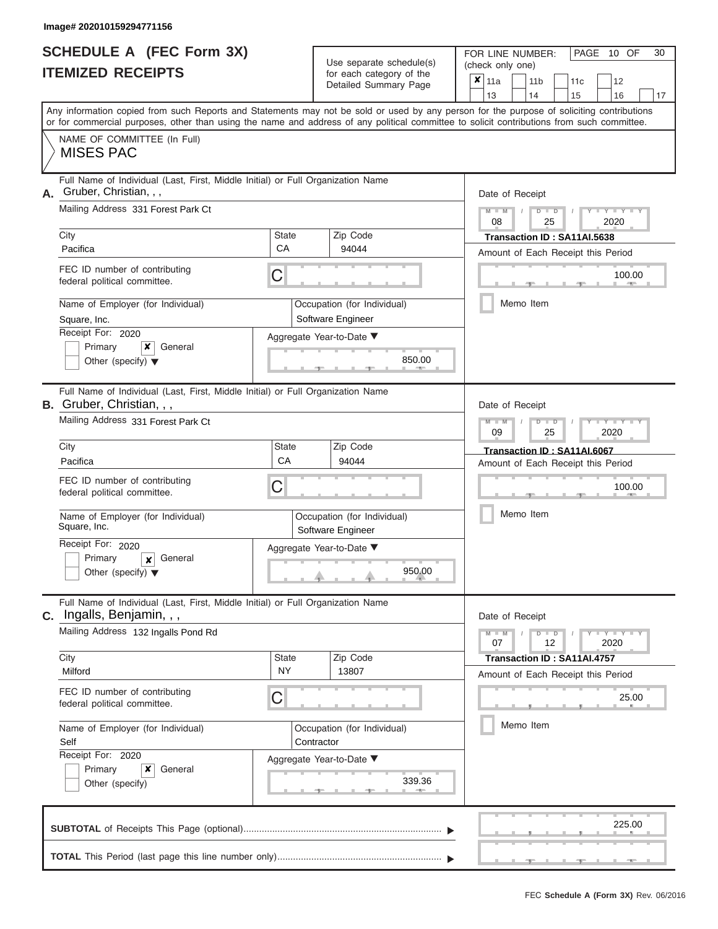|                          | <b>SCHEDULE A (FEC Form 3X)</b> |
|--------------------------|---------------------------------|
| <b>ITEMIZED RECEIPTS</b> |                                 |

| SCHEDULE A (FEC Form 3X)<br><b>ITEMIZED RECEIPTS</b>                                                                                                                                                                                                                                                                                                                                        |                         | Use separate schedule(s)<br>for each category of the<br>Detailed Summary Page                               | 30<br>FOR LINE NUMBER:<br>PAGE<br>10 OF<br>(check only one)<br>$x \mid$<br>11a<br>11 <sub>b</sub><br>11c<br>12<br>13<br>14                                                        |
|---------------------------------------------------------------------------------------------------------------------------------------------------------------------------------------------------------------------------------------------------------------------------------------------------------------------------------------------------------------------------------------------|-------------------------|-------------------------------------------------------------------------------------------------------------|-----------------------------------------------------------------------------------------------------------------------------------------------------------------------------------|
| Any information copied from such Reports and Statements may not be sold or used by any person for the purpose of soliciting contributions<br>or for commercial purposes, other than using the name and address of any political committee to solicit contributions from such committee.<br>NAME OF COMMITTEE (In Full)<br><b>MISES PAC</b>                                                  |                         |                                                                                                             | 15<br>16<br>17                                                                                                                                                                    |
| Full Name of Individual (Last, First, Middle Initial) or Full Organization Name<br>Gruber, Christian, , ,<br>А.<br>Mailing Address 331 Forest Park Ct<br>City<br>Pacifica<br>FEC ID number of contributing<br>federal political committee.<br>Name of Employer (for Individual)<br>Square, Inc.<br>Receipt For: 2020<br>Primary<br>×<br>General<br>Other (specify) $\blacktriangledown$     | State<br><b>CA</b><br>С | Zip Code<br>94044<br>Occupation (for Individual)<br>Software Engineer<br>Aggregate Year-to-Date ▼<br>850.00 | Date of Receipt<br>$M - M$<br>$D$ $D$<br>$Y - Y$<br>08<br>25<br>2020<br>Transaction ID: SA11AI.5638<br>Amount of Each Receipt this Period<br>100.00<br><b>AND IN</b><br>Memo Item |
| Full Name of Individual (Last, First, Middle Initial) or Full Organization Name<br><b>B.</b> Gruber, Christian, , ,<br>Mailing Address 331 Forest Park Ct<br>City<br>Pacifica<br>FEC ID number of contributing<br>federal political committee.<br>Name of Employer (for Individual)<br>Square, Inc.<br>Receipt For: 2020<br>Primary<br>General<br>X<br>Other (specify) $\blacktriangledown$ | State<br>CA<br>С        | Zip Code<br>94044<br>Occupation (for Individual)<br>Software Engineer<br>Aggregate Year-to-Date ▼<br>950.00 | Date of Receipt<br>$M - M$<br>$D$ $\Box$ $D$<br>Y Y<br>09<br>2020<br>25<br>Transaction ID: SA11AI.6067<br>Amount of Each Receipt this Period<br>100.00<br>Memo Item               |
| Full Name of Individual (Last, First, Middle Initial) or Full Organization Name<br>Ingalls, Benjamin, , ,<br>С.<br>Mailing Address 132 Ingalls Pond Rd<br>City<br>Milford<br>FEC ID number of contributing<br>federal political committee.<br>Name of Employer (for Individual)<br>Self<br>Receipt For: 2020<br>×<br>Primary<br>General<br>Other (specify)                                  | State<br><b>NY</b><br>С | Zip Code<br>13807<br>Occupation (for Individual)<br>Contractor<br>Aggregate Year-to-Date ▼<br>339.36        | Date of Receipt<br>$M - M$<br>$D$ $D$<br>$T-T$ $T$ $T$ $T$ $T$ $T$<br>07<br>12<br>2020<br>Transaction ID: SA11AI.4757<br>Amount of Each Receipt this Period<br>25.00<br>Memo Item |
|                                                                                                                                                                                                                                                                                                                                                                                             |                         |                                                                                                             | 225.00                                                                                                                                                                            |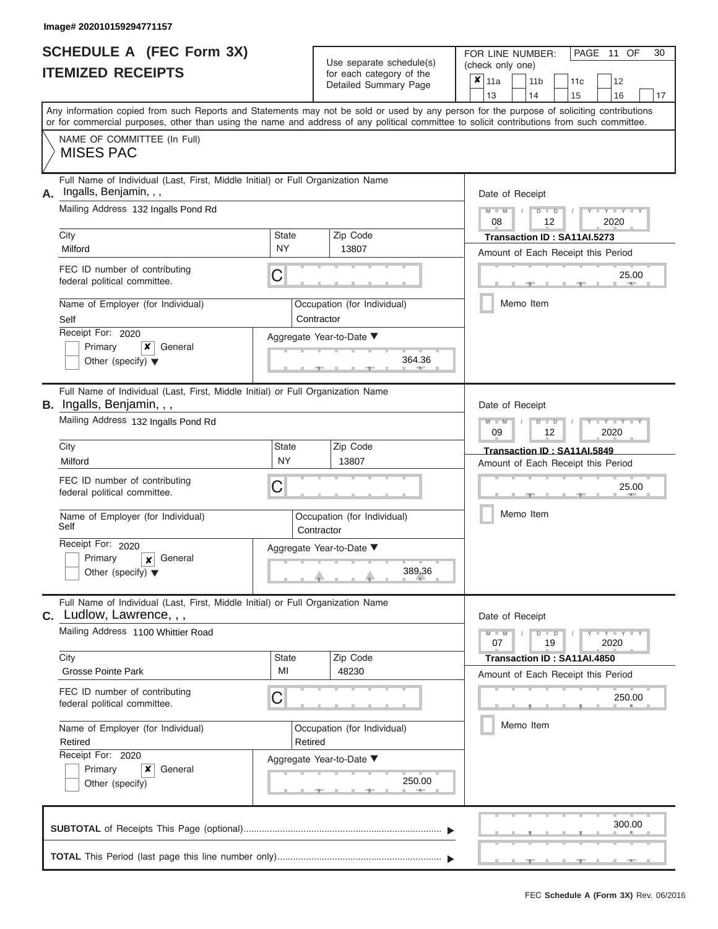|                          | SCHEDULE A (FEC Form 3X) |
|--------------------------|--------------------------|
| <b>ITEMIZED RECEIPTS</b> |                          |

Use separate schedule(s)<br>for each category of the

FOR LINE NUMBER:

PAGE 11 OF 30

|                                                                                                                     |                                                                             | Use separate schedule(s)                           | (check only one)                                                                                                                                                                                                                                                                        |  |  |  |  |
|---------------------------------------------------------------------------------------------------------------------|-----------------------------------------------------------------------------|----------------------------------------------------|-----------------------------------------------------------------------------------------------------------------------------------------------------------------------------------------------------------------------------------------------------------------------------------------|--|--|--|--|
| <b>ITEMIZED RECEIPTS</b>                                                                                            |                                                                             | for each category of the<br>Detailed Summary Page  | $\overline{\mathbf{x}}$   11a<br>11 <sub>b</sub><br>11c<br>12<br>13<br>14<br>15<br>16<br>17                                                                                                                                                                                             |  |  |  |  |
|                                                                                                                     |                                                                             |                                                    | Any information copied from such Reports and Statements may not be sold or used by any person for the purpose of soliciting contributions<br>or for commercial purposes, other than using the name and address of any political committee to solicit contributions from such committee. |  |  |  |  |
| NAME OF COMMITTEE (In Full)<br><b>MISES PAC</b>                                                                     |                                                                             |                                                    |                                                                                                                                                                                                                                                                                         |  |  |  |  |
| Full Name of Individual (Last, First, Middle Initial) or Full Organization Name<br>Ingalls, Benjamin, , ,<br>Α.     |                                                                             |                                                    | Date of Receipt                                                                                                                                                                                                                                                                         |  |  |  |  |
| Mailing Address 132 Ingalls Pond Rd                                                                                 |                                                                             |                                                    | $M - M$<br>$T - Y = Y - T Y$<br>$D$ $D$<br>08<br>12<br>2020                                                                                                                                                                                                                             |  |  |  |  |
| City<br>Milford                                                                                                     | State<br><b>NY</b>                                                          | Zip Code<br>13807                                  | Transaction ID: SA11AI.5273<br>Amount of Each Receipt this Period                                                                                                                                                                                                                       |  |  |  |  |
| FEC ID number of contributing<br>federal political committee.                                                       | С                                                                           |                                                    | 25.00                                                                                                                                                                                                                                                                                   |  |  |  |  |
| Name of Employer (for Individual)<br>Self                                                                           |                                                                             | Occupation (for Individual)<br>Contractor          | Memo Item                                                                                                                                                                                                                                                                               |  |  |  |  |
| Receipt For: 2020<br>Primary<br>General<br>x<br>Other (specify) $\blacktriangledown$                                |                                                                             | Aggregate Year-to-Date ▼<br>364.36                 |                                                                                                                                                                                                                                                                                         |  |  |  |  |
| Full Name of Individual (Last, First, Middle Initial) or Full Organization Name<br><b>B.</b> Ingalls, Benjamin, , , |                                                                             |                                                    | Date of Receipt                                                                                                                                                                                                                                                                         |  |  |  |  |
| Mailing Address 132 Ingalls Pond Rd                                                                                 |                                                                             |                                                    | $M - M$<br>$T - Y = T - Y = T - Y$<br>$D$ $D$<br>09<br>12<br>2020                                                                                                                                                                                                                       |  |  |  |  |
| City<br>Milford                                                                                                     | State<br>NY                                                                 | Zip Code<br>13807                                  | Transaction ID: SA11AI.5849<br>Amount of Each Receipt this Period                                                                                                                                                                                                                       |  |  |  |  |
| FEC ID number of contributing<br>federal political committee.                                                       | С                                                                           |                                                    | 25.00                                                                                                                                                                                                                                                                                   |  |  |  |  |
| Name of Employer (for Individual)<br>Self                                                                           |                                                                             | Occupation (for Individual)<br>Contractor          | Memo Item                                                                                                                                                                                                                                                                               |  |  |  |  |
| Receipt For: 2020<br>Primary<br>General<br>x<br>Other (specify) $\blacktriangledown$                                |                                                                             | Aggregate Year-to-Date ▼<br>389.36                 |                                                                                                                                                                                                                                                                                         |  |  |  |  |
| Full Name of Individual (Last, First, Middle Initial) or Full Organization Name<br>C. Ludlow, Lawrence, , ,         |                                                                             |                                                    | Date of Receipt                                                                                                                                                                                                                                                                         |  |  |  |  |
| Mailing Address 1100 Whittier Road                                                                                  | $Y - Y - Y - Y - Y$<br>$M - M$<br>$D$ $D$<br>$\sqrt{ }$<br>07<br>19<br>2020 |                                                    |                                                                                                                                                                                                                                                                                         |  |  |  |  |
| City<br><b>Grosse Pointe Park</b>                                                                                   | State<br>MI                                                                 | Zip Code<br>48230                                  | Transaction ID: SA11AI.4850<br>Amount of Each Receipt this Period                                                                                                                                                                                                                       |  |  |  |  |
| FEC ID number of contributing<br>federal political committee.                                                       | С                                                                           |                                                    | 250.00                                                                                                                                                                                                                                                                                  |  |  |  |  |
| Name of Employer (for Individual)<br>Retired                                                                        | Occupation (for Individual)<br>Retired                                      |                                                    | Memo Item                                                                                                                                                                                                                                                                               |  |  |  |  |
| Receipt For: 2020<br>Primary<br>x<br>General<br>Other (specify)                                                     |                                                                             | Aggregate Year-to-Date ▼<br>250.00<br><b>STATE</b> |                                                                                                                                                                                                                                                                                         |  |  |  |  |
|                                                                                                                     |                                                                             |                                                    | 300.00                                                                                                                                                                                                                                                                                  |  |  |  |  |
|                                                                                                                     |                                                                             |                                                    |                                                                                                                                                                                                                                                                                         |  |  |  |  |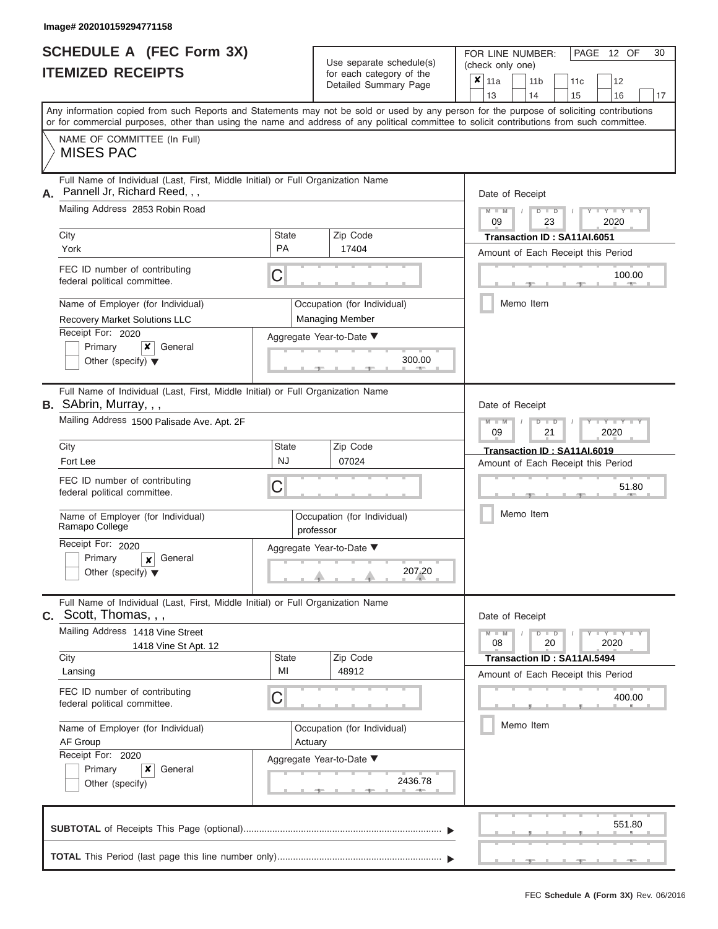|                          | <b>SCHEDULE A (FEC Form 3X)</b> |
|--------------------------|---------------------------------|
| <b>ITEMIZED RECEIPTS</b> |                                 |

| SCHEDULE A (FEC Form 3X)<br><b>ITEMIZED RECEIPTS</b>                                                                                                                                                                                                                                                                                                                                                            | Use separate schedule(s)<br>for each category of the<br>Detailed Summary Page                                                        | 30<br>FOR LINE NUMBER:<br>PAGE 12 OF<br>(check only one)<br>$\overline{\mathbf{x}}$   11a<br>11 <sub>b</sub><br>11c<br>12<br>13<br>14<br>15<br>16<br>17                                             |
|-----------------------------------------------------------------------------------------------------------------------------------------------------------------------------------------------------------------------------------------------------------------------------------------------------------------------------------------------------------------------------------------------------------------|--------------------------------------------------------------------------------------------------------------------------------------|-----------------------------------------------------------------------------------------------------------------------------------------------------------------------------------------------------|
| Any information copied from such Reports and Statements may not be sold or used by any person for the purpose of soliciting contributions<br>or for commercial purposes, other than using the name and address of any political committee to solicit contributions from such committee.<br>NAME OF COMMITTEE (In Full)<br><b>MISES PAC</b>                                                                      |                                                                                                                                      |                                                                                                                                                                                                     |
| Full Name of Individual (Last, First, Middle Initial) or Full Organization Name<br>Pannell Jr, Richard Reed, , ,<br>А.<br>Mailing Address 2853 Robin Road<br>City<br>York<br>FEC ID number of contributing<br>federal political committee.<br>Name of Employer (for Individual)<br><b>Recovery Market Solutions LLC</b><br>Receipt For: 2020<br>General<br>Primary<br>×<br>Other (specify) $\blacktriangledown$ | Zip Code<br>State<br><b>PA</b><br>17404<br>C<br>Occupation (for Individual)<br>Managing Member<br>Aggregate Year-to-Date ▼<br>300.00 | Date of Receipt<br>$M - M$<br>$D$ $D$<br>$Y - Y$<br>$\sqrt{2}$<br>09<br>23<br>2020<br>Transaction ID: SA11AI.6051<br>Amount of Each Receipt this Period<br>100.00<br><b>CONTRACTOR</b><br>Memo Item |
| Full Name of Individual (Last, First, Middle Initial) or Full Organization Name<br>B. SAbrin, Murray, , ,<br>Mailing Address 1500 Palisade Ave. Apt. 2F<br>City<br>Fort Lee<br>FEC ID number of contributing<br>federal political committee.<br>Name of Employer (for Individual)<br>Ramapo College<br>Receipt For: 2020<br>Primary<br>General<br>$\boldsymbol{x}$<br>Other (specify) $\blacktriangledown$      | Zip Code<br>State<br><b>NJ</b><br>07024<br>С<br>Occupation (for Individual)<br>professor<br>Aggregate Year-to-Date ▼<br>207.20       | Date of Receipt<br>$M - M$<br>$D$ $\Box$ $D$<br>$Y - Y$<br>09<br>21<br>2020<br>Transaction ID: SA11AI.6019<br>Amount of Each Receipt this Period<br>51.80<br>Memo Item                              |
| Full Name of Individual (Last, First, Middle Initial) or Full Organization Name<br>$c.$ Scott, Thomas, , ,<br>Mailing Address 1418 Vine Street<br>1418 Vine St Apt. 12<br>City<br>Lansing<br>FEC ID number of contributing<br>federal political committee.<br>Name of Employer (for Individual)<br>AF Group<br>Receipt For: 2020<br>Primary<br>×<br>General<br>Other (specify)                                  | Zip Code<br>State<br>MI<br>48912<br>С<br>Occupation (for Individual)<br>Actuary<br>Aggregate Year-to-Date ▼<br>2436.78               | Date of Receipt<br>$M - M$<br>$D$ $D$<br>$T - Y = Y - T Y$<br>20<br>2020<br>08<br>Transaction ID: SA11AI.5494<br>Amount of Each Receipt this Period<br>400.00<br>Memo Item                          |
|                                                                                                                                                                                                                                                                                                                                                                                                                 |                                                                                                                                      | 551.80                                                                                                                                                                                              |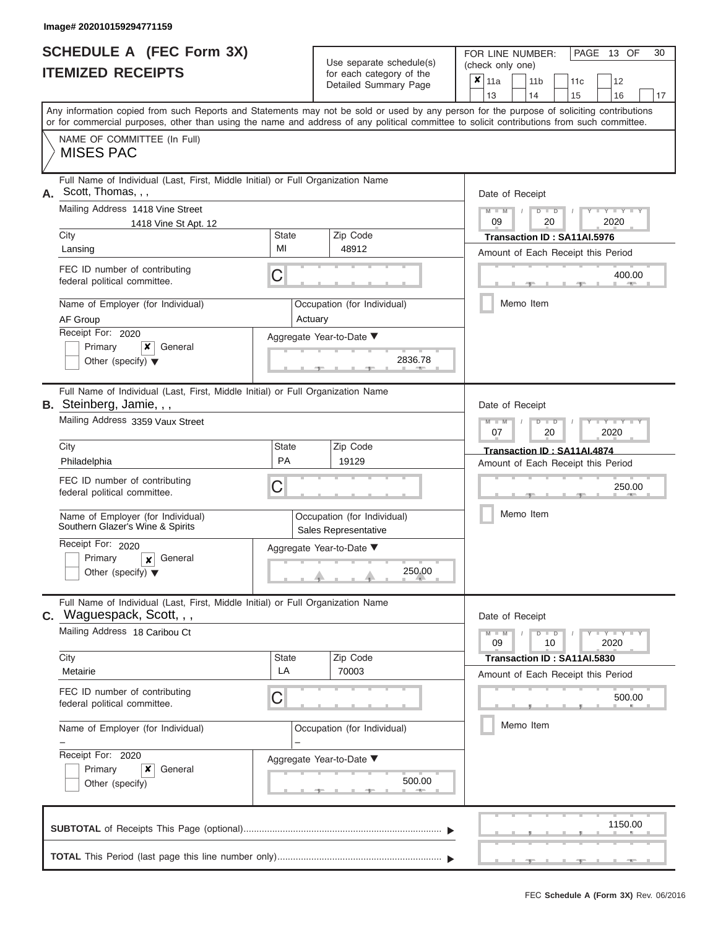# **SCHEDULE A (FEC Form 3X)**

|    | <b>SCHEDULE A (FEC Form 3X)</b><br><b>ITEMIZED RECEIPTS</b>                                                                                                                                                                                                                             |                             | Use separate schedule(s)<br>for each category of the | (check only one)<br>× | FOR LINE NUMBER:                  | PAGE 13 OF<br>30                        |
|----|-----------------------------------------------------------------------------------------------------------------------------------------------------------------------------------------------------------------------------------------------------------------------------------------|-----------------------------|------------------------------------------------------|-----------------------|-----------------------------------|-----------------------------------------|
|    |                                                                                                                                                                                                                                                                                         |                             | Detailed Summary Page                                | 11a<br>13             | 11 <sub>b</sub><br>14             | 11 <sub>c</sub><br>12<br>15<br>17<br>16 |
|    | Any information copied from such Reports and Statements may not be sold or used by any person for the purpose of soliciting contributions<br>or for commercial purposes, other than using the name and address of any political committee to solicit contributions from such committee. |                             |                                                      |                       |                                   |                                         |
|    | NAME OF COMMITTEE (In Full)<br><b>MISES PAC</b>                                                                                                                                                                                                                                         |                             |                                                      |                       |                                   |                                         |
| А. | Full Name of Individual (Last, First, Middle Initial) or Full Organization Name<br>Scott, Thomas, , ,<br>Mailing Address 1418 Vine Street                                                                                                                                               |                             |                                                      | $M - M$               | Date of Receipt<br>$D$ $D$        | $Y - Y - Y$                             |
|    | 1418 Vine St Apt. 12<br>City                                                                                                                                                                                                                                                            | State                       | Zip Code                                             | 09                    | 20<br>Transaction ID: SA11AI.5976 | 2020                                    |
|    | Lansing                                                                                                                                                                                                                                                                                 | MI                          | 48912                                                |                       |                                   | Amount of Each Receipt this Period      |
|    | FEC ID number of contributing<br>federal political committee.                                                                                                                                                                                                                           | С                           |                                                      |                       |                                   | 400.00                                  |
|    | Name of Employer (for Individual)<br>AF Group                                                                                                                                                                                                                                           | Actuary                     | Occupation (for Individual)                          |                       | Memo Item                         |                                         |
|    | Receipt For: 2020<br>Primary<br>x<br>General<br>Other (specify) $\blacktriangledown$                                                                                                                                                                                                    |                             | Aggregate Year-to-Date ▼<br>2836.78                  |                       |                                   |                                         |
|    | Full Name of Individual (Last, First, Middle Initial) or Full Organization Name<br>B. Steinberg, Jamie, , ,                                                                                                                                                                             |                             |                                                      |                       | Date of Receipt                   |                                         |
|    | Mailing Address 3359 Vaux Street                                                                                                                                                                                                                                                        |                             |                                                      |                       |                                   | Y I Y I Y<br>2020                       |
|    | City                                                                                                                                                                                                                                                                                    | State                       | Zip Code                                             |                       | Transaction ID: SA11AI.4874       |                                         |
|    | Philadelphia                                                                                                                                                                                                                                                                            | PA                          | 19129                                                |                       |                                   | Amount of Each Receipt this Period      |
|    | FEC ID number of contributing<br>federal political committee.                                                                                                                                                                                                                           | С                           |                                                      |                       |                                   | 250.00                                  |
|    | Name of Employer (for Individual)<br>Southern Glazer's Wine & Spirits                                                                                                                                                                                                                   |                             | Occupation (for Individual)<br>Sales Representative  |                       | Memo Item                         |                                         |
|    | Receipt For: 2020                                                                                                                                                                                                                                                                       |                             | Aggregate Year-to-Date ▼                             |                       |                                   |                                         |
|    | Primary<br>General<br>$\boldsymbol{\mathsf{x}}$<br>Other (specify) $\blacktriangledown$                                                                                                                                                                                                 |                             | 250.00                                               |                       |                                   |                                         |
|    | Full Name of Individual (Last, First, Middle Initial) or Full Organization Name<br><b>C.</b> Waguespack, Scott, , ,                                                                                                                                                                     |                             |                                                      |                       | Date of Receipt                   |                                         |
|    | Mailing Address 18 Caribou Ct                                                                                                                                                                                                                                                           |                             |                                                      |                       | $M - M$<br>$D$ $D$<br>10          | $  Y$ $  Y$ $  Y$<br>2020               |
|    | City<br>Metairie                                                                                                                                                                                                                                                                        | State<br>LA                 | Zip Code<br>70003                                    |                       | Transaction ID: SA11AI.5830       | Amount of Each Receipt this Period      |
|    | FEC ID number of contributing<br>federal political committee.                                                                                                                                                                                                                           | C                           |                                                      |                       |                                   | 500.00                                  |
|    | Name of Employer (for Individual)                                                                                                                                                                                                                                                       | Occupation (for Individual) |                                                      |                       | Memo Item                         |                                         |
|    | Receipt For: 2020<br>Primary<br>x<br>General<br>Other (specify)                                                                                                                                                                                                                         |                             | Aggregate Year-to-Date ▼<br>500.00                   |                       |                                   |                                         |
|    |                                                                                                                                                                                                                                                                                         |                             |                                                      |                       |                                   |                                         |
|    |                                                                                                                                                                                                                                                                                         |                             |                                                      |                       |                                   | 1150.00                                 |
|    |                                                                                                                                                                                                                                                                                         |                             |                                                      |                       |                                   |                                         |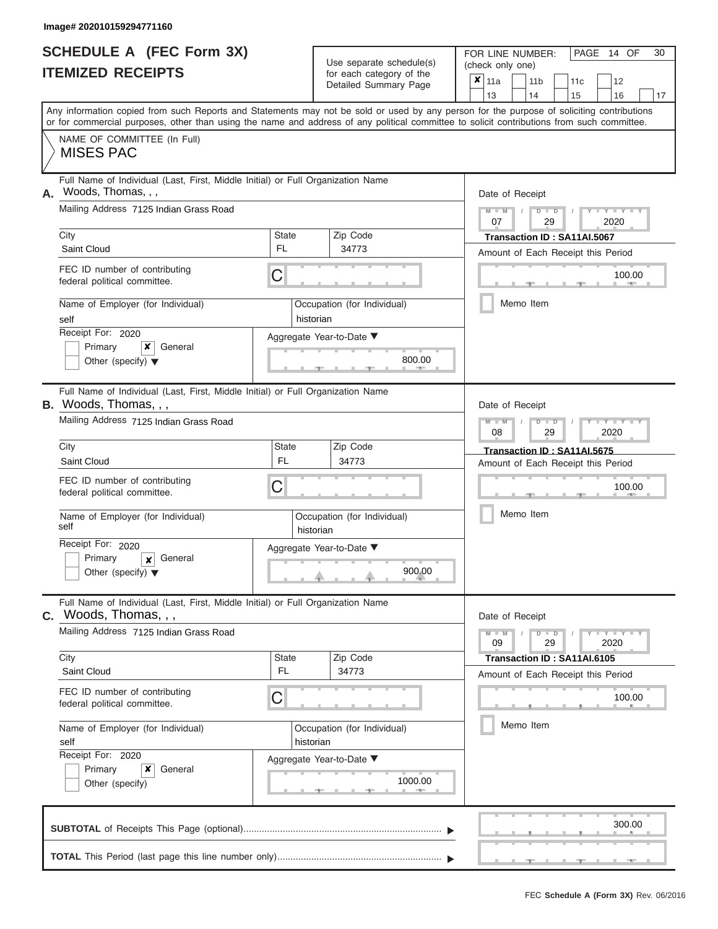|                          | <b>SCHEDULE A (FEC Form 3X)</b> |
|--------------------------|---------------------------------|
| <b>ITEMIZED RECEIPTS</b> |                                 |

Use separate schedule(s)<br>for each category of the

FOR LINE NUMBER:<br>(check only one)

PAGE 14 OF 30

| 62 REVEIL I V                                                                                                                              |                                                                                 | ivi cacii calcyory or life<br>Detailed Summary Page | x | 11a                                                                            |  | 11 <sub>b</sub>             | 11c | 12                                 |    |  |  |  |
|--------------------------------------------------------------------------------------------------------------------------------------------|---------------------------------------------------------------------------------|-----------------------------------------------------|---|--------------------------------------------------------------------------------|--|-----------------------------|-----|------------------------------------|----|--|--|--|
| Any information copied from such Reports and Statements may not be sold or used by any person for the purpose of soliciting contributions  |                                                                                 |                                                     |   | 13                                                                             |  | 14                          | 15  | 16                                 | 17 |  |  |  |
| or for commercial purposes, other than using the name and address of any political committee to solicit contributions from such committee. |                                                                                 |                                                     |   |                                                                                |  |                             |     |                                    |    |  |  |  |
| NAME OF COMMITTEE (In Full)<br><b>MISES PAC</b>                                                                                            |                                                                                 |                                                     |   |                                                                                |  |                             |     |                                    |    |  |  |  |
| Full Name of Individual (Last, First, Middle Initial) or Full Organization Name                                                            |                                                                                 |                                                     |   |                                                                                |  |                             |     |                                    |    |  |  |  |
| Woods, Thomas, , ,<br>Α.                                                                                                                   |                                                                                 |                                                     |   | Date of Receipt                                                                |  |                             |     |                                    |    |  |  |  |
| Mailing Address 7125 Indian Grass Road                                                                                                     |                                                                                 |                                                     |   | $M - M$ /<br>07                                                                |  | $D$ $D$<br>29               |     | Y TY<br>2020                       |    |  |  |  |
| City                                                                                                                                       | <b>State</b>                                                                    | Zip Code                                            |   |                                                                                |  | Transaction ID: SA11AI.5067 |     |                                    |    |  |  |  |
| Saint Cloud                                                                                                                                | FL.                                                                             | 34773                                               |   |                                                                                |  |                             |     | Amount of Each Receipt this Period |    |  |  |  |
| FEC ID number of contributing<br>federal political committee.                                                                              | C                                                                               |                                                     |   |                                                                                |  |                             |     | 100.00<br><b>AND</b>               |    |  |  |  |
| Name of Employer (for Individual)<br>self                                                                                                  |                                                                                 | Occupation (for Individual)<br>historian            |   |                                                                                |  | Memo Item                   |     |                                    |    |  |  |  |
| Receipt For: 2020                                                                                                                          |                                                                                 | Aggregate Year-to-Date ▼                            |   |                                                                                |  |                             |     |                                    |    |  |  |  |
| Primary<br>×<br>General<br>Other (specify) $\blacktriangledown$                                                                            |                                                                                 | 800.00<br><b>AND A</b>                              |   |                                                                                |  |                             |     |                                    |    |  |  |  |
| Full Name of Individual (Last, First, Middle Initial) or Full Organization Name<br>B. Woods, Thomas, , ,                                   |                                                                                 |                                                     |   | Date of Receipt                                                                |  |                             |     |                                    |    |  |  |  |
| Mailing Address 7125 Indian Grass Road                                                                                                     |                                                                                 |                                                     |   | $M - M$<br>$D$ $\Box$ $D$<br>Y TY<br>08<br>2020<br>29                          |  |                             |     |                                    |    |  |  |  |
| City                                                                                                                                       | <b>State</b>                                                                    | Zip Code                                            |   | Transaction ID: SA11AI.5675                                                    |  |                             |     |                                    |    |  |  |  |
| Saint Cloud                                                                                                                                | <b>FL</b>                                                                       | 34773                                               |   | Amount of Each Receipt this Period                                             |  |                             |     |                                    |    |  |  |  |
| FEC ID number of contributing<br>federal political committee.                                                                              | C                                                                               |                                                     |   | 100.00<br>Memo Item                                                            |  |                             |     |                                    |    |  |  |  |
| Name of Employer (for Individual)<br>self                                                                                                  |                                                                                 | Occupation (for Individual)<br>historian            |   |                                                                                |  |                             |     |                                    |    |  |  |  |
| Receipt For: 2020                                                                                                                          | Aggregate Year-to-Date ▼                                                        |                                                     |   |                                                                                |  |                             |     |                                    |    |  |  |  |
| Primary<br>General<br>$\boldsymbol{x}$<br>Other (specify) $\blacktriangledown$                                                             |                                                                                 | 900.00                                              |   |                                                                                |  |                             |     |                                    |    |  |  |  |
| Woods, Thomas, , ,<br>$\mathbf{C}$ .                                                                                                       | Full Name of Individual (Last, First, Middle Initial) or Full Organization Name |                                                     |   |                                                                                |  |                             |     |                                    |    |  |  |  |
| Mailing Address 7125 Indian Grass Road                                                                                                     |                                                                                 |                                                     |   | Date of Receipt<br>$M - M$<br>$D$ $D$<br>$T - Y = Y - T Y$<br>09<br>29<br>2020 |  |                             |     |                                    |    |  |  |  |
| City                                                                                                                                       | State                                                                           | Zip Code                                            |   |                                                                                |  | Transaction ID: SA11AI.6105 |     |                                    |    |  |  |  |
| Saint Cloud                                                                                                                                | <b>FL</b>                                                                       | 34773                                               |   |                                                                                |  |                             |     | Amount of Each Receipt this Period |    |  |  |  |
| FEC ID number of contributing<br>federal political committee.                                                                              | C                                                                               |                                                     |   |                                                                                |  |                             |     | 100.00                             |    |  |  |  |
| Name of Employer (for Individual)<br>self                                                                                                  |                                                                                 | Occupation (for Individual)<br>historian            |   | Memo Item                                                                      |  |                             |     |                                    |    |  |  |  |
| Receipt For: 2020                                                                                                                          |                                                                                 | Aggregate Year-to-Date ▼                            |   |                                                                                |  |                             |     |                                    |    |  |  |  |
| Primary<br>×<br>General                                                                                                                    |                                                                                 |                                                     |   |                                                                                |  |                             |     |                                    |    |  |  |  |
| Other (specify)                                                                                                                            |                                                                                 | 1000.00                                             |   |                                                                                |  |                             |     |                                    |    |  |  |  |
|                                                                                                                                            |                                                                                 |                                                     |   |                                                                                |  |                             |     | 300.00                             |    |  |  |  |
|                                                                                                                                            |                                                                                 |                                                     |   |                                                                                |  |                             |     |                                    |    |  |  |  |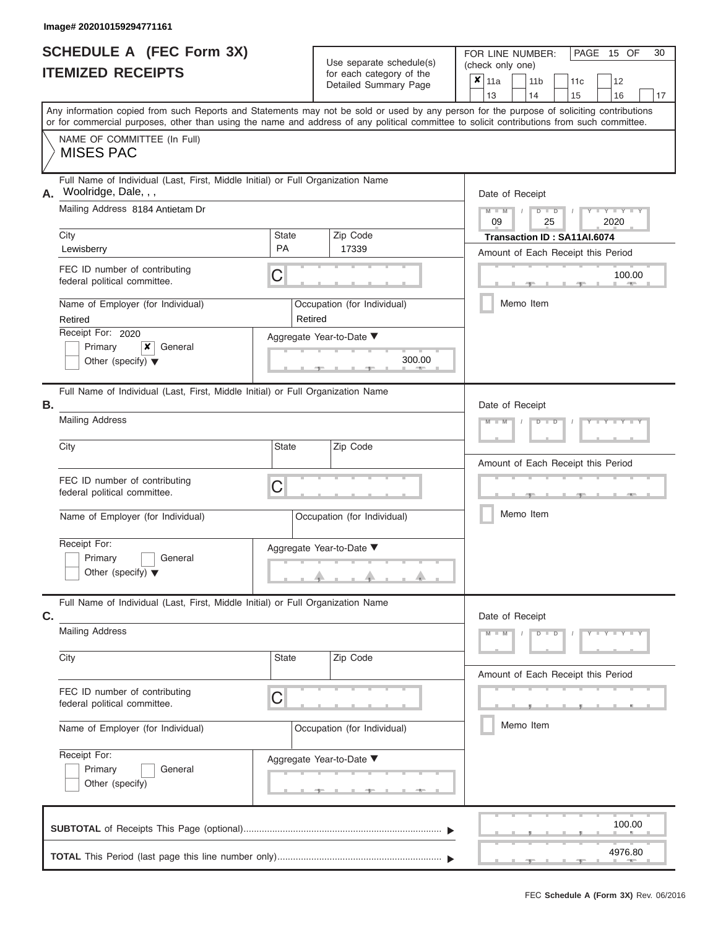|                          | <b>SCHEDULE A (FEC Form 3X)</b> |
|--------------------------|---------------------------------|
| <b>ITEMIZED RECEIPTS</b> |                                 |

Use separate schedule(s) (check only one) for each category of the

FOR LINE NUMBER:<br>(check only one)

PAGE 15 OF 30

| <b>ITEMIZED RECEIPTS</b>                                                                                                                                                                                                                                                                |                                        | for each category of the<br>Detailed Summary Page | ×<br>11a<br>11 <sub>b</sub><br>12<br>11c<br>13<br>14<br>16<br>15<br>17                       |  |  |  |  |  |
|-----------------------------------------------------------------------------------------------------------------------------------------------------------------------------------------------------------------------------------------------------------------------------------------|----------------------------------------|---------------------------------------------------|----------------------------------------------------------------------------------------------|--|--|--|--|--|
| Any information copied from such Reports and Statements may not be sold or used by any person for the purpose of soliciting contributions<br>or for commercial purposes, other than using the name and address of any political committee to solicit contributions from such committee. |                                        |                                                   |                                                                                              |  |  |  |  |  |
| NAME OF COMMITTEE (In Full)<br><b>MISES PAC</b>                                                                                                                                                                                                                                         |                                        |                                                   |                                                                                              |  |  |  |  |  |
| Full Name of Individual (Last, First, Middle Initial) or Full Organization Name<br>Woolridge, Dale, , ,<br>А.<br>Mailing Address 8184 Antietam Dr                                                                                                                                       |                                        |                                                   | Date of Receipt                                                                              |  |  |  |  |  |
| City                                                                                                                                                                                                                                                                                    | State                                  | Zip Code                                          | $M - M$<br>$Y - Y - Y - Y - I$<br>$D$ $D$<br>09<br>25<br>2020<br>Transaction ID: SA11AI.6074 |  |  |  |  |  |
| Lewisberry                                                                                                                                                                                                                                                                              | <b>PA</b>                              | 17339                                             | Amount of Each Receipt this Period                                                           |  |  |  |  |  |
| FEC ID number of contributing<br>federal political committee.                                                                                                                                                                                                                           | С                                      |                                                   | 100.00                                                                                       |  |  |  |  |  |
| Name of Employer (for Individual)<br>Retired                                                                                                                                                                                                                                            | Occupation (for Individual)<br>Retired |                                                   | Memo Item                                                                                    |  |  |  |  |  |
| Receipt For: 2020                                                                                                                                                                                                                                                                       | Aggregate Year-to-Date ▼               |                                                   |                                                                                              |  |  |  |  |  |
| Primary<br>$x \mid$ General<br>Other (specify) $\blacktriangledown$                                                                                                                                                                                                                     |                                        | 300.00                                            |                                                                                              |  |  |  |  |  |
| Full Name of Individual (Last, First, Middle Initial) or Full Organization Name<br>Β.                                                                                                                                                                                                   |                                        |                                                   | Date of Receipt                                                                              |  |  |  |  |  |
| <b>Mailing Address</b>                                                                                                                                                                                                                                                                  |                                        |                                                   | Y T Y T Y T<br>$M - I$<br>$D$ $\Box$ $D$                                                     |  |  |  |  |  |
| City                                                                                                                                                                                                                                                                                    | State                                  | Zip Code                                          | Amount of Each Receipt this Period                                                           |  |  |  |  |  |
| FEC ID number of contributing<br>federal political committee.                                                                                                                                                                                                                           | C                                      |                                                   |                                                                                              |  |  |  |  |  |
| Name of Employer (for Individual)                                                                                                                                                                                                                                                       | Occupation (for Individual)            |                                                   | Memo Item                                                                                    |  |  |  |  |  |
| Receipt For:<br>Primary<br>General<br>Other (specify) $\blacktriangledown$                                                                                                                                                                                                              | Aggregate Year-to-Date ▼               |                                                   |                                                                                              |  |  |  |  |  |
| Full Name of Individual (Last, First, Middle Initial) or Full Organization Name<br>C.                                                                                                                                                                                                   |                                        |                                                   | Date of Receipt                                                                              |  |  |  |  |  |
| <b>Mailing Address</b>                                                                                                                                                                                                                                                                  |                                        |                                                   | $M - M$<br>D<br>Y<br>$\overline{D}$                                                          |  |  |  |  |  |
| City                                                                                                                                                                                                                                                                                    | State                                  | Zip Code                                          | Amount of Each Receipt this Period                                                           |  |  |  |  |  |
| FEC ID number of contributing<br>federal political committee.                                                                                                                                                                                                                           | С                                      |                                                   |                                                                                              |  |  |  |  |  |
| Name of Employer (for Individual)                                                                                                                                                                                                                                                       | Occupation (for Individual)            |                                                   | Memo Item                                                                                    |  |  |  |  |  |
| Receipt For:<br>Primary<br>General<br>Other (specify)                                                                                                                                                                                                                                   | Aggregate Year-to-Date ▼               | $-1$                                              |                                                                                              |  |  |  |  |  |
|                                                                                                                                                                                                                                                                                         |                                        |                                                   | 100.00                                                                                       |  |  |  |  |  |
|                                                                                                                                                                                                                                                                                         |                                        |                                                   | 4976.80                                                                                      |  |  |  |  |  |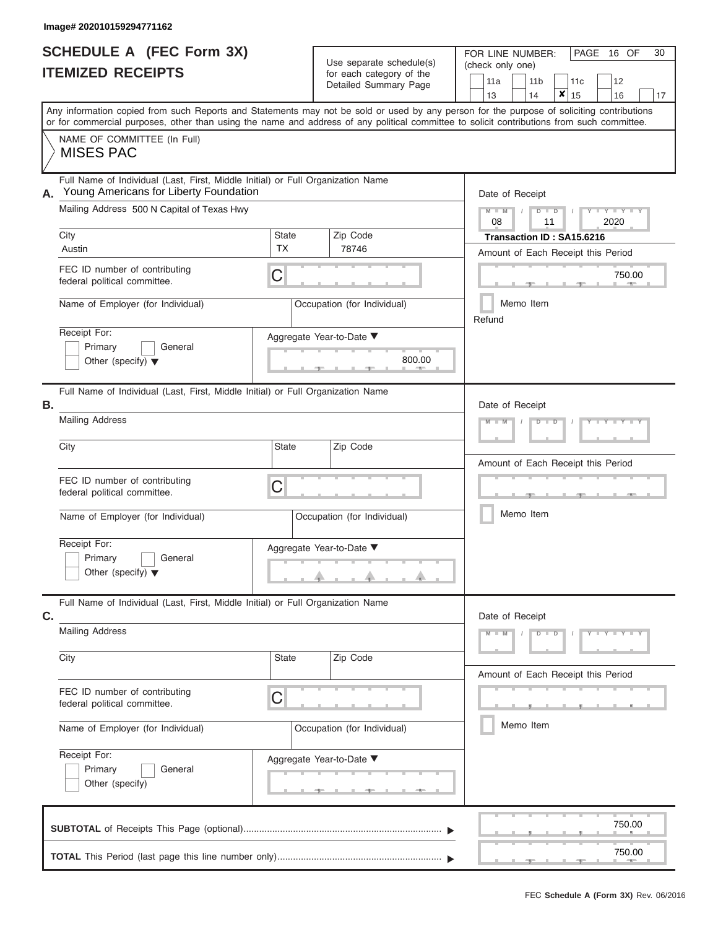|                          | <b>SCHEDULE A (FEC Form 3X)</b> |
|--------------------------|---------------------------------|
| <b>ITEMIZED RECEIPTS</b> |                                 |

| SCHEDULE A (FEC Form 3X) |                                                                                                                                                                                                                                                                                         | Use separate schedule(s) | 30<br>FOR LINE NUMBER:<br>PAGE<br>16 OF<br>(check only one)                                                                                                                                                                                                      |                                    |                            |                                    |    |  |  |
|--------------------------|-----------------------------------------------------------------------------------------------------------------------------------------------------------------------------------------------------------------------------------------------------------------------------------------|--------------------------|------------------------------------------------------------------------------------------------------------------------------------------------------------------------------------------------------------------------------------------------------------------|------------------------------------|----------------------------|------------------------------------|----|--|--|
|                          | <b>ITEMIZED RECEIPTS</b>                                                                                                                                                                                                                                                                |                          | for each category of the<br>Detailed Summary Page                                                                                                                                                                                                                | 11a<br>13                          | 11 <sub>b</sub><br>×<br>14 | 12<br>11c<br>15<br>16              | 17 |  |  |
|                          | Any information copied from such Reports and Statements may not be sold or used by any person for the purpose of soliciting contributions<br>or for commercial purposes, other than using the name and address of any political committee to solicit contributions from such committee. |                          |                                                                                                                                                                                                                                                                  |                                    |                            |                                    |    |  |  |
|                          | NAME OF COMMITTEE (In Full)<br><b>MISES PAC</b>                                                                                                                                                                                                                                         |                          |                                                                                                                                                                                                                                                                  |                                    |                            |                                    |    |  |  |
| А.                       | Full Name of Individual (Last, First, Middle Initial) or Full Organization Name<br>Young Americans for Liberty Foundation<br>Mailing Address 500 N Capital of Texas Hwy                                                                                                                 |                          |                                                                                                                                                                                                                                                                  | Date of Receipt<br>$M - M$ /<br>08 | $D$ $D$<br>11              | Y TY T<br>2020                     |    |  |  |
|                          | City<br>Austin                                                                                                                                                                                                                                                                          | State<br><b>TX</b>       | Zip Code<br>78746                                                                                                                                                                                                                                                |                                    | Transaction ID: SA15.6216  | Amount of Each Receipt this Period |    |  |  |
|                          | FEC ID number of contributing<br>federal political committee.                                                                                                                                                                                                                           | С                        |                                                                                                                                                                                                                                                                  |                                    |                            | 750.00<br><b>COLLECTION</b>        |    |  |  |
|                          | Name of Employer (for Individual)                                                                                                                                                                                                                                                       |                          | Occupation (for Individual)                                                                                                                                                                                                                                      | Refund                             | Memo Item                  |                                    |    |  |  |
|                          | Receipt For:<br>Primary<br>General<br>Other (specify) $\blacktriangledown$                                                                                                                                                                                                              |                          | Aggregate Year-to-Date ▼<br>800.00                                                                                                                                                                                                                               |                                    |                            |                                    |    |  |  |
| В.                       | Full Name of Individual (Last, First, Middle Initial) or Full Organization Name<br><b>Mailing Address</b>                                                                                                                                                                               |                          |                                                                                                                                                                                                                                                                  | Date of Receipt<br>$M - M$         | $D$ $\Box$ $D$             |                                    |    |  |  |
|                          | City                                                                                                                                                                                                                                                                                    | State                    | Zip Code                                                                                                                                                                                                                                                         |                                    |                            | Amount of Each Receipt this Period |    |  |  |
|                          | FEC ID number of contributing<br>federal political committee.                                                                                                                                                                                                                           | C                        |                                                                                                                                                                                                                                                                  |                                    |                            | <b>ARCHITECT</b>                   |    |  |  |
|                          | Name of Employer (for Individual)                                                                                                                                                                                                                                                       |                          | Occupation (for Individual)                                                                                                                                                                                                                                      |                                    | Memo Item                  |                                    |    |  |  |
|                          | Receipt For:<br>Primary<br>General<br>Other (specify) $\blacktriangledown$                                                                                                                                                                                                              |                          | Aggregate Year-to-Date ▼<br>$\mathbb{R}^n$                                                                                                                                                                                                                       |                                    |                            |                                    |    |  |  |
| C.                       | Full Name of Individual (Last, First, Middle Initial) or Full Organization Name                                                                                                                                                                                                         |                          |                                                                                                                                                                                                                                                                  |                                    | Date of Receipt            |                                    |    |  |  |
|                          | <b>Mailing Address</b>                                                                                                                                                                                                                                                                  |                          |                                                                                                                                                                                                                                                                  | $M - M$                            | $D$ $\Box$ $D$             | $Y = Y = Y + Y$                    |    |  |  |
|                          | City                                                                                                                                                                                                                                                                                    | State                    | Zip Code                                                                                                                                                                                                                                                         |                                    |                            | Amount of Each Receipt this Period |    |  |  |
|                          | FEC ID number of contributing<br>federal political committee.                                                                                                                                                                                                                           | С                        |                                                                                                                                                                                                                                                                  |                                    |                            |                                    |    |  |  |
|                          | Name of Employer (for Individual)                                                                                                                                                                                                                                                       |                          | Occupation (for Individual)                                                                                                                                                                                                                                      |                                    | Memo Item                  |                                    |    |  |  |
|                          | Receipt For:<br>Primary<br>General<br>Other (specify)                                                                                                                                                                                                                                   |                          | Aggregate Year-to-Date ▼<br><u>and the second second second second second second second second second second second second second second second second second second second second second second second second second second second second second second sec</u> |                                    |                            |                                    |    |  |  |
|                          |                                                                                                                                                                                                                                                                                         |                          |                                                                                                                                                                                                                                                                  |                                    |                            | 750.00                             |    |  |  |
|                          |                                                                                                                                                                                                                                                                                         |                          |                                                                                                                                                                                                                                                                  |                                    |                            | 750.00<br>$\rightarrow$            |    |  |  |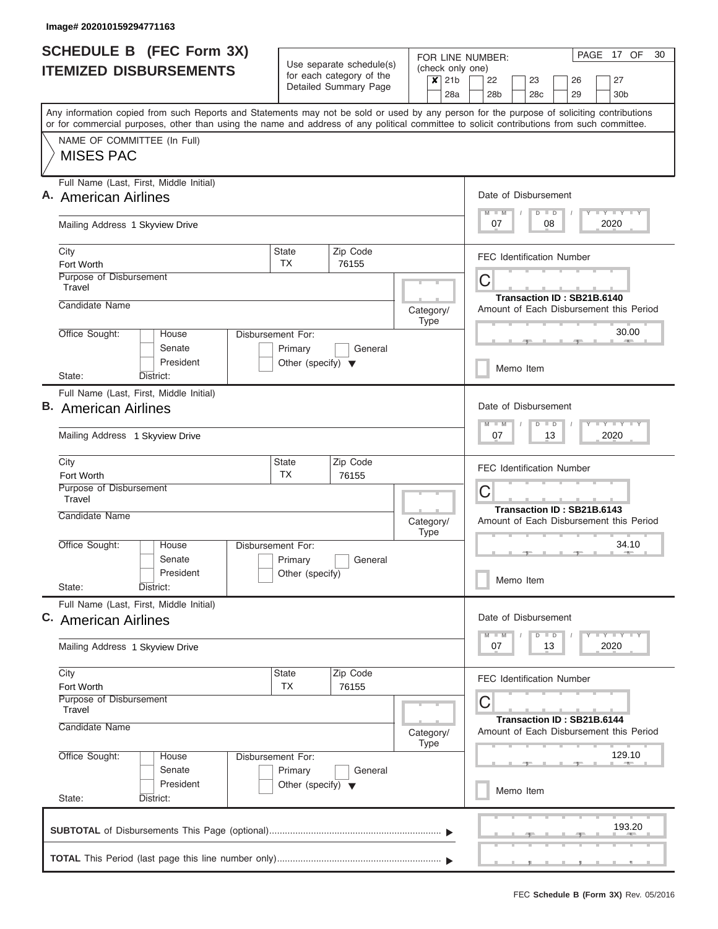| <b>SCHEDULE B</b> (FEC Form 3X)                                                                                                                                                                                                                                                         |                                                                      |                                                      |                          |                             | PAGE 17 OF<br>30<br>FOR LINE NUMBER:                                                      |
|-----------------------------------------------------------------------------------------------------------------------------------------------------------------------------------------------------------------------------------------------------------------------------------------|----------------------------------------------------------------------|------------------------------------------------------|--------------------------|-----------------------------|-------------------------------------------------------------------------------------------|
| <b>ITEMIZED DISBURSEMENTS</b>                                                                                                                                                                                                                                                           |                                                                      | Use separate schedule(s)<br>for each category of the |                          | (check only one)<br>$x$ 21b | 22<br>23<br>27<br>26                                                                      |
|                                                                                                                                                                                                                                                                                         |                                                                      | Detailed Summary Page                                |                          | 28a                         | 28 <sub>b</sub><br>28c<br>29<br>30 <sub>b</sub>                                           |
| Any information copied from such Reports and Statements may not be sold or used by any person for the purpose of soliciting contributions<br>or for commercial purposes, other than using the name and address of any political committee to solicit contributions from such committee. |                                                                      |                                                      |                          |                             |                                                                                           |
| NAME OF COMMITTEE (In Full)<br><b>MISES PAC</b>                                                                                                                                                                                                                                         |                                                                      |                                                      |                          |                             |                                                                                           |
| Full Name (Last, First, Middle Initial)<br>A. American Airlines                                                                                                                                                                                                                         |                                                                      |                                                      |                          |                             | Date of Disbursement<br>Y LY LY LY<br>$M$ $M$<br>$D$ $D$                                  |
| Mailing Address 1 Skyview Drive                                                                                                                                                                                                                                                         |                                                                      |                                                      |                          |                             | 08<br>2020<br>07                                                                          |
| City<br>Fort Worth                                                                                                                                                                                                                                                                      | State<br><b>TX</b>                                                   | Zip Code<br>76155                                    |                          |                             | <b>FEC Identification Number</b>                                                          |
| Purpose of Disbursement<br>Travel                                                                                                                                                                                                                                                       |                                                                      |                                                      |                          |                             | C<br>Transaction ID: SB21B.6140                                                           |
| Candidate Name                                                                                                                                                                                                                                                                          |                                                                      |                                                      | Category/<br>Type        |                             | Amount of Each Disbursement this Period                                                   |
| Office Sought:<br>House<br>Senate<br>President                                                                                                                                                                                                                                          | Disbursement For:<br>Primary<br>Other (specify) $\blacktriangledown$ | General                                              |                          |                             | 30.00<br><b>Allen</b><br>Memo Item                                                        |
| State:<br>District:                                                                                                                                                                                                                                                                     |                                                                      |                                                      |                          |                             |                                                                                           |
| Full Name (Last, First, Middle Initial)<br><b>B.</b> American Airlines<br>Mailing Address 1 Skyview Drive                                                                                                                                                                               |                                                                      |                                                      |                          |                             | Date of Disbursement<br>$T = Y - T - Y - T - Y$<br>$D$ $D$<br>$M - M$<br>2020<br>07<br>13 |
| City<br>Fort Worth                                                                                                                                                                                                                                                                      | State<br><b>TX</b>                                                   | Zip Code<br>76155                                    |                          |                             | <b>FEC Identification Number</b>                                                          |
| Purpose of Disbursement<br>Travel                                                                                                                                                                                                                                                       |                                                                      |                                                      |                          |                             | C                                                                                         |
| Candidate Name                                                                                                                                                                                                                                                                          |                                                                      |                                                      | Category/<br><b>Type</b> |                             | Transaction ID: SB21B.6143<br>Amount of Each Disbursement this Period                     |
| Office Sought:<br>House<br>Senate<br>President                                                                                                                                                                                                                                          | Disbursement For:<br>Primary                                         | General                                              |                          |                             | 34.10                                                                                     |
| State:<br>District:                                                                                                                                                                                                                                                                     | Other (specify)                                                      |                                                      |                          |                             | Memo Item                                                                                 |
| Full Name (Last, First, Middle Initial)<br>C. American Airlines                                                                                                                                                                                                                         |                                                                      |                                                      |                          |                             | Date of Disbursement<br>$T - Y = T - Y$<br>$D$ $D$<br>$M - M$                             |
| Mailing Address 1 Skyview Drive                                                                                                                                                                                                                                                         |                                                                      |                                                      |                          |                             | 07<br>2020<br>13                                                                          |
| City<br>Fort Worth                                                                                                                                                                                                                                                                      | State<br>TX                                                          | Zip Code<br>76155                                    |                          |                             | <b>FEC Identification Number</b>                                                          |
| Purpose of Disbursement<br>Travel<br>Candidate Name                                                                                                                                                                                                                                     |                                                                      |                                                      |                          |                             | C<br>Transaction ID: SB21B.6144                                                           |
| Office Sought:<br>House                                                                                                                                                                                                                                                                 | Disbursement For:                                                    |                                                      | Category/<br><b>Type</b> |                             | Amount of Each Disbursement this Period<br>129.10                                         |
| Senate<br>President                                                                                                                                                                                                                                                                     | Primary<br>Other (specify) $\blacktriangledown$                      | General                                              |                          |                             | Memo Item                                                                                 |
| State:<br>District:                                                                                                                                                                                                                                                                     |                                                                      |                                                      |                          |                             |                                                                                           |
|                                                                                                                                                                                                                                                                                         |                                                                      |                                                      |                          |                             | 193.20                                                                                    |
|                                                                                                                                                                                                                                                                                         |                                                                      |                                                      |                          |                             |                                                                                           |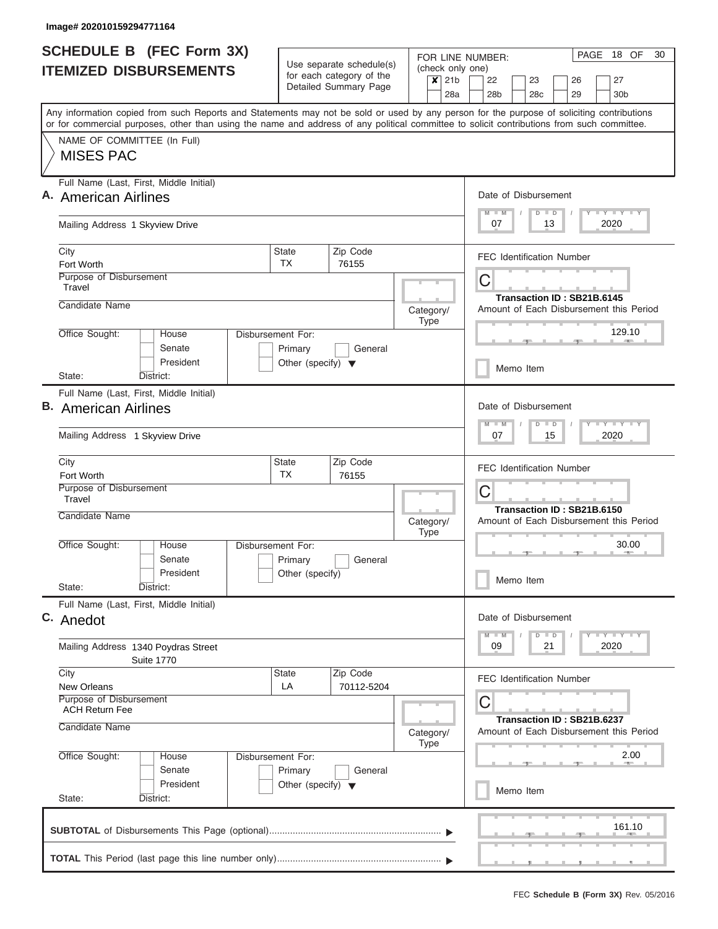| <b>SCHEDULE B</b> (FEC Form 3X)                                                                                                                                                                                                                                                         |                                                                      |                                                      |                          |         | PAGE 18 OF<br>30<br>FOR LINE NUMBER:                                                                  |  |
|-----------------------------------------------------------------------------------------------------------------------------------------------------------------------------------------------------------------------------------------------------------------------------------------|----------------------------------------------------------------------|------------------------------------------------------|--------------------------|---------|-------------------------------------------------------------------------------------------------------|--|
| <b>ITEMIZED DISBURSEMENTS</b>                                                                                                                                                                                                                                                           |                                                                      | Use separate schedule(s)<br>for each category of the |                          | $x$ 21b | (check only one)<br>22<br>23<br>27<br>26                                                              |  |
|                                                                                                                                                                                                                                                                                         |                                                                      | Detailed Summary Page                                |                          | 28a     | 28 <sub>b</sub><br>28c<br>29<br>30 <sub>b</sub>                                                       |  |
| Any information copied from such Reports and Statements may not be sold or used by any person for the purpose of soliciting contributions<br>or for commercial purposes, other than using the name and address of any political committee to solicit contributions from such committee. |                                                                      |                                                      |                          |         |                                                                                                       |  |
| NAME OF COMMITTEE (In Full)<br><b>MISES PAC</b>                                                                                                                                                                                                                                         |                                                                      |                                                      |                          |         |                                                                                                       |  |
| Full Name (Last, First, Middle Initial)<br>A. American Airlines                                                                                                                                                                                                                         |                                                                      |                                                      |                          |         | Date of Disbursement<br>Y LY LY LY<br>$M - M$<br>$D$ $D$                                              |  |
| Mailing Address 1 Skyview Drive                                                                                                                                                                                                                                                         |                                                                      |                                                      |                          |         | 2020<br>07<br>13                                                                                      |  |
| City<br>Fort Worth                                                                                                                                                                                                                                                                      | State<br><b>TX</b>                                                   | Zip Code<br>76155                                    |                          |         | <b>FEC Identification Number</b>                                                                      |  |
| Purpose of Disbursement<br>Travel                                                                                                                                                                                                                                                       |                                                                      |                                                      |                          |         | C<br>Transaction ID: SB21B.6145                                                                       |  |
| Candidate Name                                                                                                                                                                                                                                                                          |                                                                      |                                                      | Category/<br>Type        |         | Amount of Each Disbursement this Period                                                               |  |
| Office Sought:<br>House<br>Senate<br>President                                                                                                                                                                                                                                          | Disbursement For:<br>Primary<br>Other (specify) $\blacktriangledown$ | General                                              |                          |         | 129.10<br>--                                                                                          |  |
| State:<br>District:                                                                                                                                                                                                                                                                     |                                                                      |                                                      |                          |         | Memo Item                                                                                             |  |
| Full Name (Last, First, Middle Initial)<br><b>B.</b> American Airlines<br>Mailing Address 1 Skyview Drive                                                                                                                                                                               |                                                                      |                                                      |                          |         |                                                                                                       |  |
| City<br>Fort Worth                                                                                                                                                                                                                                                                      | State<br><b>TX</b>                                                   | Zip Code<br>76155                                    |                          |         | <b>FEC Identification Number</b>                                                                      |  |
| Purpose of Disbursement<br>Travel                                                                                                                                                                                                                                                       |                                                                      |                                                      |                          |         | C<br>Transaction ID: SB21B.6150                                                                       |  |
| Candidate Name                                                                                                                                                                                                                                                                          |                                                                      |                                                      | Category/<br><b>Type</b> |         | Amount of Each Disbursement this Period                                                               |  |
| Office Sought:<br>House<br>Senate<br>President                                                                                                                                                                                                                                          | Disbursement For:<br>Primary<br>Other (specify)                      | General                                              |                          |         | 30.00<br><b>AND</b><br>Memo Item                                                                      |  |
| State:<br>District:                                                                                                                                                                                                                                                                     |                                                                      |                                                      |                          |         |                                                                                                       |  |
| Full Name (Last, First, Middle Initial)<br>C. Anedot                                                                                                                                                                                                                                    |                                                                      |                                                      |                          |         | Date of Disbursement<br>$\mathbf{I}$ $\mathbf{Y}$ $\mathbf{I}$ $\mathbf{Y}$ $\mathbf{I}$ $\mathbf{Y}$ |  |
| Mailing Address 1340 Poydras Street<br><b>Suite 1770</b>                                                                                                                                                                                                                                |                                                                      |                                                      |                          |         | $M$ $M$<br>$D$ $D$<br>09<br>2020<br>21                                                                |  |
| City<br><b>New Orleans</b>                                                                                                                                                                                                                                                              | State<br>LA                                                          | Zip Code<br>70112-5204                               |                          |         | <b>FEC Identification Number</b>                                                                      |  |
| Purpose of Disbursement<br><b>ACH Return Fee</b><br>Candidate Name                                                                                                                                                                                                                      |                                                                      |                                                      |                          |         | C<br>Transaction ID: SB21B.6237                                                                       |  |
|                                                                                                                                                                                                                                                                                         |                                                                      |                                                      | Category/<br><b>Type</b> |         | Amount of Each Disbursement this Period<br>2.00                                                       |  |
| Office Sought:<br>House<br>Senate<br>President                                                                                                                                                                                                                                          | Disbursement For:<br>Primary<br>Other (specify) $\blacktriangledown$ | General                                              |                          |         |                                                                                                       |  |
| State:<br>District:                                                                                                                                                                                                                                                                     |                                                                      |                                                      |                          |         | Memo Item                                                                                             |  |
|                                                                                                                                                                                                                                                                                         |                                                                      |                                                      |                          |         | 161.10                                                                                                |  |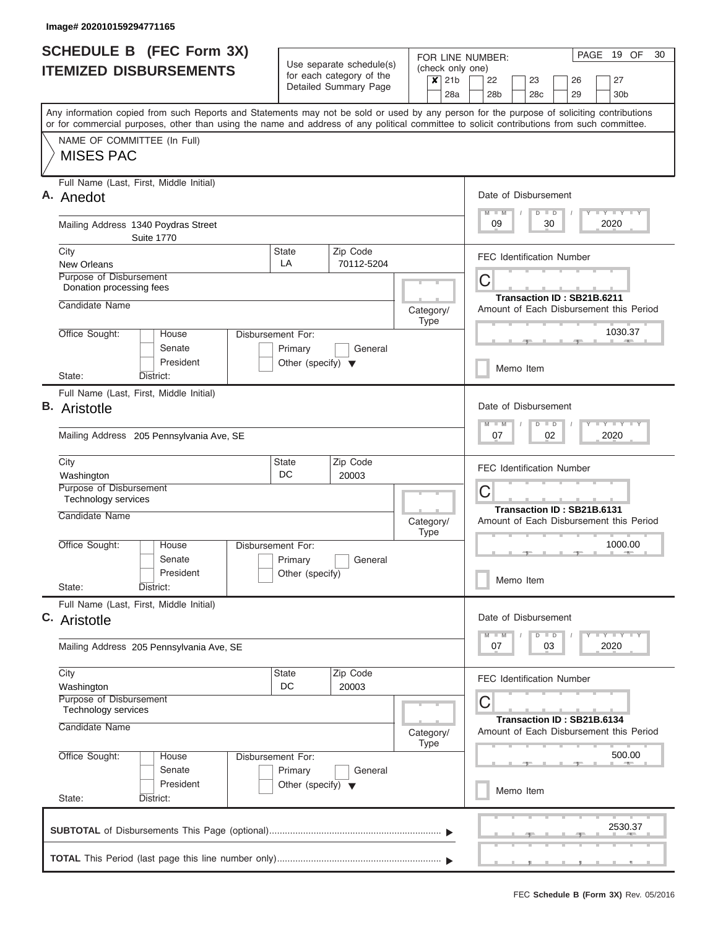|                               | <b>SCHEDULE B</b> (FEC Form 3X)                                                                                                                                                                                                                                                         |                                                                      |                                                      |           |                          |                                                                            | PAGE 19 OF<br>30<br>FOR LINE NUMBER:                                               |
|-------------------------------|-----------------------------------------------------------------------------------------------------------------------------------------------------------------------------------------------------------------------------------------------------------------------------------------|----------------------------------------------------------------------|------------------------------------------------------|-----------|--------------------------|----------------------------------------------------------------------------|------------------------------------------------------------------------------------|
| <b>ITEMIZED DISBURSEMENTS</b> |                                                                                                                                                                                                                                                                                         |                                                                      | Use separate schedule(s)<br>for each category of the |           |                          | $x$ 21b                                                                    | (check only one)<br>22<br>23<br>26<br>27                                           |
|                               |                                                                                                                                                                                                                                                                                         |                                                                      | Detailed Summary Page                                |           |                          | 28a                                                                        | 28 <sub>b</sub><br>28 <sub>c</sub><br>29<br>30 <sub>b</sub>                        |
|                               | Any information copied from such Reports and Statements may not be sold or used by any person for the purpose of soliciting contributions<br>or for commercial purposes, other than using the name and address of any political committee to solicit contributions from such committee. |                                                                      |                                                      |           |                          |                                                                            |                                                                                    |
|                               | NAME OF COMMITTEE (In Full)<br><b>MISES PAC</b>                                                                                                                                                                                                                                         |                                                                      |                                                      |           |                          |                                                                            |                                                                                    |
|                               | Full Name (Last, First, Middle Initial)<br>A. Anedot                                                                                                                                                                                                                                    |                                                                      |                                                      |           |                          |                                                                            | Date of Disbursement<br><b>LY LY LY</b><br>$M$ $M$<br>$D$ $D$                      |
|                               | Mailing Address 1340 Poydras Street<br><b>Suite 1770</b>                                                                                                                                                                                                                                |                                                                      |                                                      |           |                          |                                                                            | 2020<br>09<br>30                                                                   |
|                               | City<br><b>New Orleans</b>                                                                                                                                                                                                                                                              | State<br>LA                                                          | Zip Code<br>70112-5204                               |           |                          |                                                                            | <b>FEC Identification Number</b>                                                   |
|                               | Purpose of Disbursement<br>Donation processing fees                                                                                                                                                                                                                                     |                                                                      |                                                      |           |                          |                                                                            | C<br>Transaction ID: SB21B.6211                                                    |
|                               | Candidate Name                                                                                                                                                                                                                                                                          |                                                                      |                                                      |           | Category/<br><b>Type</b> |                                                                            | Amount of Each Disbursement this Period                                            |
|                               | Office Sought:<br>House<br>Senate<br>President                                                                                                                                                                                                                                          | Disbursement For:<br>Primary<br>Other (specify) $\blacktriangledown$ | General                                              |           |                          |                                                                            | 1030.37                                                                            |
|                               | State:<br>District:                                                                                                                                                                                                                                                                     |                                                                      |                                                      |           |                          |                                                                            | Memo Item                                                                          |
|                               | Full Name (Last, First, Middle Initial)<br><b>B.</b> Aristotle                                                                                                                                                                                                                          |                                                                      |                                                      |           |                          |                                                                            | Date of Disbursement<br>$-Y - Y - I - Y$<br>$M - M$<br>$D$ $D$                     |
|                               | Mailing Address 205 Pennsylvania Ave, SE                                                                                                                                                                                                                                                |                                                                      | 07<br>02<br>2020                                     |           |                          |                                                                            |                                                                                    |
|                               | City<br>Washington                                                                                                                                                                                                                                                                      | State<br>DC                                                          | Zip Code<br>20003                                    |           |                          |                                                                            | <b>FEC Identification Number</b>                                                   |
|                               | Purpose of Disbursement<br><b>Technology services</b><br>Candidate Name                                                                                                                                                                                                                 |                                                                      |                                                      | Category/ |                          |                                                                            | C<br>Transaction ID: SB21B.6131<br>Amount of Each Disbursement this Period         |
|                               | Office Sought:<br>House<br>Senate                                                                                                                                                                                                                                                       | Disbursement For:<br>Primary                                         | General                                              |           | <b>Type</b>              |                                                                            | 1000.00                                                                            |
|                               | President<br>State:<br>District:                                                                                                                                                                                                                                                        | Other (specify)                                                      |                                                      |           |                          |                                                                            | Memo Item                                                                          |
|                               | Full Name (Last, First, Middle Initial)<br>C. Aristotle                                                                                                                                                                                                                                 |                                                                      |                                                      |           |                          |                                                                            | Date of Disbursement                                                               |
|                               | Mailing Address 205 Pennsylvania Ave, SE                                                                                                                                                                                                                                                |                                                                      |                                                      |           |                          |                                                                            | $T - Y = T - Y$<br>$M$ $M$<br>$\blacksquare$<br>$\overline{D}$<br>07<br>03<br>2020 |
|                               | City<br>Washington                                                                                                                                                                                                                                                                      | State<br>DC                                                          | Zip Code<br>20003                                    |           |                          |                                                                            | <b>FEC Identification Number</b>                                                   |
|                               | Purpose of Disbursement<br>Technology services<br>Candidate Name                                                                                                                                                                                                                        |                                                                      | Category/                                            |           |                          | С<br>Transaction ID: SB21B.6134<br>Amount of Each Disbursement this Period |                                                                                    |
|                               | Office Sought:<br>House                                                                                                                                                                                                                                                                 | Disbursement For:                                                    |                                                      |           | <b>Type</b>              |                                                                            | 500.00                                                                             |
|                               | Senate<br>President<br>State:<br>District:                                                                                                                                                                                                                                              | Primary<br>Other (specify) $\blacktriangledown$                      | General                                              |           |                          |                                                                            | Memo Item                                                                          |
|                               |                                                                                                                                                                                                                                                                                         |                                                                      |                                                      |           |                          |                                                                            |                                                                                    |
|                               |                                                                                                                                                                                                                                                                                         |                                                                      |                                                      |           |                          |                                                                            | 2530.37                                                                            |
|                               |                                                                                                                                                                                                                                                                                         |                                                                      |                                                      |           |                          |                                                                            |                                                                                    |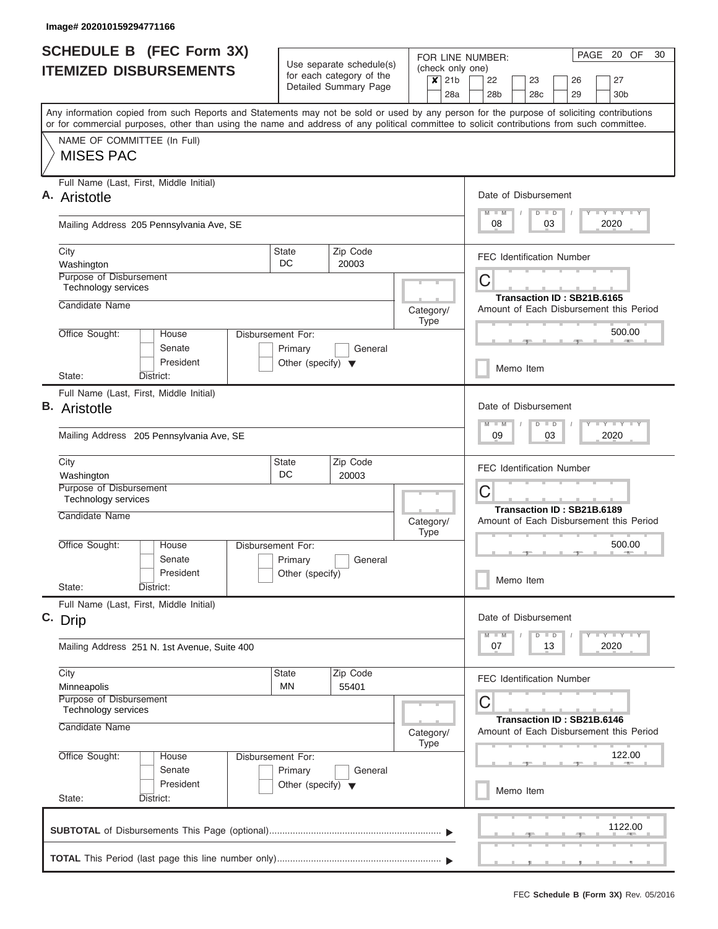| <b>SCHEDULE B</b> (FEC Form 3X)                                                                                                                                                                                                                                                         |                                                                      |                                                                                  |                                                                                                        |                                                                  | PAGE 20 OF<br>30<br>FOR LINE NUMBER:                                                                                                                                                                                              |
|-----------------------------------------------------------------------------------------------------------------------------------------------------------------------------------------------------------------------------------------------------------------------------------------|----------------------------------------------------------------------|----------------------------------------------------------------------------------|--------------------------------------------------------------------------------------------------------|------------------------------------------------------------------|-----------------------------------------------------------------------------------------------------------------------------------------------------------------------------------------------------------------------------------|
| <b>ITEMIZED DISBURSEMENTS</b>                                                                                                                                                                                                                                                           |                                                                      | Use separate schedule(s)<br>for each category of the<br>Detailed Summary Page    |                                                                                                        | (check only one)<br>21 <sub>b</sub><br>$\boldsymbol{\mathsf{x}}$ | 22<br>27<br>23<br>26                                                                                                                                                                                                              |
| Any information copied from such Reports and Statements may not be sold or used by any person for the purpose of soliciting contributions<br>or for commercial purposes, other than using the name and address of any political committee to solicit contributions from such committee. |                                                                      |                                                                                  |                                                                                                        | 28a                                                              | 28 <sub>b</sub><br>28c<br>29<br>30 <sub>b</sub>                                                                                                                                                                                   |
| NAME OF COMMITTEE (In Full)<br><b>MISES PAC</b>                                                                                                                                                                                                                                         |                                                                      |                                                                                  |                                                                                                        |                                                                  |                                                                                                                                                                                                                                   |
| Full Name (Last, First, Middle Initial)<br>A. Aristotle                                                                                                                                                                                                                                 |                                                                      |                                                                                  |                                                                                                        |                                                                  | Date of Disbursement<br><b>TEY TEY TEY</b><br>$D$ $D$<br>$M - M$                                                                                                                                                                  |
| Mailing Address 205 Pennsylvania Ave, SE                                                                                                                                                                                                                                                |                                                                      |                                                                                  |                                                                                                        |                                                                  | 08<br>03<br>2020                                                                                                                                                                                                                  |
| City<br>Washington                                                                                                                                                                                                                                                                      | <b>State</b><br>DC                                                   | Zip Code<br>20003                                                                |                                                                                                        |                                                                  | <b>FEC Identification Number</b>                                                                                                                                                                                                  |
| Purpose of Disbursement<br>Technology services<br>Candidate Name                                                                                                                                                                                                                        |                                                                      |                                                                                  |                                                                                                        |                                                                  | С<br>Transaction ID: SB21B.6165                                                                                                                                                                                                   |
| Office Sought:<br>House                                                                                                                                                                                                                                                                 | Disbursement For:                                                    |                                                                                  |                                                                                                        | Category/<br><b>Type</b>                                         | Amount of Each Disbursement this Period<br>500.00                                                                                                                                                                                 |
| Senate<br>President<br>State:                                                                                                                                                                                                                                                           | Primary<br>Other (specify) $\blacktriangledown$                      | General                                                                          |                                                                                                        |                                                                  | Memo Item                                                                                                                                                                                                                         |
| District:<br>Full Name (Last, First, Middle Initial)<br><b>B.</b> Aristotle<br>Mailing Address 205 Pennsylvania Ave, SE                                                                                                                                                                 |                                                                      | Date of Disbursement<br>$-Y$ $+Y$ $+Y$<br>$M - M$<br>$D$ $D$<br>03<br>2020<br>09 |                                                                                                        |                                                                  |                                                                                                                                                                                                                                   |
| City<br>Washington                                                                                                                                                                                                                                                                      | State<br>DC                                                          | Zip Code<br>20003                                                                |                                                                                                        |                                                                  | <b>FEC Identification Number</b>                                                                                                                                                                                                  |
| Purpose of Disbursement<br>Technology services<br>Candidate Name                                                                                                                                                                                                                        |                                                                      |                                                                                  |                                                                                                        | Category/                                                        | С<br>Transaction ID: SB21B.6189<br>Amount of Each Disbursement this Period                                                                                                                                                        |
| Office Sought:<br>House<br>Senate<br>President                                                                                                                                                                                                                                          | Disbursement For:<br>Primary<br>Other (specify)                      | General                                                                          |                                                                                                        | <b>Type</b>                                                      | 500.00                                                                                                                                                                                                                            |
| State:<br>District:<br>Full Name (Last, First, Middle Initial)                                                                                                                                                                                                                          |                                                                      |                                                                                  |                                                                                                        |                                                                  | Memo Item                                                                                                                                                                                                                         |
| C. Drip                                                                                                                                                                                                                                                                                 |                                                                      |                                                                                  |                                                                                                        |                                                                  | Date of Disbursement<br>$\frac{1}{2}$ $\frac{1}{2}$ $\frac{1}{2}$ $\frac{1}{2}$ $\frac{1}{2}$ $\frac{1}{2}$ $\frac{1}{2}$ $\frac{1}{2}$ $\frac{1}{2}$ $\frac{1}{2}$ $\frac{1}{2}$ $\frac{1}{2}$<br>$M - M$<br>D<br>$\blacksquare$ |
| Mailing Address 251 N. 1st Avenue, Suite 400                                                                                                                                                                                                                                            |                                                                      |                                                                                  |                                                                                                        |                                                                  | 2020<br>07<br>13                                                                                                                                                                                                                  |
| City<br>Minneapolis<br>Purpose of Disbursement                                                                                                                                                                                                                                          | State<br>MN                                                          | Zip Code<br>55401                                                                |                                                                                                        |                                                                  | <b>FEC Identification Number</b>                                                                                                                                                                                                  |
| Technology services<br>Candidate Name                                                                                                                                                                                                                                                   |                                                                      |                                                                                  | С<br>Transaction ID: SB21B.6146<br>Amount of Each Disbursement this Period<br>Category/<br><b>Type</b> |                                                                  |                                                                                                                                                                                                                                   |
| Office Sought:<br>House<br>Senate<br>President                                                                                                                                                                                                                                          | Disbursement For:<br>Primary<br>Other (specify) $\blacktriangledown$ | General                                                                          |                                                                                                        |                                                                  | 122.00                                                                                                                                                                                                                            |
| State:<br>District:                                                                                                                                                                                                                                                                     |                                                                      |                                                                                  |                                                                                                        |                                                                  | Memo Item                                                                                                                                                                                                                         |
|                                                                                                                                                                                                                                                                                         |                                                                      |                                                                                  |                                                                                                        |                                                                  | 1122.00                                                                                                                                                                                                                           |
|                                                                                                                                                                                                                                                                                         |                                                                      |                                                                                  |                                                                                                        |                                                                  |                                                                                                                                                                                                                                   |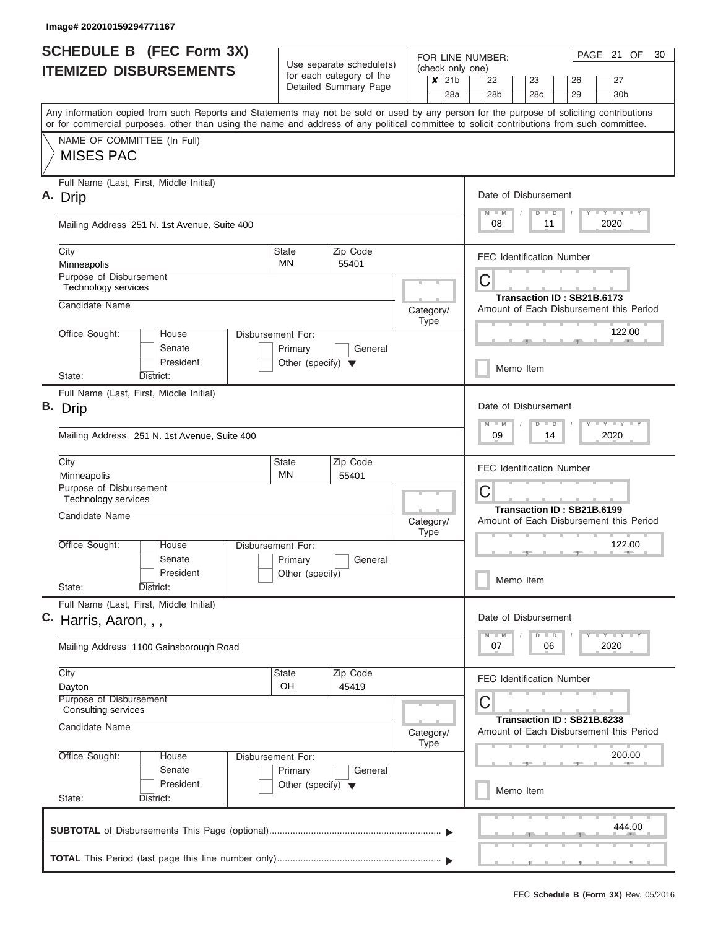|                               | <b>SCHEDULE B</b> (FEC Form 3X)                                                                                                                                                                                                                                                         |                                                                      |                                                      |           |                  |                                                   | PAGE 21 OF<br>30<br>FOR LINE NUMBER:                                                                              |  |  |  |  |
|-------------------------------|-----------------------------------------------------------------------------------------------------------------------------------------------------------------------------------------------------------------------------------------------------------------------------------------|----------------------------------------------------------------------|------------------------------------------------------|-----------|------------------|---------------------------------------------------|-------------------------------------------------------------------------------------------------------------------|--|--|--|--|
| <b>ITEMIZED DISBURSEMENTS</b> |                                                                                                                                                                                                                                                                                         |                                                                      | Use separate schedule(s)<br>for each category of the |           | $x$ 21b          |                                                   | (check only one)                                                                                                  |  |  |  |  |
|                               |                                                                                                                                                                                                                                                                                         |                                                                      | Detailed Summary Page                                |           |                  | 28a                                               | 22<br>23<br>26<br>27<br>28 <sub>b</sub><br>28 <sub>c</sub><br>29<br>30 <sub>b</sub>                               |  |  |  |  |
|                               | Any information copied from such Reports and Statements may not be sold or used by any person for the purpose of soliciting contributions<br>or for commercial purposes, other than using the name and address of any political committee to solicit contributions from such committee. |                                                                      |                                                      |           |                  |                                                   |                                                                                                                   |  |  |  |  |
|                               | NAME OF COMMITTEE (In Full)<br><b>MISES PAC</b>                                                                                                                                                                                                                                         |                                                                      |                                                      |           |                  |                                                   |                                                                                                                   |  |  |  |  |
|                               | Full Name (Last, First, Middle Initial)<br>A. Drip                                                                                                                                                                                                                                      |                                                                      |                                                      |           |                  |                                                   | Date of Disbursement                                                                                              |  |  |  |  |
|                               | Mailing Address 251 N. 1st Avenue, Suite 400                                                                                                                                                                                                                                            |                                                                      |                                                      |           |                  |                                                   | <b>LY LY LY</b><br>$M$ $M$<br>$\Box$<br>D<br>2020<br>08<br>11                                                     |  |  |  |  |
|                               | City<br>Minneapolis                                                                                                                                                                                                                                                                     | State<br>MN                                                          | Zip Code<br>55401                                    |           |                  |                                                   | <b>FEC Identification Number</b>                                                                                  |  |  |  |  |
|                               | Purpose of Disbursement<br>Technology services                                                                                                                                                                                                                                          |                                                                      |                                                      |           |                  |                                                   | С<br>Transaction ID: SB21B.6173                                                                                   |  |  |  |  |
|                               | Candidate Name<br>Office Sought:<br>House                                                                                                                                                                                                                                               | Disbursement For:                                                    |                                                      | Category/ | Type             |                                                   | Amount of Each Disbursement this Period<br>122.00                                                                 |  |  |  |  |
|                               | Senate<br>President                                                                                                                                                                                                                                                                     | Primary<br>Other (specify) $\blacktriangledown$                      | General                                              |           |                  |                                                   | <b>COLLECTIVE</b><br>Memo Item                                                                                    |  |  |  |  |
|                               | State:<br>District:                                                                                                                                                                                                                                                                     |                                                                      |                                                      |           |                  |                                                   |                                                                                                                   |  |  |  |  |
|                               | Full Name (Last, First, Middle Initial)<br>B. Drip                                                                                                                                                                                                                                      |                                                                      |                                                      |           |                  |                                                   | Date of Disbursement<br>$-Y - Y - I - Y$<br>$M - M$<br>$\Box$<br>D                                                |  |  |  |  |
|                               | Mailing Address 251 N. 1st Avenue, Suite 400                                                                                                                                                                                                                                            |                                                                      |                                                      |           | 09<br>14<br>2020 |                                                   |                                                                                                                   |  |  |  |  |
|                               | City<br>Minneapolis<br>Purpose of Disbursement                                                                                                                                                                                                                                          | State<br>MN                                                          | Zip Code<br>55401                                    |           |                  |                                                   | <b>FEC Identification Number</b>                                                                                  |  |  |  |  |
|                               | Technology services<br>Candidate Name                                                                                                                                                                                                                                                   |                                                                      |                                                      |           |                  |                                                   | C<br>Transaction ID: SB21B.6199<br>Amount of Each Disbursement this Period                                        |  |  |  |  |
|                               | Office Sought:<br>House                                                                                                                                                                                                                                                                 | Disbursement For:                                                    |                                                      | Category/ | <b>Type</b>      |                                                   | 122.00                                                                                                            |  |  |  |  |
|                               | Senate<br>President                                                                                                                                                                                                                                                                     | Primary<br>Other (specify)                                           | General                                              |           |                  |                                                   | Memo Item                                                                                                         |  |  |  |  |
|                               | State:<br>District:<br>Full Name (Last, First, Middle Initial)<br>C. Harris, Aaron, , ,                                                                                                                                                                                                 |                                                                      |                                                      |           |                  |                                                   | Date of Disbursement                                                                                              |  |  |  |  |
|                               | Mailing Address 1100 Gainsborough Road                                                                                                                                                                                                                                                  |                                                                      |                                                      |           |                  |                                                   | $\mathbb{L} \mathbf{Y} \mathbb{L} \mathbf{Y} \mathbb{L} \mathbf{Y}$<br>$M$ $M$<br>$\Box$<br>D<br>07<br>06<br>2020 |  |  |  |  |
|                               | City<br>Dayton                                                                                                                                                                                                                                                                          | State<br>OH                                                          | Zip Code<br>45419                                    |           |                  |                                                   | <b>FEC Identification Number</b>                                                                                  |  |  |  |  |
|                               | Purpose of Disbursement<br>Consulting services                                                                                                                                                                                                                                          |                                                                      |                                                      |           |                  | С<br>Transaction ID: SB21B.6238                   |                                                                                                                   |  |  |  |  |
|                               | Candidate Name<br>Office Sought:<br>House                                                                                                                                                                                                                                               |                                                                      | Category/                                            | Type      |                  | Amount of Each Disbursement this Period<br>200.00 |                                                                                                                   |  |  |  |  |
|                               | Senate<br>President                                                                                                                                                                                                                                                                     | Disbursement For:<br>Primary<br>Other (specify) $\blacktriangledown$ | General                                              |           |                  |                                                   | Memo Item                                                                                                         |  |  |  |  |
|                               | State:<br>District:                                                                                                                                                                                                                                                                     |                                                                      |                                                      |           |                  |                                                   |                                                                                                                   |  |  |  |  |
|                               |                                                                                                                                                                                                                                                                                         |                                                                      |                                                      |           |                  |                                                   | 444.00                                                                                                            |  |  |  |  |
|                               |                                                                                                                                                                                                                                                                                         |                                                                      |                                                      |           |                  |                                                   |                                                                                                                   |  |  |  |  |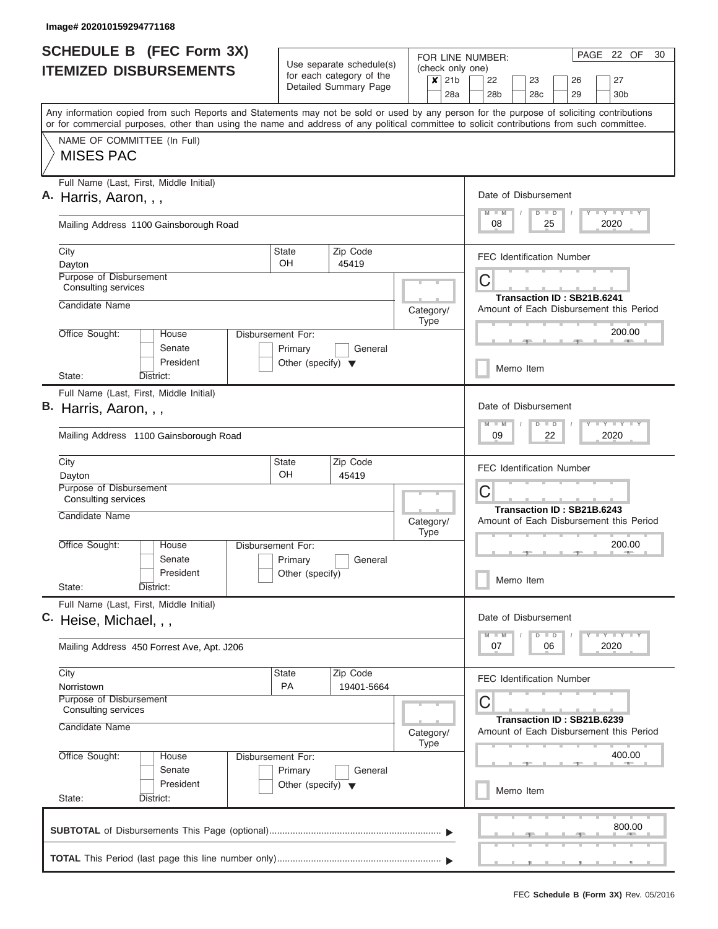| <b>SCHEDULE B</b> (FEC Form 3X)                                                                                                                                                                                                                                                         |                                                 | Use separate schedule(s)                          |           |             |     | PAGE 22 OF<br>30<br>FOR LINE NUMBER:<br>(check only one)                               |
|-----------------------------------------------------------------------------------------------------------------------------------------------------------------------------------------------------------------------------------------------------------------------------------------|-------------------------------------------------|---------------------------------------------------|-----------|-------------|-----|----------------------------------------------------------------------------------------|
| <b>ITEMIZED DISBURSEMENTS</b>                                                                                                                                                                                                                                                           |                                                 | for each category of the<br>Detailed Summary Page |           | $x$ 21b     | 28a | 22<br>23<br>26<br>27<br>28 <sub>b</sub><br>28c<br>29<br>30 <sub>b</sub>                |
| Any information copied from such Reports and Statements may not be sold or used by any person for the purpose of soliciting contributions<br>or for commercial purposes, other than using the name and address of any political committee to solicit contributions from such committee. |                                                 |                                                   |           |             |     |                                                                                        |
| NAME OF COMMITTEE (In Full)<br><b>MISES PAC</b>                                                                                                                                                                                                                                         |                                                 |                                                   |           |             |     |                                                                                        |
| Full Name (Last, First, Middle Initial)<br>A. Harris, Aaron, , ,                                                                                                                                                                                                                        |                                                 |                                                   |           |             |     | Date of Disbursement<br><b>LY LY LY</b><br>$M$ $M$<br>$D$ $D$                          |
| Mailing Address 1100 Gainsborough Road                                                                                                                                                                                                                                                  |                                                 |                                                   |           |             |     | 08<br>25<br>2020                                                                       |
| City<br>Dayton<br>Purpose of Disbursement                                                                                                                                                                                                                                               | State<br>OH                                     | Zip Code<br>45419                                 |           |             |     | <b>FEC Identification Number</b>                                                       |
| Consulting services<br>Candidate Name                                                                                                                                                                                                                                                   |                                                 |                                                   |           |             |     | С<br>Transaction ID: SB21B.6241                                                        |
| Office Sought:<br>House                                                                                                                                                                                                                                                                 | Disbursement For:                               |                                                   | Category/ | <b>Type</b> |     | Amount of Each Disbursement this Period<br>200.00                                      |
| Senate<br>President                                                                                                                                                                                                                                                                     | Primary<br>Other (specify) $\blacktriangledown$ | General                                           |           |             |     | Memo Item                                                                              |
| State:<br>District:<br>Full Name (Last, First, Middle Initial)                                                                                                                                                                                                                          |                                                 |                                                   |           |             |     |                                                                                        |
| B. Harris, Aaron, , ,                                                                                                                                                                                                                                                                   |                                                 |                                                   |           |             |     | Date of Disbursement<br>$-Y - Y - I - Y$<br>$M - M$<br>$D$ $D$                         |
| Mailing Address 1100 Gainsborough Road                                                                                                                                                                                                                                                  |                                                 |                                                   |           |             |     | 09<br>22<br>2020                                                                       |
| City<br>Dayton                                                                                                                                                                                                                                                                          | State<br>OH                                     | Zip Code<br>45419                                 |           |             |     | <b>FEC Identification Number</b>                                                       |
| Purpose of Disbursement<br>Consulting services                                                                                                                                                                                                                                          |                                                 |                                                   |           |             |     | С<br>Transaction ID: SB21B.6243                                                        |
| Candidate Name                                                                                                                                                                                                                                                                          |                                                 |                                                   | Category/ | <b>Type</b> |     | Amount of Each Disbursement this Period                                                |
| Office Sought:<br>House<br>Senate<br>President                                                                                                                                                                                                                                          | Disbursement For:<br>Primary<br>Other (specify) | General                                           |           |             |     | 200.00<br>Memo Item                                                                    |
| State:<br>District:<br>Full Name (Last, First, Middle Initial)                                                                                                                                                                                                                          |                                                 |                                                   |           |             |     |                                                                                        |
| C. Heise, Michael, , ,                                                                                                                                                                                                                                                                  |                                                 |                                                   |           |             |     | Date of Disbursement<br>$T - Y = T - Y$<br>$M$ $M$<br>$\blacksquare$<br>$\overline{D}$ |
| Mailing Address 450 Forrest Ave, Apt. J206                                                                                                                                                                                                                                              |                                                 |                                                   |           |             |     | 07<br>06<br>2020                                                                       |
| City<br>Norristown                                                                                                                                                                                                                                                                      | State<br>PA                                     | Zip Code<br>19401-5664                            |           |             |     | <b>FEC Identification Number</b>                                                       |
| Consulting services                                                                                                                                                                                                                                                                     | Purpose of Disbursement                         |                                                   |           |             |     | С<br>Transaction ID: SB21B.6239                                                        |
| Office Sought:<br>House                                                                                                                                                                                                                                                                 | Candidate Name<br>Disbursement For:             |                                                   |           |             |     | Amount of Each Disbursement this Period<br>400.00                                      |
| Senate<br>President<br>State:<br>District:                                                                                                                                                                                                                                              | Primary<br>Other (specify) $\blacktriangledown$ | General                                           |           |             |     | Memo Item                                                                              |
|                                                                                                                                                                                                                                                                                         |                                                 |                                                   |           |             |     | 800.00                                                                                 |
|                                                                                                                                                                                                                                                                                         |                                                 |                                                   |           |             |     | _______________________________                                                        |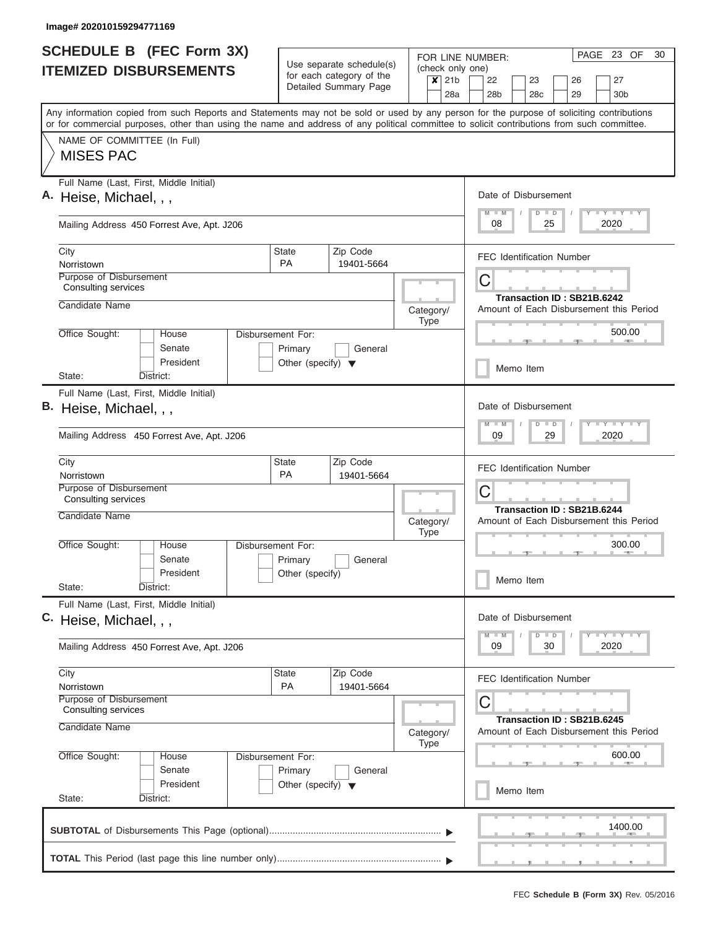| <b>SCHEDULE B (FEC Form 3X)</b>                                                                                                                                                                                                                                                         |                                                 |                                                                               |                   | PAGE 23 OF<br>30<br>FOR LINE NUMBER:                                                                                        |  |  |
|-----------------------------------------------------------------------------------------------------------------------------------------------------------------------------------------------------------------------------------------------------------------------------------------|-------------------------------------------------|-------------------------------------------------------------------------------|-------------------|-----------------------------------------------------------------------------------------------------------------------------|--|--|
| <b>ITEMIZED DISBURSEMENTS</b>                                                                                                                                                                                                                                                           |                                                 | Use separate schedule(s)<br>for each category of the<br>Detailed Summary Page | $x$ 21b           | (check only one)<br>22<br>27<br>23<br>26                                                                                    |  |  |
|                                                                                                                                                                                                                                                                                         |                                                 |                                                                               |                   | 28a<br>28b<br>28c<br>29<br>30 <sub>b</sub>                                                                                  |  |  |
| Any information copied from such Reports and Statements may not be sold or used by any person for the purpose of soliciting contributions<br>or for commercial purposes, other than using the name and address of any political committee to solicit contributions from such committee. |                                                 |                                                                               |                   |                                                                                                                             |  |  |
| NAME OF COMMITTEE (In Full)                                                                                                                                                                                                                                                             |                                                 |                                                                               |                   |                                                                                                                             |  |  |
| <b>MISES PAC</b>                                                                                                                                                                                                                                                                        |                                                 |                                                                               |                   |                                                                                                                             |  |  |
| Full Name (Last, First, Middle Initial)<br>A. Heise, Michael, , ,                                                                                                                                                                                                                       |                                                 |                                                                               |                   | Date of Disbursement                                                                                                        |  |  |
|                                                                                                                                                                                                                                                                                         |                                                 |                                                                               |                   | Y LY LY LY<br>$M$ $M$<br>$D$ $D$                                                                                            |  |  |
| Mailing Address 450 Forrest Ave, Apt. J206                                                                                                                                                                                                                                              |                                                 |                                                                               |                   | 25<br>2020<br>08                                                                                                            |  |  |
| City<br>Norristown                                                                                                                                                                                                                                                                      | State<br><b>PA</b>                              | Zip Code<br>19401-5664                                                        |                   | <b>FEC Identification Number</b>                                                                                            |  |  |
| Purpose of Disbursement                                                                                                                                                                                                                                                                 |                                                 |                                                                               |                   | C                                                                                                                           |  |  |
| <b>Consulting services</b>                                                                                                                                                                                                                                                              |                                                 |                                                                               |                   | Transaction ID: SB21B.6242                                                                                                  |  |  |
| Candidate Name                                                                                                                                                                                                                                                                          |                                                 |                                                                               | Category/<br>Type | Amount of Each Disbursement this Period                                                                                     |  |  |
| Office Sought:<br>House                                                                                                                                                                                                                                                                 | Disbursement For:                               |                                                                               |                   | 500.00<br><b>Allen</b>                                                                                                      |  |  |
| Senate<br>President                                                                                                                                                                                                                                                                     | Primary<br>Other (specify) $\blacktriangledown$ | General                                                                       |                   |                                                                                                                             |  |  |
| State:<br>District:                                                                                                                                                                                                                                                                     |                                                 |                                                                               |                   | Memo Item                                                                                                                   |  |  |
| Full Name (Last, First, Middle Initial)                                                                                                                                                                                                                                                 |                                                 |                                                                               |                   |                                                                                                                             |  |  |
| B. Heise, Michael, , ,                                                                                                                                                                                                                                                                  |                                                 |                                                                               |                   |                                                                                                                             |  |  |
| Mailing Address 450 Forrest Ave, Apt. J206                                                                                                                                                                                                                                              |                                                 |                                                                               |                   |                                                                                                                             |  |  |
| City                                                                                                                                                                                                                                                                                    | State                                           | Zip Code                                                                      |                   |                                                                                                                             |  |  |
| Norristown                                                                                                                                                                                                                                                                              | <b>PA</b>                                       | 19401-5664                                                                    |                   | <b>FEC Identification Number</b>                                                                                            |  |  |
| Purpose of Disbursement<br><b>Consulting services</b>                                                                                                                                                                                                                                   |                                                 |                                                                               |                   | C                                                                                                                           |  |  |
|                                                                                                                                                                                                                                                                                         | Candidate Name<br>Category/<br>Type             |                                                                               |                   |                                                                                                                             |  |  |
|                                                                                                                                                                                                                                                                                         |                                                 |                                                                               |                   |                                                                                                                             |  |  |
| Office Sought:<br>House                                                                                                                                                                                                                                                                 | Disbursement For:                               |                                                                               |                   | 300.00<br><b>AND</b>                                                                                                        |  |  |
| Senate                                                                                                                                                                                                                                                                                  | Primary<br>General                              |                                                                               |                   |                                                                                                                             |  |  |
| President<br>State:<br>District:                                                                                                                                                                                                                                                        | Other (specify)                                 |                                                                               |                   | Memo Item                                                                                                                   |  |  |
| Full Name (Last, First, Middle Initial)                                                                                                                                                                                                                                                 |                                                 |                                                                               |                   |                                                                                                                             |  |  |
| C. Heise, Michael, , ,                                                                                                                                                                                                                                                                  |                                                 |                                                                               |                   | Date of Disbursement<br>$\mathbf{I}$ $\mathbf{Y}$ $\mathbf{I}$ $\mathbf{Y}$ $\mathbf{I}$ $\mathbf{Y}$<br>$M$ $M$<br>$D$ $D$ |  |  |
| Mailing Address 450 Forrest Ave, Apt. J206                                                                                                                                                                                                                                              |                                                 |                                                                               |                   | 09<br>30<br>2020                                                                                                            |  |  |
| City                                                                                                                                                                                                                                                                                    | <b>State</b>                                    | Zip Code                                                                      |                   | <b>FEC Identification Number</b>                                                                                            |  |  |
| Norristown<br>Purpose of Disbursement                                                                                                                                                                                                                                                   | PA                                              | 19401-5664                                                                    |                   |                                                                                                                             |  |  |
| Consulting services                                                                                                                                                                                                                                                                     |                                                 |                                                                               |                   | С<br>Transaction ID: SB21B.6245                                                                                             |  |  |
| Candidate Name                                                                                                                                                                                                                                                                          | Category/                                       |                                                                               |                   |                                                                                                                             |  |  |
| Office Sought:<br>House                                                                                                                                                                                                                                                                 | Disbursement For:                               | <b>Type</b>                                                                   | 600.00            |                                                                                                                             |  |  |
| Senate<br>President                                                                                                                                                                                                                                                                     | Primary                                         | General                                                                       |                   |                                                                                                                             |  |  |
| State:<br>District:                                                                                                                                                                                                                                                                     | Other (specify) $\blacktriangledown$            |                                                                               |                   | Memo Item                                                                                                                   |  |  |
|                                                                                                                                                                                                                                                                                         |                                                 |                                                                               |                   | 1400.00                                                                                                                     |  |  |
|                                                                                                                                                                                                                                                                                         |                                                 |                                                                               |                   |                                                                                                                             |  |  |
|                                                                                                                                                                                                                                                                                         |                                                 |                                                                               |                   |                                                                                                                             |  |  |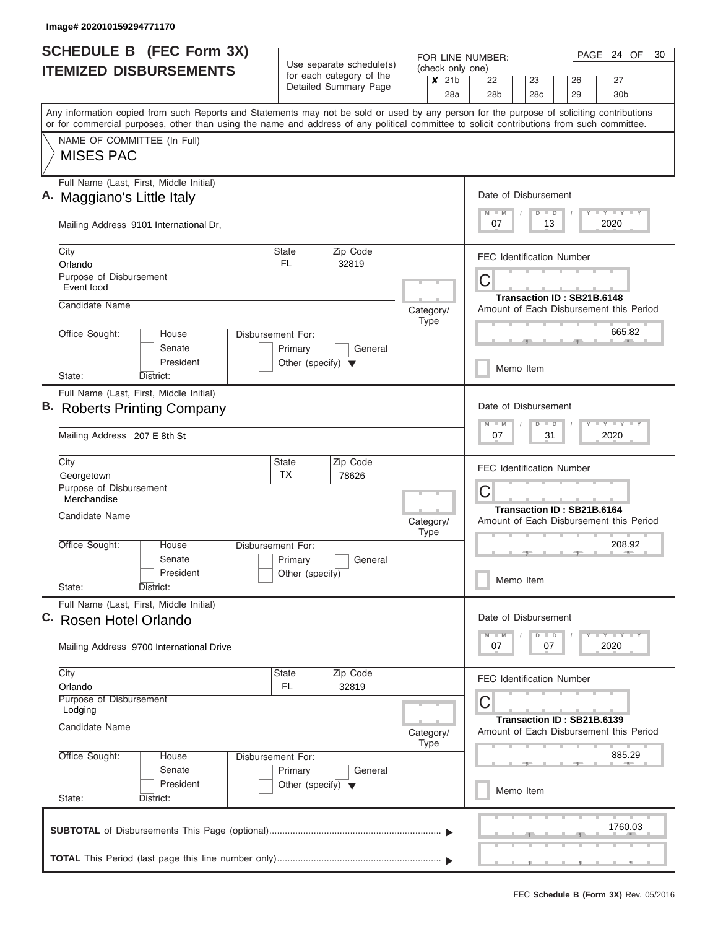| <b>SCHEDULE B</b> (FEC Form 3X) |                                                                                                                                                                                                                                                                                         |                                      | Use separate schedule(s)        |                          |           |                                    | PAGE 24 OF<br>FOR LINE NUMBER:                                        |                  |                                 |    |    |                                                   |                                                                                       | 30 |
|---------------------------------|-----------------------------------------------------------------------------------------------------------------------------------------------------------------------------------------------------------------------------------------------------------------------------------------|--------------------------------------|---------------------------------|--------------------------|-----------|------------------------------------|-----------------------------------------------------------------------|------------------|---------------------------------|----|----|---------------------------------------------------|---------------------------------------------------------------------------------------|----|
| <b>ITEMIZED DISBURSEMENTS</b>   |                                                                                                                                                                                                                                                                                         | for each category of the             |                                 | $x$ 21b                  |           | (check only one)<br>22<br>23<br>26 |                                                                       |                  |                                 |    |    | 27                                                |                                                                                       |    |
|                                 |                                                                                                                                                                                                                                                                                         |                                      | Detailed Summary Page           |                          |           | 28a                                | 28 <sub>b</sub>                                                       |                  | 28c                             |    | 29 |                                                   | 30b                                                                                   |    |
|                                 | Any information copied from such Reports and Statements may not be sold or used by any person for the purpose of soliciting contributions<br>or for commercial purposes, other than using the name and address of any political committee to solicit contributions from such committee. |                                      |                                 |                          |           |                                    |                                                                       |                  |                                 |    |    |                                                   |                                                                                       |    |
|                                 | NAME OF COMMITTEE (In Full)<br><b>MISES PAC</b>                                                                                                                                                                                                                                         |                                      |                                 |                          |           |                                    |                                                                       |                  |                                 |    |    |                                                   |                                                                                       |    |
|                                 | Full Name (Last, First, Middle Initial)<br>A. Maggiano's Little Italy                                                                                                                                                                                                                   | Date of Disbursement                 |                                 |                          |           |                                    |                                                                       |                  |                                 |    |    |                                                   |                                                                                       |    |
|                                 | Mailing Address 9101 International Dr,                                                                                                                                                                                                                                                  |                                      |                                 |                          |           |                                    | $M$ $M$<br>07                                                         |                  | $D$ $D$                         | 13 |    |                                                   | Y LY LY LY<br>2020                                                                    |    |
|                                 | City                                                                                                                                                                                                                                                                                    | State                                | Zip Code                        |                          |           |                                    | <b>FEC Identification Number</b>                                      |                  |                                 |    |    |                                                   |                                                                                       |    |
|                                 | Orlando<br>Purpose of Disbursement<br>Event food                                                                                                                                                                                                                                        | <b>FL</b>                            | 32819                           |                          |           |                                    | C                                                                     |                  |                                 |    |    |                                                   |                                                                                       |    |
|                                 | Candidate Name                                                                                                                                                                                                                                                                          |                                      |                                 |                          | Category/ |                                    | Transaction ID: SB21B.6148<br>Amount of Each Disbursement this Period |                  |                                 |    |    |                                                   |                                                                                       |    |
|                                 | Office Sought:<br>House<br>Senate                                                                                                                                                                                                                                                       | Disbursement For:<br>Primary         | General                         |                          | Type      |                                    |                                                                       |                  |                                 |    |    |                                                   | 665.82                                                                                |    |
|                                 | President<br>State:<br>District:                                                                                                                                                                                                                                                        | Other (specify) $\blacktriangledown$ |                                 |                          |           |                                    |                                                                       |                  | Memo Item                       |    |    |                                                   |                                                                                       |    |
|                                 | Full Name (Last, First, Middle Initial)<br>B. Roberts Printing Company                                                                                                                                                                                                                  |                                      |                                 |                          |           |                                    |                                                                       |                  | Date of Disbursement<br>$D$ $D$ |    |    |                                                   | $\mathbf{I} = \mathbf{Y} - \mathbf{I} - \mathbf{Y} - \mathbf{I} - \mathbf{Y}$         |    |
|                                 | Mailing Address 207 E 8th St                                                                                                                                                                                                                                                            |                                      |                                 |                          |           |                                    |                                                                       | 2020<br>07<br>31 |                                 |    |    |                                                   |                                                                                       |    |
|                                 | City<br>Georgetown                                                                                                                                                                                                                                                                      | State<br><b>TX</b>                   | Zip Code<br>78626               |                          |           |                                    | <b>FEC Identification Number</b>                                      |                  |                                 |    |    |                                                   |                                                                                       |    |
|                                 | Purpose of Disbursement<br>Merchandise                                                                                                                                                                                                                                                  |                                      |                                 |                          |           | C<br>Transaction ID: SB21B.6164    |                                                                       |                  |                                 |    |    |                                                   |                                                                                       |    |
|                                 |                                                                                                                                                                                                                                                                                         | Candidate Name                       |                                 |                          |           |                                    | Amount of Each Disbursement this Period                               |                  |                                 |    |    |                                                   |                                                                                       |    |
|                                 | Office Sought:<br>House<br>Senate                                                                                                                                                                                                                                                       | Disbursement For:<br>Primary         | General                         |                          |           |                                    |                                                                       |                  |                                 |    |    |                                                   | 208.92                                                                                |    |
|                                 | President<br>State:<br>District:                                                                                                                                                                                                                                                        | Other (specify)                      |                                 |                          |           |                                    |                                                                       |                  | Memo Item                       |    |    |                                                   |                                                                                       |    |
| C.                              | Full Name (Last, First, Middle Initial)<br>Rosen Hotel Orlando                                                                                                                                                                                                                          |                                      |                                 |                          |           |                                    | Date of Disbursement                                                  |                  |                                 |    |    |                                                   |                                                                                       |    |
|                                 | Mailing Address 9700 International Drive                                                                                                                                                                                                                                                |                                      |                                 |                          |           |                                    | $M - M$<br>07                                                         |                  | $D$ $D$                         | 07 |    |                                                   | $\mathbf{I}$ $\mathbf{Y}$ $\mathbf{I}$ $\mathbf{Y}$ $\mathbf{I}$ $\mathbf{Y}$<br>2020 |    |
|                                 | City<br>Orlando                                                                                                                                                                                                                                                                         | State<br>FL.                         | Zip Code<br>32819               |                          |           |                                    | <b>FEC Identification Number</b>                                      |                  |                                 |    |    |                                                   |                                                                                       |    |
|                                 | <b>Purpose of Disbursement</b><br>Lodging<br>Candidate Name                                                                                                                                                                                                                             |                                      | C<br>Transaction ID: SB21B.6139 |                          |           |                                    |                                                                       |                  |                                 |    |    |                                                   |                                                                                       |    |
|                                 | Office Sought:<br>Disbursement For:<br>House                                                                                                                                                                                                                                            |                                      |                                 | Category/<br><b>Type</b> |           |                                    |                                                                       |                  |                                 |    |    | Amount of Each Disbursement this Period<br>885.29 |                                                                                       |    |
|                                 | Senate<br>President                                                                                                                                                                                                                                                                     |                                      |                                 |                          |           |                                    | Memo Item                                                             |                  |                                 |    |    |                                                   |                                                                                       |    |
|                                 | State:<br>District:                                                                                                                                                                                                                                                                     |                                      |                                 |                          |           |                                    |                                                                       |                  |                                 |    |    |                                                   |                                                                                       |    |
|                                 |                                                                                                                                                                                                                                                                                         |                                      |                                 |                          |           |                                    |                                                                       |                  |                                 |    |    |                                                   | 1760.03                                                                               |    |
|                                 |                                                                                                                                                                                                                                                                                         |                                      |                                 |                          |           |                                    |                                                                       |                  |                                 |    |    |                                                   |                                                                                       |    |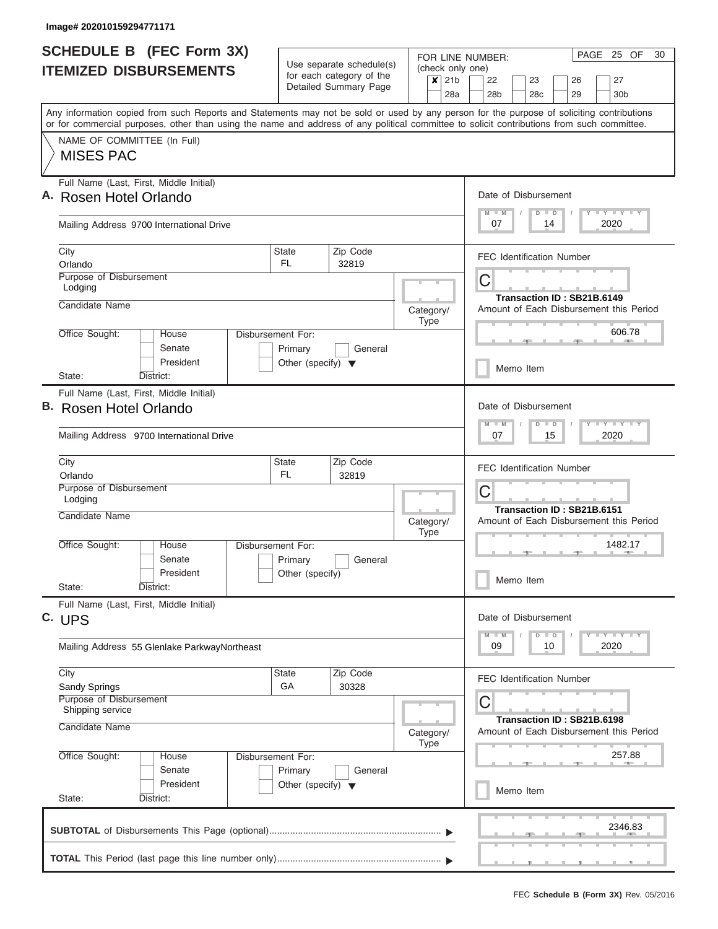|                               | <b>SCHEDULE B</b> (FEC Form 3X)                                                                                                                                                                                                                                                         |                                                                                         |                       | PAGE 25 OF<br>FOR LINE NUMBER: |                          |                                          |                                                                                                                                |  |  |  |  |  |  |
|-------------------------------|-----------------------------------------------------------------------------------------------------------------------------------------------------------------------------------------------------------------------------------------------------------------------------------------|-----------------------------------------------------------------------------------------|-----------------------|--------------------------------|--------------------------|------------------------------------------|--------------------------------------------------------------------------------------------------------------------------------|--|--|--|--|--|--|
| <b>ITEMIZED DISBURSEMENTS</b> |                                                                                                                                                                                                                                                                                         | Use separate schedule(s)<br>for each category of the                                    |                       | $x$ 21b                        |                          | (check only one)<br>22<br>23<br>26<br>27 |                                                                                                                                |  |  |  |  |  |  |
|                               |                                                                                                                                                                                                                                                                                         |                                                                                         | Detailed Summary Page |                                |                          | 28a                                      | 28 <sub>b</sub><br>28c<br>29<br>30 <sub>b</sub>                                                                                |  |  |  |  |  |  |
|                               | Any information copied from such Reports and Statements may not be sold or used by any person for the purpose of soliciting contributions<br>or for commercial purposes, other than using the name and address of any political committee to solicit contributions from such committee. |                                                                                         |                       |                                |                          |                                          |                                                                                                                                |  |  |  |  |  |  |
|                               | NAME OF COMMITTEE (In Full)<br><b>MISES PAC</b>                                                                                                                                                                                                                                         |                                                                                         |                       |                                |                          |                                          |                                                                                                                                |  |  |  |  |  |  |
|                               | Full Name (Last, First, Middle Initial)<br>A. Rosen Hotel Orlando                                                                                                                                                                                                                       |                                                                                         |                       |                                |                          |                                          | Date of Disbursement                                                                                                           |  |  |  |  |  |  |
|                               | Mailing Address 9700 International Drive                                                                                                                                                                                                                                                | <b>LY LY LY</b><br>$M$ $M$<br>$D$ $D$<br>2020<br>07<br>14                               |                       |                                |                          |                                          |                                                                                                                                |  |  |  |  |  |  |
|                               | City<br>Orlando                                                                                                                                                                                                                                                                         | State<br><b>FL</b>                                                                      | Zip Code<br>32819     |                                |                          |                                          | <b>FEC Identification Number</b>                                                                                               |  |  |  |  |  |  |
|                               | Purpose of Disbursement<br>Lodging                                                                                                                                                                                                                                                      |                                                                                         |                       |                                |                          |                                          | C<br>Transaction ID: SB21B.6149                                                                                                |  |  |  |  |  |  |
|                               | Candidate Name                                                                                                                                                                                                                                                                          |                                                                                         |                       |                                | Category/<br><b>Type</b> |                                          | Amount of Each Disbursement this Period                                                                                        |  |  |  |  |  |  |
|                               | Office Sought:<br>House<br>Senate<br>President                                                                                                                                                                                                                                          | Disbursement For:<br>Primary<br>Other (specify) $\blacktriangledown$                    | General               |                                |                          |                                          | 606.78<br>Memo Item                                                                                                            |  |  |  |  |  |  |
|                               | State:<br>District:                                                                                                                                                                                                                                                                     |                                                                                         |                       |                                |                          |                                          |                                                                                                                                |  |  |  |  |  |  |
|                               | Full Name (Last, First, Middle Initial)<br>B. Rosen Hotel Orlando                                                                                                                                                                                                                       |                                                                                         |                       |                                |                          |                                          | Date of Disbursement<br>$-Y - Y - I - Y$<br>$M - M$<br>$D$ $D$                                                                 |  |  |  |  |  |  |
|                               | Mailing Address 9700 International Drive                                                                                                                                                                                                                                                |                                                                                         | 07<br>15<br>2020      |                                |                          |                                          |                                                                                                                                |  |  |  |  |  |  |
|                               | City<br>Orlando<br>Purpose of Disbursement                                                                                                                                                                                                                                              | State<br><b>FL</b>                                                                      | Zip Code<br>32819     |                                |                          |                                          | <b>FEC Identification Number</b>                                                                                               |  |  |  |  |  |  |
|                               | Lodging<br>Candidate Name                                                                                                                                                                                                                                                               |                                                                                         |                       |                                | Category/                |                                          | C<br>Transaction ID: SB21B.6151<br>Amount of Each Disbursement this Period                                                     |  |  |  |  |  |  |
|                               | Office Sought:<br>House<br>Senate                                                                                                                                                                                                                                                       | Disbursement For:<br>Primary<br>General                                                 |                       |                                |                          |                                          | 1482.17                                                                                                                        |  |  |  |  |  |  |
|                               | President<br>State:<br>District:                                                                                                                                                                                                                                                        | Other (specify)                                                                         |                       |                                |                          |                                          | Memo Item                                                                                                                      |  |  |  |  |  |  |
|                               | Full Name (Last, First, Middle Initial)<br>C. UPS                                                                                                                                                                                                                                       |                                                                                         |                       |                                |                          |                                          | Date of Disbursement                                                                                                           |  |  |  |  |  |  |
|                               | Mailing Address 55 Glenlake ParkwayNortheast                                                                                                                                                                                                                                            |                                                                                         |                       |                                |                          |                                          | $\mathbb{L} \mathbf{Y} \mathbb{L} \mathbf{Y} \mathbb{L} \mathbf{Y}$<br>$M$ $M$<br>$\Box$<br>$\overline{D}$<br>09<br>10<br>2020 |  |  |  |  |  |  |
|                               | City<br>Sandy Springs                                                                                                                                                                                                                                                                   | State<br>GA                                                                             | Zip Code<br>30328     |                                |                          |                                          | <b>FEC Identification Number</b>                                                                                               |  |  |  |  |  |  |
|                               | <b>Purpose of Disbursement</b><br>Shipping service<br>Candidate Name                                                                                                                                                                                                                    | С<br>Transaction ID: SB21B.6198<br>Amount of Each Disbursement this Period<br>Category/ |                       |                                |                          |                                          |                                                                                                                                |  |  |  |  |  |  |
|                               | Office Sought:<br>Disbursement For:<br>House                                                                                                                                                                                                                                            |                                                                                         | <b>Type</b>           |                                | 257.88                   |                                          |                                                                                                                                |  |  |  |  |  |  |
|                               | Senate<br>Primary<br>General<br>President<br>Other (specify) $\blacktriangledown$                                                                                                                                                                                                       |                                                                                         |                       |                                |                          |                                          | Memo Item                                                                                                                      |  |  |  |  |  |  |
|                               | State:<br>District:                                                                                                                                                                                                                                                                     |                                                                                         |                       |                                |                          |                                          |                                                                                                                                |  |  |  |  |  |  |
|                               |                                                                                                                                                                                                                                                                                         |                                                                                         |                       |                                |                          |                                          | 2346.83                                                                                                                        |  |  |  |  |  |  |
|                               |                                                                                                                                                                                                                                                                                         |                                                                                         |                       |                                |                          |                                          |                                                                                                                                |  |  |  |  |  |  |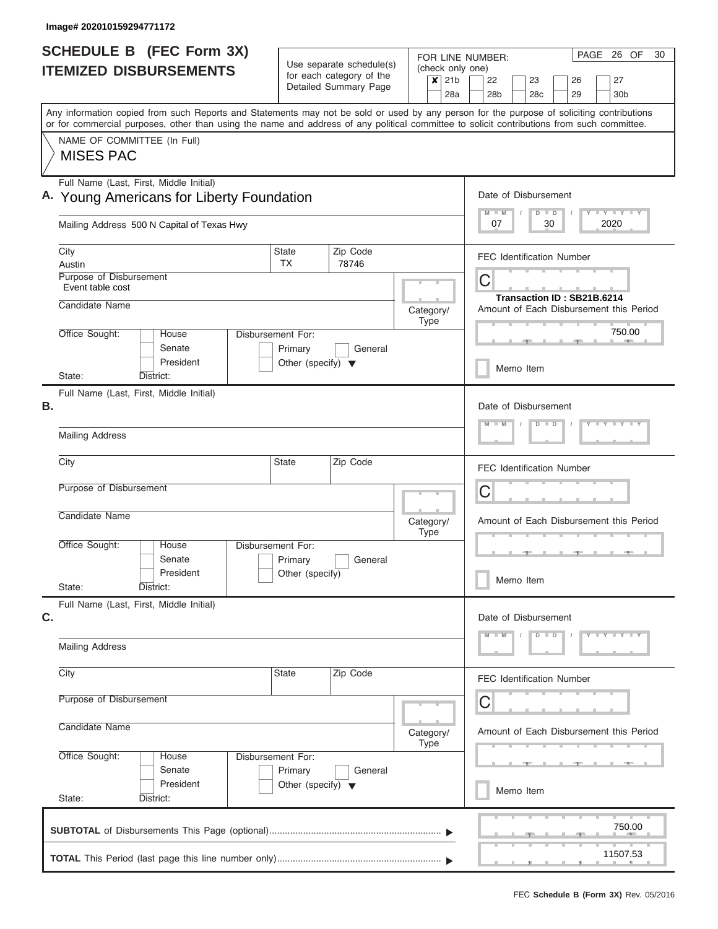| <b>SCHEDULE B (FEC Form 3X)</b>                                                      |                                            |                                                      |                       |                                         |                          | PAGE 26 OF<br>30<br>FOR LINE NUMBER:                                                                                                                                                                                                                                                    |  |  |  |  |  |  |
|--------------------------------------------------------------------------------------|--------------------------------------------|------------------------------------------------------|-----------------------|-----------------------------------------|--------------------------|-----------------------------------------------------------------------------------------------------------------------------------------------------------------------------------------------------------------------------------------------------------------------------------------|--|--|--|--|--|--|
| <b>ITEMIZED DISBURSEMENTS</b>                                                        |                                            | Use separate schedule(s)<br>for each category of the |                       |                                         |                          | (check only one)                                                                                                                                                                                                                                                                        |  |  |  |  |  |  |
|                                                                                      |                                            |                                                      | Detailed Summary Page |                                         | $x$ 21b                  | 22<br>23<br>27<br>26<br>28a<br>28 <sub>b</sub><br>28c<br>29<br>30 <sub>b</sub>                                                                                                                                                                                                          |  |  |  |  |  |  |
|                                                                                      |                                            |                                                      |                       |                                         |                          | Any information copied from such Reports and Statements may not be sold or used by any person for the purpose of soliciting contributions<br>or for commercial purposes, other than using the name and address of any political committee to solicit contributions from such committee. |  |  |  |  |  |  |
| NAME OF COMMITTEE (In Full)<br><b>MISES PAC</b>                                      |                                            |                                                      |                       |                                         |                          |                                                                                                                                                                                                                                                                                         |  |  |  |  |  |  |
| Full Name (Last, First, Middle Initial)<br>A. Young Americans for Liberty Foundation | Date of Disbursement                       |                                                      |                       |                                         |                          |                                                                                                                                                                                                                                                                                         |  |  |  |  |  |  |
| Mailing Address 500 N Capital of Texas Hwy                                           |                                            |                                                      |                       |                                         |                          | Y L Y L Y L Y<br>$D$ $D$<br>$M - M$<br>30<br>2020<br>07                                                                                                                                                                                                                                 |  |  |  |  |  |  |
| City<br>Austin                                                                       |                                            | <b>State</b><br><b>TX</b>                            | Zip Code<br>78746     |                                         |                          | <b>FEC Identification Number</b>                                                                                                                                                                                                                                                        |  |  |  |  |  |  |
| Purpose of Disbursement<br>Event table cost                                          |                                            |                                                      |                       |                                         |                          | C<br>Transaction ID: SB21B.6214                                                                                                                                                                                                                                                         |  |  |  |  |  |  |
| Candidate Name<br>Office Sought:<br>House                                            | Disbursement For:                          |                                                      |                       |                                         | Category/<br><b>Type</b> | Amount of Each Disbursement this Period<br>750.00                                                                                                                                                                                                                                       |  |  |  |  |  |  |
| Senate<br>President                                                                  |                                            | Primary<br>Other (specify) $\blacktriangledown$      | General               |                                         |                          | <b>AND</b><br>Memo Item                                                                                                                                                                                                                                                                 |  |  |  |  |  |  |
| State:<br>District:<br>Full Name (Last, First, Middle Initial)                       |                                            |                                                      |                       |                                         |                          |                                                                                                                                                                                                                                                                                         |  |  |  |  |  |  |
| В.                                                                                   |                                            |                                                      |                       |                                         |                          | Date of Disbursement<br>$Y - Y - Y - Y - Y$<br>$M - M$<br>$D$ $D$                                                                                                                                                                                                                       |  |  |  |  |  |  |
| <b>Mailing Address</b>                                                               |                                            |                                                      |                       |                                         |                          |                                                                                                                                                                                                                                                                                         |  |  |  |  |  |  |
| City<br>Purpose of Disbursement                                                      |                                            | <b>State</b>                                         | Zip Code              |                                         |                          | <b>FEC Identification Number</b>                                                                                                                                                                                                                                                        |  |  |  |  |  |  |
|                                                                                      |                                            |                                                      |                       |                                         |                          | C                                                                                                                                                                                                                                                                                       |  |  |  |  |  |  |
|                                                                                      | Candidate Name<br>Category/<br><b>Type</b> |                                                      |                       |                                         |                          |                                                                                                                                                                                                                                                                                         |  |  |  |  |  |  |
| Office Sought:<br>House<br>Senate                                                    | Disbursement For:                          | Primary                                              | General               |                                         |                          |                                                                                                                                                                                                                                                                                         |  |  |  |  |  |  |
| President<br>State:<br>District:                                                     |                                            | Other (specify)                                      |                       |                                         |                          | Memo Item                                                                                                                                                                                                                                                                               |  |  |  |  |  |  |
| Full Name (Last, First, Middle Initial)<br>C.                                        |                                            |                                                      |                       |                                         |                          | Date of Disbursement<br>$D$ $D$                                                                                                                                                                                                                                                         |  |  |  |  |  |  |
| <b>Mailing Address</b>                                                               |                                            |                                                      |                       |                                         |                          | $Y$ $Y$ $Y$ $Y$ $Y$<br>$M - M$                                                                                                                                                                                                                                                          |  |  |  |  |  |  |
| City                                                                                 |                                            | State                                                | Zip Code              |                                         |                          | <b>FEC Identification Number</b>                                                                                                                                                                                                                                                        |  |  |  |  |  |  |
| Purpose of Disbursement                                                              |                                            |                                                      | C                     |                                         |                          |                                                                                                                                                                                                                                                                                         |  |  |  |  |  |  |
| Candidate Name<br>Office Sought:                                                     |                                            |                                                      | Category/<br>Type     | Amount of Each Disbursement this Period |                          |                                                                                                                                                                                                                                                                                         |  |  |  |  |  |  |
| House<br>Senate<br>President                                                         | Disbursement For:                          | Primary<br>Other (specify) $\blacktriangledown$      | General               |                                         |                          |                                                                                                                                                                                                                                                                                         |  |  |  |  |  |  |
| State:<br>District:                                                                  |                                            |                                                      |                       |                                         |                          | Memo Item                                                                                                                                                                                                                                                                               |  |  |  |  |  |  |
|                                                                                      |                                            |                                                      |                       |                                         |                          | 750.00                                                                                                                                                                                                                                                                                  |  |  |  |  |  |  |
|                                                                                      |                                            |                                                      |                       |                                         |                          | 11507.53                                                                                                                                                                                                                                                                                |  |  |  |  |  |  |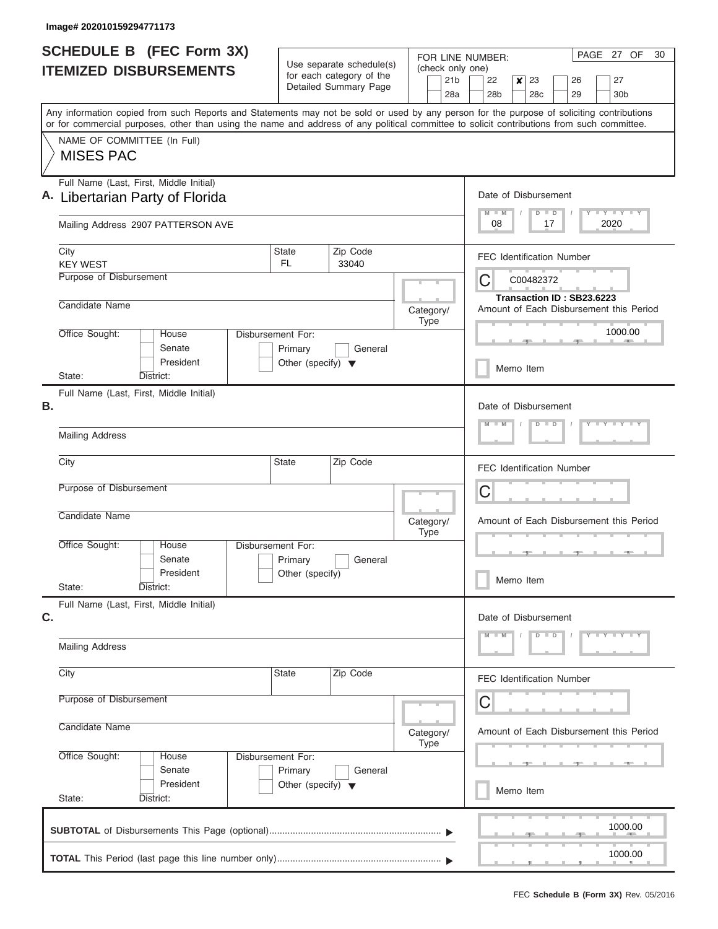| <b>SCHEDULE B</b> (FEC Form 3X)                                                                                                                                                                                                                                                         |                                                                      | Use separate schedule(s)                          |                                            | PAGE 27 OF<br>30<br>FOR LINE NUMBER:                                                                    |  |  |  |  |  |  |
|-----------------------------------------------------------------------------------------------------------------------------------------------------------------------------------------------------------------------------------------------------------------------------------------|----------------------------------------------------------------------|---------------------------------------------------|--------------------------------------------|---------------------------------------------------------------------------------------------------------|--|--|--|--|--|--|
| <b>ITEMIZED DISBURSEMENTS</b>                                                                                                                                                                                                                                                           |                                                                      | for each category of the<br>Detailed Summary Page | (check only one)<br>21 <sub>b</sub><br>28a | 27<br>22<br>$\boldsymbol{x}$<br>23<br>26<br>28 <sub>b</sub><br>28 <sub>c</sub><br>29<br>30 <sub>b</sub> |  |  |  |  |  |  |
| Any information copied from such Reports and Statements may not be sold or used by any person for the purpose of soliciting contributions<br>or for commercial purposes, other than using the name and address of any political committee to solicit contributions from such committee. |                                                                      |                                                   |                                            |                                                                                                         |  |  |  |  |  |  |
| NAME OF COMMITTEE (In Full)<br><b>MISES PAC</b>                                                                                                                                                                                                                                         |                                                                      |                                                   |                                            |                                                                                                         |  |  |  |  |  |  |
| Full Name (Last, First, Middle Initial)<br>A. Libertarian Party of Florida                                                                                                                                                                                                              |                                                                      |                                                   |                                            | Date of Disbursement<br>Y I Y I Y I Y<br>$M$ $M$<br>$D$ $D$                                             |  |  |  |  |  |  |
| Mailing Address 2907 PATTERSON AVE                                                                                                                                                                                                                                                      |                                                                      |                                                   |                                            | 2020<br>08<br>17                                                                                        |  |  |  |  |  |  |
| City<br><b>KEY WEST</b>                                                                                                                                                                                                                                                                 | State<br>FL.                                                         | Zip Code<br>33040                                 |                                            | <b>FEC Identification Number</b>                                                                        |  |  |  |  |  |  |
| Purpose of Disbursement                                                                                                                                                                                                                                                                 |                                                                      |                                                   |                                            | C<br>C00482372<br>Transaction ID: SB23.6223                                                             |  |  |  |  |  |  |
| Candidate Name                                                                                                                                                                                                                                                                          |                                                                      |                                                   | Category/<br><b>Type</b>                   | Amount of Each Disbursement this Period                                                                 |  |  |  |  |  |  |
| Office Sought:<br>House<br>Senate<br>President                                                                                                                                                                                                                                          | Disbursement For:<br>Primary<br>Other (specify) $\blacktriangledown$ | General                                           |                                            | 1000.00<br>Memo Item                                                                                    |  |  |  |  |  |  |
| State:<br>District:<br>Full Name (Last, First, Middle Initial)                                                                                                                                                                                                                          |                                                                      |                                                   |                                            |                                                                                                         |  |  |  |  |  |  |
| В.                                                                                                                                                                                                                                                                                      |                                                                      |                                                   |                                            | Date of Disbursement<br>$Y - Y - Y - Y + Y$<br>$M - M$<br>$D$ $D$                                       |  |  |  |  |  |  |
| <b>Mailing Address</b>                                                                                                                                                                                                                                                                  |                                                                      |                                                   |                                            |                                                                                                         |  |  |  |  |  |  |
| City                                                                                                                                                                                                                                                                                    | State                                                                | Zip Code                                          |                                            | <b>FEC Identification Number</b>                                                                        |  |  |  |  |  |  |
| Purpose of Disbursement                                                                                                                                                                                                                                                                 |                                                                      |                                                   |                                            | C                                                                                                       |  |  |  |  |  |  |
| Candidate Name                                                                                                                                                                                                                                                                          |                                                                      |                                                   | Category/<br><b>Type</b>                   | Amount of Each Disbursement this Period                                                                 |  |  |  |  |  |  |
| Office Sought:<br>House<br>Senate<br>President                                                                                                                                                                                                                                          | Disbursement For:<br>Primary<br>Other (specify)                      | General                                           |                                            |                                                                                                         |  |  |  |  |  |  |
| State:<br>District:                                                                                                                                                                                                                                                                     |                                                                      |                                                   |                                            | Memo Item                                                                                               |  |  |  |  |  |  |
| Full Name (Last, First, Middle Initial)<br>C.                                                                                                                                                                                                                                           |                                                                      |                                                   |                                            | Date of Disbursement                                                                                    |  |  |  |  |  |  |
| <b>Mailing Address</b>                                                                                                                                                                                                                                                                  |                                                                      |                                                   |                                            | $D$ $D$<br>$Y - Y - Y - Y - Y$<br>$M - M$                                                               |  |  |  |  |  |  |
| City                                                                                                                                                                                                                                                                                    | State                                                                | Zip Code                                          |                                            | <b>FEC Identification Number</b>                                                                        |  |  |  |  |  |  |
| Purpose of Disbursement                                                                                                                                                                                                                                                                 |                                                                      |                                                   |                                            |                                                                                                         |  |  |  |  |  |  |
| Candidate Name                                                                                                                                                                                                                                                                          | Category/<br><b>Type</b>                                             | Amount of Each Disbursement this Period           |                                            |                                                                                                         |  |  |  |  |  |  |
| Office Sought:<br>House<br>Senate                                                                                                                                                                                                                                                       | Disbursement For:<br>Primary                                         | General                                           |                                            |                                                                                                         |  |  |  |  |  |  |
| President<br>State:<br>District:                                                                                                                                                                                                                                                        | Other (specify) $\blacktriangledown$                                 |                                                   |                                            | Memo Item                                                                                               |  |  |  |  |  |  |
|                                                                                                                                                                                                                                                                                         |                                                                      |                                                   |                                            | 1000.00                                                                                                 |  |  |  |  |  |  |
|                                                                                                                                                                                                                                                                                         |                                                                      |                                                   |                                            | 1000.00                                                                                                 |  |  |  |  |  |  |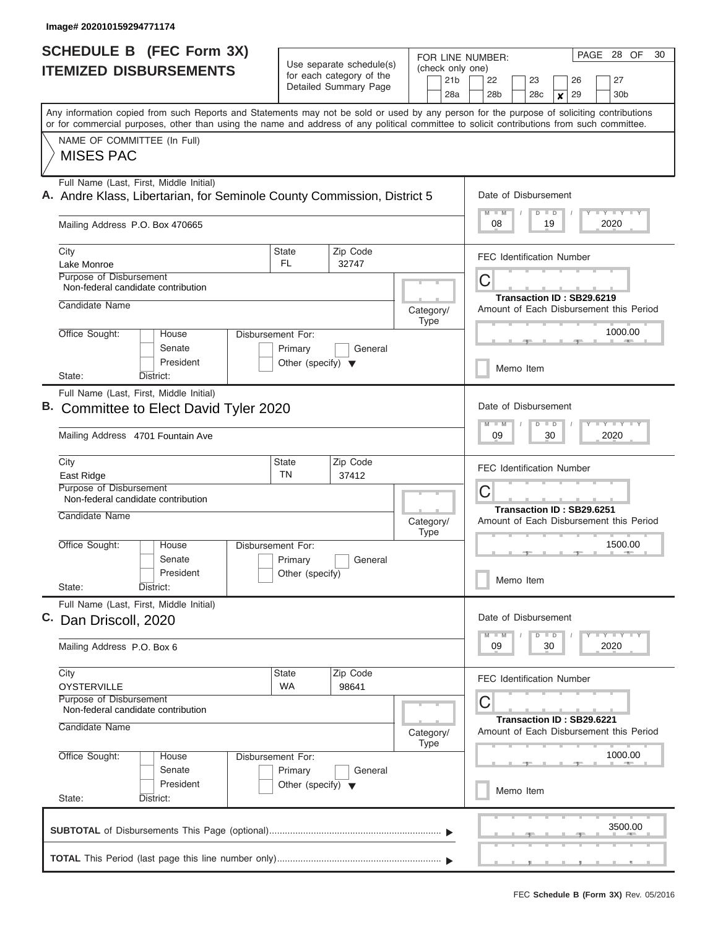| <b>SCHEDULE B</b> (FEC Form 3X)                                                                                                                                                                                                                                                         |                                                                                    | Use separate schedule(s)                          |                                 |         | PAGE 28 OF<br>30<br>FOR LINE NUMBER:                     |                                                                                        |                            |  |                       |  |  |  |
|-----------------------------------------------------------------------------------------------------------------------------------------------------------------------------------------------------------------------------------------------------------------------------------------|------------------------------------------------------------------------------------|---------------------------------------------------|---------------------------------|---------|----------------------------------------------------------|----------------------------------------------------------------------------------------|----------------------------|--|-----------------------|--|--|--|
| <b>ITEMIZED DISBURSEMENTS</b>                                                                                                                                                                                                                                                           |                                                                                    | for each category of the<br>Detailed Summary Page |                                 |         | (check only one)<br>22<br>28 <sub>b</sub>                | 23<br>28 <sub>c</sub>                                                                  | 26<br>29<br>$\pmb{\times}$ |  | 27<br>30 <sub>b</sub> |  |  |  |
| Any information copied from such Reports and Statements may not be sold or used by any person for the purpose of soliciting contributions<br>or for commercial purposes, other than using the name and address of any political committee to solicit contributions from such committee. |                                                                                    |                                                   |                                 |         |                                                          |                                                                                        |                            |  |                       |  |  |  |
| NAME OF COMMITTEE (In Full)<br><b>MISES PAC</b>                                                                                                                                                                                                                                         |                                                                                    |                                                   |                                 |         |                                                          |                                                                                        |                            |  |                       |  |  |  |
| Full Name (Last, First, Middle Initial)<br>A. Andre Klass, Libertarian, for Seminole County Commission, District 5                                                                                                                                                                      |                                                                                    |                                                   |                                 |         | Date of Disbursement<br>$M$ $M$                          | $D$ $D$                                                                                |                            |  | Y FY FY FY            |  |  |  |
| Mailing Address P.O. Box 470665                                                                                                                                                                                                                                                         |                                                                                    |                                                   |                                 |         |                                                          |                                                                                        |                            |  | 2020                  |  |  |  |
| City<br>Lake Monroe                                                                                                                                                                                                                                                                     | State<br>FL.                                                                       | Zip Code<br>32747                                 |                                 |         | <b>FEC Identification Number</b>                         |                                                                                        |                            |  |                       |  |  |  |
| <b>Purpose of Disbursement</b><br>Non-federal candidate contribution                                                                                                                                                                                                                    |                                                                                    |                                                   |                                 |         | С<br>Transaction ID: SB29.6219                           |                                                                                        |                            |  |                       |  |  |  |
| Candidate Name                                                                                                                                                                                                                                                                          |                                                                                    |                                                   | Category/<br><b>Type</b>        |         | Amount of Each Disbursement this Period                  |                                                                                        |                            |  |                       |  |  |  |
| Office Sought:<br>House<br>Senate<br>President                                                                                                                                                                                                                                          | Disbursement For:<br>Primary<br>General<br>Other (specify) $\overline{\mathbf{v}}$ |                                                   |                                 |         |                                                          |                                                                                        | 1000.00<br>Memo Item       |  |                       |  |  |  |
| State:<br>District:<br>Full Name (Last, First, Middle Initial)                                                                                                                                                                                                                          |                                                                                    |                                                   |                                 |         |                                                          |                                                                                        |                            |  |                       |  |  |  |
| В.<br>Committee to Elect David Tyler 2020                                                                                                                                                                                                                                               |                                                                                    |                                                   |                                 |         | Date of Disbursement<br>Y FY FY FY<br>$M - M$<br>$D$ $D$ |                                                                                        |                            |  |                       |  |  |  |
| Mailing Address 4701 Fountain Ave                                                                                                                                                                                                                                                       |                                                                                    |                                                   |                                 |         |                                                          |                                                                                        |                            |  | 2020                  |  |  |  |
| City<br>East Ridge                                                                                                                                                                                                                                                                      | State<br><b>TN</b>                                                                 | Zip Code<br>37412                                 |                                 |         | <b>FEC Identification Number</b>                         |                                                                                        |                            |  |                       |  |  |  |
| Purpose of Disbursement<br>Non-federal candidate contribution                                                                                                                                                                                                                           |                                                                                    |                                                   |                                 |         | C<br>Transaction ID: SB29.6251                           |                                                                                        |                            |  |                       |  |  |  |
| Candidate Name                                                                                                                                                                                                                                                                          |                                                                                    |                                                   | Category/<br><b>Type</b>        |         | Amount of Each Disbursement this Period                  |                                                                                        |                            |  |                       |  |  |  |
| Office Sought:<br>House<br>Senate<br>President                                                                                                                                                                                                                                          | Disbursement For:<br>Primary<br>Other (specify)                                    | General                                           |                                 |         | Memo Item                                                |                                                                                        |                            |  | 1500.00               |  |  |  |
| State:<br>District:<br>Full Name (Last, First, Middle Initial)                                                                                                                                                                                                                          |                                                                                    |                                                   |                                 |         |                                                          |                                                                                        |                            |  |                       |  |  |  |
| C.<br>Dan Driscoll, 2020                                                                                                                                                                                                                                                                |                                                                                    |                                                   | Date of Disbursement<br>$M - M$ | $D$ $D$ |                                                          |                                                                                        | Y TY TY TY                 |  |                       |  |  |  |
| Mailing Address P.O. Box 6                                                                                                                                                                                                                                                              |                                                                                    |                                                   |                                 |         | 09                                                       | 30                                                                                     |                            |  | 2020                  |  |  |  |
| City<br><b>OYSTERVILLE</b>                                                                                                                                                                                                                                                              | State<br><b>WA</b>                                                                 | Zip Code<br>98641                                 |                                 |         | <b>FEC Identification Number</b>                         |                                                                                        |                            |  |                       |  |  |  |
| Purpose of Disbursement<br>Non-federal candidate contribution<br>Candidate Name                                                                                                                                                                                                         |                                                                                    |                                                   |                                 |         |                                                          | С<br>Transaction ID: SB29.6221<br>Amount of Each Disbursement this Period<br>Category/ |                            |  |                       |  |  |  |
| Office Sought:<br>House                                                                                                                                                                                                                                                                 | Disbursement For:                                                                  |                                                   | <b>Type</b>                     |         |                                                          |                                                                                        |                            |  | 1000.00               |  |  |  |
| Senate<br>President<br>State:<br>District:                                                                                                                                                                                                                                              | Primary<br>Other (specify) $\blacktriangledown$                                    | General                                           |                                 |         | Memo Item                                                |                                                                                        |                            |  |                       |  |  |  |
|                                                                                                                                                                                                                                                                                         |                                                                                    |                                                   |                                 |         |                                                          |                                                                                        |                            |  | 3500.00               |  |  |  |
|                                                                                                                                                                                                                                                                                         |                                                                                    |                                                   |                                 |         |                                                          |                                                                                        |                            |  |                       |  |  |  |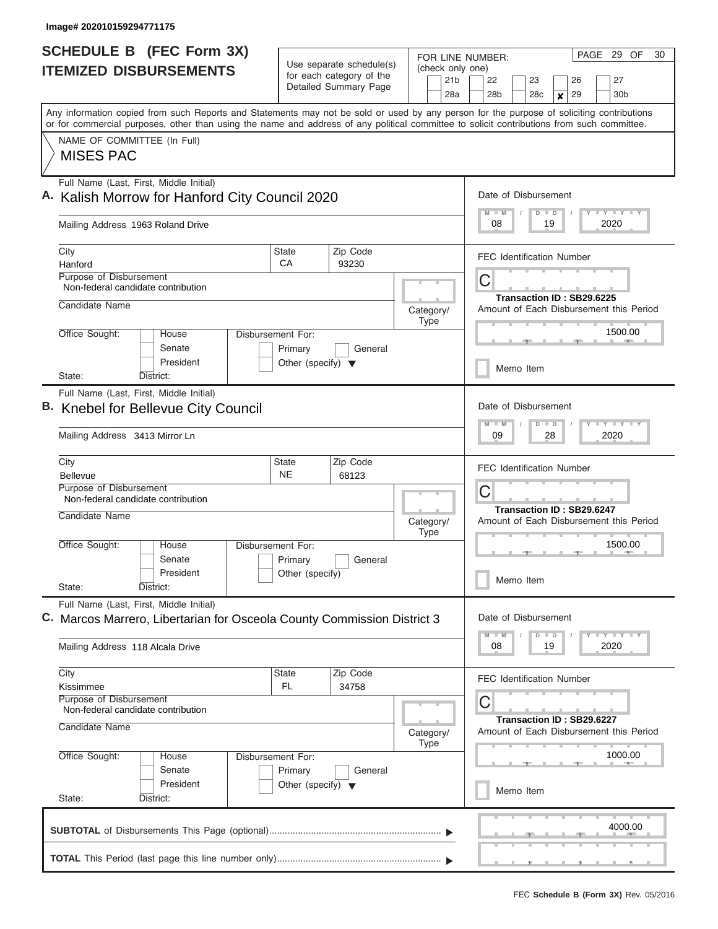| <b>SCHEDULE B (FEC Form 3X)</b>                                                                                                                                                                                                                                                         |                                                                      | Use separate schedule(s)                                                  | FOR LINE NUMBER:<br>(check only one)                                      | PAGE 29 OF<br>30                                                                         |  |  |  |  |
|-----------------------------------------------------------------------------------------------------------------------------------------------------------------------------------------------------------------------------------------------------------------------------------------|----------------------------------------------------------------------|---------------------------------------------------------------------------|---------------------------------------------------------------------------|------------------------------------------------------------------------------------------|--|--|--|--|
| <b>ITEMIZED DISBURSEMENTS</b>                                                                                                                                                                                                                                                           |                                                                      | for each category of the<br>Detailed Summary Page                         | 21 <sub>b</sub><br>28a                                                    | 22<br>23<br>26<br>27<br>28 <sub>b</sub><br>29<br>30 <sub>b</sub><br>28 <sub>c</sub><br>× |  |  |  |  |
| Any information copied from such Reports and Statements may not be sold or used by any person for the purpose of soliciting contributions<br>or for commercial purposes, other than using the name and address of any political committee to solicit contributions from such committee. |                                                                      |                                                                           |                                                                           |                                                                                          |  |  |  |  |
| NAME OF COMMITTEE (In Full)<br><b>MISES PAC</b>                                                                                                                                                                                                                                         |                                                                      |                                                                           |                                                                           |                                                                                          |  |  |  |  |
| Full Name (Last, First, Middle Initial)<br>A. Kalish Morrow for Hanford City Council 2020                                                                                                                                                                                               |                                                                      | Date of Disbursement<br>Y LY LY LY<br>$M - M$<br>$D$ $D$                  |                                                                           |                                                                                          |  |  |  |  |
| Mailing Address 1963 Roland Drive                                                                                                                                                                                                                                                       |                                                                      |                                                                           |                                                                           | 08<br>19<br>2020                                                                         |  |  |  |  |
| City<br>Hanford                                                                                                                                                                                                                                                                         | <b>State</b><br>СA                                                   | Zip Code<br>93230                                                         |                                                                           | <b>FEC Identification Number</b>                                                         |  |  |  |  |
| <b>Purpose of Disbursement</b><br>Non-federal candidate contribution                                                                                                                                                                                                                    |                                                                      |                                                                           |                                                                           | С<br>Transaction ID: SB29.6225                                                           |  |  |  |  |
| Candidate Name                                                                                                                                                                                                                                                                          |                                                                      |                                                                           | Category/<br>Type                                                         | Amount of Each Disbursement this Period                                                  |  |  |  |  |
| Office Sought:<br>House<br>Senate<br>President                                                                                                                                                                                                                                          | Disbursement For:<br>Primary<br>Other (specify) $\blacktriangledown$ | General                                                                   |                                                                           | 1500.00                                                                                  |  |  |  |  |
| State:<br>District:                                                                                                                                                                                                                                                                     |                                                                      |                                                                           |                                                                           | Memo Item                                                                                |  |  |  |  |
| Full Name (Last, First, Middle Initial)<br><b>B.</b> Knebel for Bellevue City Council<br>Mailing Address 3413 Mirror Ln                                                                                                                                                                 |                                                                      |                                                                           |                                                                           | Date of Disbursement<br>Y FY FY FY<br>$M - M$<br>$D$ $D$<br>09<br>28<br>2020             |  |  |  |  |
| City<br><b>Bellevue</b>                                                                                                                                                                                                                                                                 | <b>State</b><br><b>NE</b>                                            | Zip Code<br>68123                                                         |                                                                           | <b>FEC Identification Number</b>                                                         |  |  |  |  |
| Purpose of Disbursement<br>Non-federal candidate contribution<br>Candidate Name                                                                                                                                                                                                         |                                                                      | Category/                                                                 | C<br>Transaction ID: SB29.6247<br>Amount of Each Disbursement this Period |                                                                                          |  |  |  |  |
| Office Sought:<br>House<br>Senate                                                                                                                                                                                                                                                       | Disbursement For:<br>Primary                                         | General                                                                   | <b>Type</b>                                                               | 1500.00                                                                                  |  |  |  |  |
| President<br>State:<br>District:                                                                                                                                                                                                                                                        | Other (specify)                                                      |                                                                           |                                                                           | Memo Item                                                                                |  |  |  |  |
| Full Name (Last, First, Middle Initial)<br>C. Marcos Marrero, Libertarian for Osceola County Commission District 3                                                                                                                                                                      |                                                                      | Date of Disbursement<br>Y TY TY TY<br>$D$ $D$<br>$M$ M                    |                                                                           |                                                                                          |  |  |  |  |
| Mailing Address 118 Alcala Drive                                                                                                                                                                                                                                                        |                                                                      |                                                                           |                                                                           | 08<br>19<br>2020                                                                         |  |  |  |  |
| City<br>Kissimmee<br>Purpose of Disbursement                                                                                                                                                                                                                                            | State<br>FL.                                                         | Zip Code<br>34758                                                         |                                                                           | <b>FEC Identification Number</b>                                                         |  |  |  |  |
| Non-federal candidate contribution<br>Candidate Name                                                                                                                                                                                                                                    | Category/<br>Type                                                    | С<br>Transaction ID: SB29.6227<br>Amount of Each Disbursement this Period |                                                                           |                                                                                          |  |  |  |  |
| Office Sought:<br>House<br>Senate<br>President                                                                                                                                                                                                                                          | Disbursement For:<br>Primary                                         | General                                                                   |                                                                           | 1000.00                                                                                  |  |  |  |  |
| State:<br>District:                                                                                                                                                                                                                                                                     | Other (specify)                                                      |                                                                           |                                                                           | Memo Item                                                                                |  |  |  |  |
|                                                                                                                                                                                                                                                                                         |                                                                      |                                                                           |                                                                           | 4000.00                                                                                  |  |  |  |  |